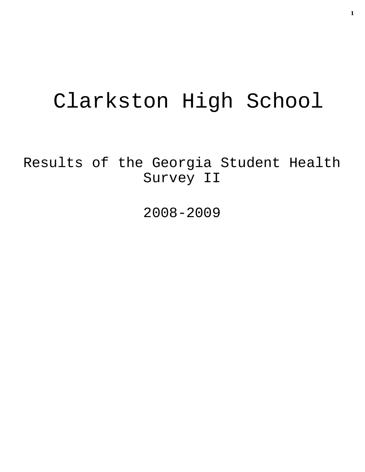# Clarkston High School

Results of the Georgia Student Health Survey II

2008-2009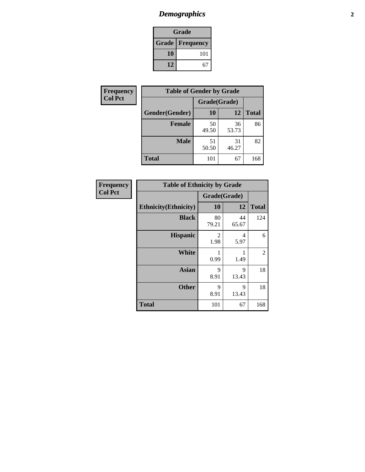# *Demographics* **2**

| Grade                    |     |  |  |  |
|--------------------------|-----|--|--|--|
| <b>Grade   Frequency</b> |     |  |  |  |
| 10                       | 101 |  |  |  |
| 12<br>67                 |     |  |  |  |

| <b>Frequency</b> | <b>Table of Gender by Grade</b> |              |             |              |  |
|------------------|---------------------------------|--------------|-------------|--------------|--|
| <b>Col Pct</b>   |                                 | Grade(Grade) |             |              |  |
|                  | Gender(Gender)                  | 10           | 12          | <b>Total</b> |  |
|                  | <b>Female</b>                   | 50<br>49.50  | 36<br>53.73 | 86           |  |
|                  | <b>Male</b>                     | 51<br>50.50  | 31<br>46.27 | 82           |  |
|                  | <b>Total</b>                    | 101          | 67          | 168          |  |

| <b>Frequency</b><br>Col Pct |
|-----------------------------|

| <b>Table of Ethnicity by Grade</b> |              |             |              |  |  |  |
|------------------------------------|--------------|-------------|--------------|--|--|--|
|                                    | Grade(Grade) |             |              |  |  |  |
| <b>Ethnicity</b> (Ethnicity)       | 10           | 12          | <b>Total</b> |  |  |  |
| <b>Black</b>                       | 80<br>79.21  | 44<br>65.67 | 124          |  |  |  |
| <b>Hispanic</b>                    | 2<br>1.98    | 4<br>5.97   | 6            |  |  |  |
| White                              | 1<br>0.99    | 1.49        | 2            |  |  |  |
| <b>Asian</b>                       | 9<br>8.91    | 9<br>13.43  | 18           |  |  |  |
| <b>Other</b>                       | 9<br>8.91    | 9<br>13.43  | 18           |  |  |  |
| <b>Total</b>                       | 101          | 67          | 168          |  |  |  |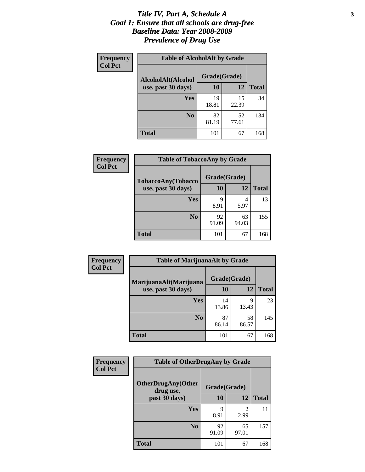#### *Title IV, Part A, Schedule A* **3** *Goal 1: Ensure that all schools are drug-free Baseline Data: Year 2008-2009 Prevalence of Drug Use*

| Frequency      | <b>Table of AlcoholAlt by Grade</b> |              |             |              |  |
|----------------|-------------------------------------|--------------|-------------|--------------|--|
| <b>Col Pct</b> | AlcoholAlt(Alcohol                  | Grade(Grade) |             |              |  |
|                | use, past 30 days)                  | <b>10</b>    | 12          | <b>Total</b> |  |
|                | Yes                                 | 19<br>18.81  | 15<br>22.39 | 34           |  |
|                | N <sub>0</sub>                      | 82<br>81.19  | 52<br>77.61 | 134          |  |
|                | <b>Total</b>                        | 101          | 67          | 168          |  |

| Frequency<br><b>Col Pct</b> | <b>Table of TobaccoAny by Grade</b> |              |             |              |  |  |
|-----------------------------|-------------------------------------|--------------|-------------|--------------|--|--|
|                             | TobaccoAny(Tobacco                  | Grade(Grade) |             |              |  |  |
|                             | use, past 30 days)                  | 10           | 12          | <b>Total</b> |  |  |
|                             | Yes                                 | 9<br>8.91    | 5.97        | 13           |  |  |
|                             | N <sub>0</sub>                      | 92<br>91.09  | 63<br>94.03 | 155          |  |  |
|                             | <b>Total</b>                        | 101          | 67          | 168          |  |  |

| Frequency<br><b>Col Pct</b> | <b>Table of MarijuanaAlt by Grade</b> |              |             |              |  |
|-----------------------------|---------------------------------------|--------------|-------------|--------------|--|
|                             | MarijuanaAlt(Marijuana                | Grade(Grade) |             |              |  |
|                             | use, past 30 days)                    | 10           | 12          | <b>Total</b> |  |
|                             | <b>Yes</b>                            | 14<br>13.86  | 9<br>13.43  | 23           |  |
|                             | N <sub>0</sub>                        | 87<br>86.14  | 58<br>86.57 | 145          |  |
|                             | <b>Total</b>                          | 101          | 67          | 168          |  |

| <b>Frequency</b> | <b>Table of OtherDrugAny by Grade</b>  |              |                        |              |  |  |
|------------------|----------------------------------------|--------------|------------------------|--------------|--|--|
| <b>Col Pct</b>   | <b>OtherDrugAny(Other</b><br>drug use, | Grade(Grade) |                        |              |  |  |
|                  | past 30 days)                          | 10           | <b>12</b>              | <b>Total</b> |  |  |
|                  | Yes                                    | 9<br>8.91    | $\mathfrak{D}$<br>2.99 | 11           |  |  |
|                  | N <sub>0</sub>                         | 92<br>91.09  | 65<br>97.01            | 157          |  |  |
|                  | <b>Total</b>                           | 101          | 67                     | 168          |  |  |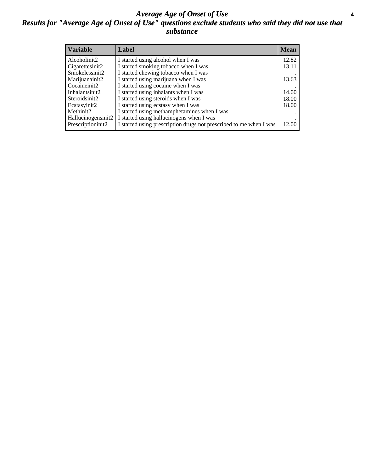#### *Average Age of Onset of Use* **4** *Results for "Average Age of Onset of Use" questions exclude students who said they did not use that substance*

| <b>Variable</b>    | Label                                                              | <b>Mean</b> |
|--------------------|--------------------------------------------------------------------|-------------|
| Alcoholinit2       | I started using alcohol when I was                                 | 12.82       |
| Cigarettesinit2    | I started smoking tobacco when I was                               | 13.11       |
| Smokelessinit2     | I started chewing tobacco when I was                               |             |
| Marijuanainit2     | I started using marijuana when I was                               | 13.63       |
| Cocaineinit2       | I started using cocaine when I was                                 |             |
| Inhalantsinit2     | I started using inhalants when I was                               | 14.00       |
| Steroidsinit2      | I started using steroids when I was                                | 18.00       |
| Ecstasyinit2       | I started using ecstasy when I was                                 | 18.00       |
| Methinit2          | I started using methamphetamines when I was                        |             |
| Hallucinogensinit2 | I started using hallucinogens when I was                           |             |
| Prescriptioninit2  | I started using prescription drugs not prescribed to me when I was | 12.00       |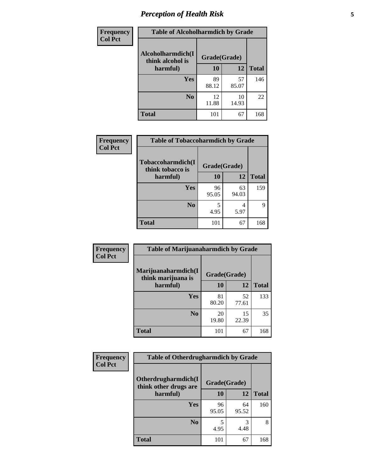# *Perception of Health Risk* **5**

| Frequency      | <b>Table of Alcoholharmdich by Grade</b> |              |             |              |  |
|----------------|------------------------------------------|--------------|-------------|--------------|--|
| <b>Col Pct</b> | Alcoholharmdich(I<br>think alcohol is    | Grade(Grade) |             |              |  |
|                | harmful)                                 | 10           | 12          | <b>Total</b> |  |
|                | <b>Yes</b>                               | 89<br>88.12  | 57<br>85.07 | 146          |  |
|                | N <sub>0</sub>                           | 12<br>11.88  | 10<br>14.93 | 22           |  |
|                | <b>Total</b>                             | 101          | 67          | 168          |  |

| Frequency      | <b>Table of Tobaccoharmdich by Grade</b>          |              |             |              |  |
|----------------|---------------------------------------------------|--------------|-------------|--------------|--|
| <b>Col Pct</b> | Tobaccoharmdich(I<br>think tobacco is<br>harmful) | Grade(Grade) |             |              |  |
|                |                                                   | 10           | 12          | <b>Total</b> |  |
|                | <b>Yes</b>                                        | 96<br>95.05  | 63<br>94.03 | 159          |  |
|                | N <sub>0</sub>                                    | 4.95         | 4<br>5.97   | 9            |  |
|                | <b>Total</b>                                      | 101          | 67          | 168          |  |

| <b>Frequency</b> | <b>Table of Marijuanaharmdich by Grade</b> |              |             |              |  |  |
|------------------|--------------------------------------------|--------------|-------------|--------------|--|--|
| <b>Col Pct</b>   | Marijuanaharmdich(I<br>think marijuana is  | Grade(Grade) |             |              |  |  |
|                  | harmful)                                   | 10           | 12          | <b>Total</b> |  |  |
|                  | Yes                                        | 81<br>80.20  | 52<br>77.61 | 133          |  |  |
|                  | N <sub>0</sub>                             | 20<br>19.80  | 15<br>22.39 | 35           |  |  |
|                  | <b>Total</b>                               | 101          | 67          | 168          |  |  |

| Frequency      | <b>Table of Otherdrugharmdich by Grade</b>   |              |             |              |  |  |  |  |
|----------------|----------------------------------------------|--------------|-------------|--------------|--|--|--|--|
| <b>Col Pct</b> | Otherdrugharmdich(I<br>think other drugs are | Grade(Grade) |             |              |  |  |  |  |
|                | harmful)                                     | <b>10</b>    | <b>12</b>   | <b>Total</b> |  |  |  |  |
|                | <b>Yes</b>                                   | 96<br>95.05  | 64<br>95.52 | 160          |  |  |  |  |
|                | N <sub>0</sub>                               | 4.95         | 3<br>4.48   | 8            |  |  |  |  |
|                | <b>Total</b>                                 | 101          | 67          | 168          |  |  |  |  |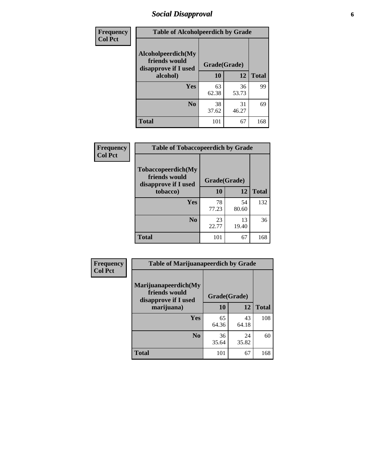# *Social Disapproval* **6**

| Frequency      | <b>Table of Alcoholpeerdich by Grade</b>                    |              |             |              |
|----------------|-------------------------------------------------------------|--------------|-------------|--------------|
| <b>Col Pct</b> | Alcoholpeerdich(My<br>friends would<br>disapprove if I used | Grade(Grade) |             |              |
|                | alcohol)                                                    | 10           | 12          | <b>Total</b> |
|                | <b>Yes</b>                                                  | 63<br>62.38  | 36<br>53.73 | 99           |
|                | N <sub>0</sub>                                              | 38<br>37.62  | 31<br>46.27 | 69           |
|                | <b>Total</b>                                                | 101          | 67          | 168          |

| <b>Frequency</b> |
|------------------|
| <b>Col Pct</b>   |

| <b>Table of Tobaccopeerdich by Grade</b>                    |              |             |              |  |  |  |  |
|-------------------------------------------------------------|--------------|-------------|--------------|--|--|--|--|
| Tobaccopeerdich(My<br>friends would<br>disapprove if I used | Grade(Grade) |             |              |  |  |  |  |
| tobacco)                                                    | 10           | 12          | <b>Total</b> |  |  |  |  |
| Yes                                                         | 78<br>77.23  | 54<br>80.60 | 132          |  |  |  |  |
| N <sub>0</sub>                                              | 23<br>22.77  | 13<br>19.40 | 36           |  |  |  |  |
| <b>Total</b>                                                | 101          | 67          | 168          |  |  |  |  |

| Frequency      | <b>Table of Marijuanapeerdich by Grade</b>                    |              |             |              |  |  |  |
|----------------|---------------------------------------------------------------|--------------|-------------|--------------|--|--|--|
| <b>Col Pct</b> | Marijuanapeerdich(My<br>friends would<br>disapprove if I used | Grade(Grade) |             |              |  |  |  |
|                | marijuana)                                                    | 10           | 12          | <b>Total</b> |  |  |  |
|                | <b>Yes</b>                                                    | 65<br>64.36  | 43<br>64.18 | 108          |  |  |  |
|                | N <sub>0</sub>                                                | 36<br>35.64  | 24<br>35.82 | 60           |  |  |  |
|                | <b>Total</b>                                                  | 101          | 67          | 168          |  |  |  |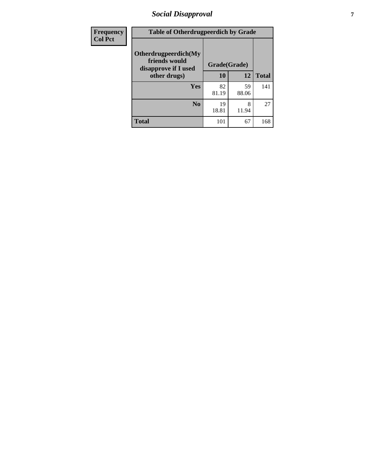# *Social Disapproval* **7**

| Frequency      | <b>Table of Otherdrugpeerdich by Grade</b>                    |              |             |              |  |  |  |
|----------------|---------------------------------------------------------------|--------------|-------------|--------------|--|--|--|
| <b>Col Pct</b> | Otherdrugpeerdich(My<br>friends would<br>disapprove if I used | Grade(Grade) |             |              |  |  |  |
|                | other drugs)                                                  | 10           | 12          | <b>Total</b> |  |  |  |
|                | Yes                                                           | 82<br>81.19  | 59<br>88.06 | 141          |  |  |  |
|                | N <sub>0</sub>                                                | 19<br>18.81  | 8<br>11.94  | 27           |  |  |  |
|                | <b>Total</b>                                                  | 101          | 67          | 168          |  |  |  |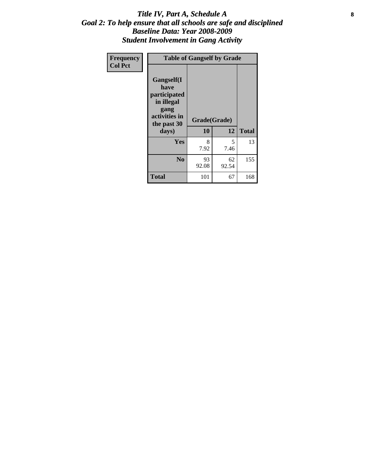#### Title IV, Part A, Schedule A **8** *Goal 2: To help ensure that all schools are safe and disciplined Baseline Data: Year 2008-2009 Student Involvement in Gang Activity*

| Frequency      |                                                                                                   | <b>Table of Gangself by Grade</b> |             |              |
|----------------|---------------------------------------------------------------------------------------------------|-----------------------------------|-------------|--------------|
| <b>Col Pct</b> | Gangself(I<br>have<br>participated<br>in illegal<br>gang<br>activities in<br>the past 30<br>days) | Grade(Grade)<br>10                | 12          | <b>Total</b> |
|                | Yes                                                                                               | 8<br>7.92                         | 5<br>7.46   | 13           |
|                | N <sub>0</sub>                                                                                    | 93<br>92.08                       | 62<br>92.54 | 155          |
|                | <b>Total</b>                                                                                      | 101                               | 67          | 168          |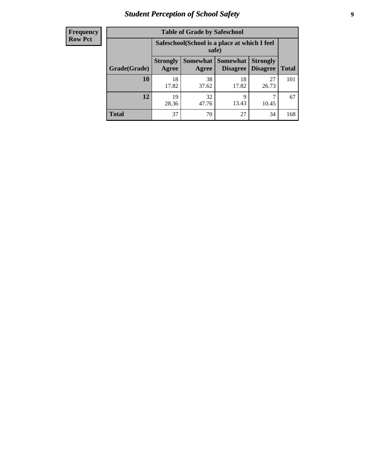# *Student Perception of School Safety* **9**

| <b>Frequency</b><br>Row Pct |
|-----------------------------|
|                             |

| <b>Table of Grade by Safeschool</b> |                                                                                                                                    |                                                        |             |             |     |  |  |
|-------------------------------------|------------------------------------------------------------------------------------------------------------------------------------|--------------------------------------------------------|-------------|-------------|-----|--|--|
|                                     |                                                                                                                                    | Safeschool (School is a place at which I feel<br>safe) |             |             |     |  |  |
| Grade(Grade)                        | Somewhat<br><b>Somewhat</b><br><b>Strongly</b><br><b>Strongly</b><br><b>Disagree</b><br>Agree<br><b>Total</b><br>Disagree<br>Agree |                                                        |             |             |     |  |  |
| 10                                  | 18<br>17.82                                                                                                                        | 38<br>37.62                                            | 18<br>17.82 | 27<br>26.73 | 101 |  |  |
| 12                                  | 19<br>28.36                                                                                                                        | 32<br>47.76                                            | 9<br>13.43  | 10.45       | 67  |  |  |
| <b>Total</b>                        | 37                                                                                                                                 | 70                                                     | 27          | 34          | 168 |  |  |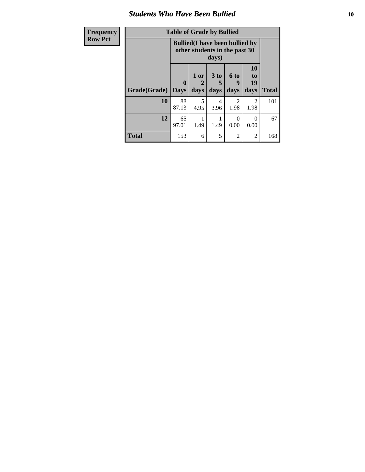#### *Students Who Have Been Bullied* **10**

| Frequency      |  |
|----------------|--|
| <b>Row Pct</b> |  |

# **Table of Grade by Bullied**

| Ψy | Table of Graue by Bullicu |                                 |                                                                                  |                   |                   |                        |              |  |
|----|---------------------------|---------------------------------|----------------------------------------------------------------------------------|-------------------|-------------------|------------------------|--------------|--|
|    |                           |                                 | <b>Bullied</b> (I have been bullied by<br>other students in the past 30<br>days) |                   |                   |                        |              |  |
|    | Grade(Grade)              | $\boldsymbol{0}$<br><b>Days</b> | 1 or<br>2<br>days                                                                | 3 to<br>5<br>days | 6 to<br>9<br>days | 10<br>to<br>19<br>days | <b>Total</b> |  |
|    | 10                        | 88<br>87.13                     | 5<br>4.95                                                                        | 4<br>3.96         | 2<br>1.98         | 2<br>1.98              | 101          |  |
|    | 12                        | 65<br>97.01                     | 1.49                                                                             | 1.49              | 0.00              | 0<br>0.00              | 67           |  |
|    | <b>Total</b>              | 153                             | 6                                                                                | 5                 | $\overline{2}$    | 2                      | 168          |  |

٦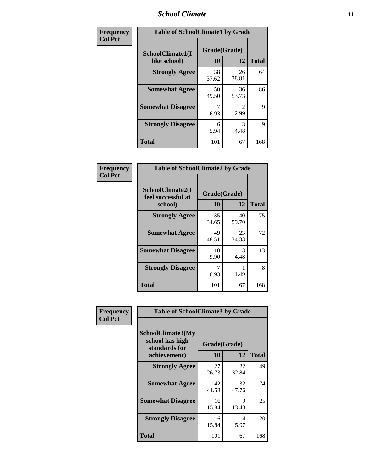#### *School Climate* **11**

| Frequency      | <b>Table of SchoolClimate1 by Grade</b> |                    |             |              |  |  |  |
|----------------|-----------------------------------------|--------------------|-------------|--------------|--|--|--|
| <b>Col Pct</b> | SchoolClimate1(I<br>like school)        | Grade(Grade)<br>10 | 12          | <b>Total</b> |  |  |  |
|                | <b>Strongly Agree</b>                   | 38<br>37.62        | 26<br>38.81 | 64           |  |  |  |
|                | <b>Somewhat Agree</b>                   | 50<br>49.50        | 36<br>53.73 | 86           |  |  |  |
|                | <b>Somewhat Disagree</b>                | 6.93               | 2.99        | 9            |  |  |  |
|                | <b>Strongly Disagree</b>                | 6<br>5.94          | 3<br>4.48   | 9            |  |  |  |
|                | <b>Total</b>                            | 101                | 67          | 168          |  |  |  |

| Frequency      | <b>Table of SchoolClimate2 by Grade</b>           |                    |             |              |
|----------------|---------------------------------------------------|--------------------|-------------|--------------|
| <b>Col Pct</b> | SchoolClimate2(I<br>feel successful at<br>school) | Grade(Grade)<br>10 | 12          | <b>Total</b> |
|                | <b>Strongly Agree</b>                             | 35<br>34.65        | 40<br>59.70 | 75           |
|                | <b>Somewhat Agree</b>                             | 49<br>48.51        | 23<br>34.33 | 72           |
|                | <b>Somewhat Disagree</b>                          | 10<br>9.90         | 3<br>4.48   | 13           |
|                | <b>Strongly Disagree</b>                          | 7<br>6.93          | 1.49        | 8            |
|                | <b>Total</b>                                      | 101                | 67          | 168          |

|                             | <b>Table of SchoolClimate3 by Grade</b>                      |              |             |              |
|-----------------------------|--------------------------------------------------------------|--------------|-------------|--------------|
| Frequency<br><b>Col Pct</b> |                                                              |              |             |              |
|                             | <b>SchoolClimate3(My</b><br>school has high<br>standards for | Grade(Grade) |             |              |
|                             | achievement)                                                 | <b>10</b>    | 12          | <b>Total</b> |
|                             | <b>Strongly Agree</b>                                        | 27<br>26.73  | 22<br>32.84 | 49           |
|                             | <b>Somewhat Agree</b>                                        | 42<br>41.58  | 32<br>47.76 | 74           |
|                             | <b>Somewhat Disagree</b>                                     | 16<br>15.84  | 9<br>13.43  | 25           |
|                             | <b>Strongly Disagree</b>                                     | 16<br>15.84  | 4<br>5.97   | 20           |
|                             | Total                                                        | 101          | 67          | 168          |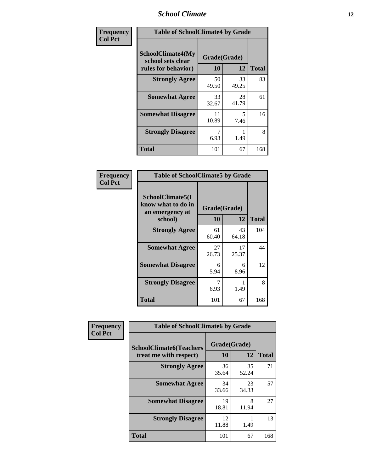#### *School Climate* **12**

| Frequency      | <b>Table of SchoolClimate4 by Grade</b>                              |                    |             |              |
|----------------|----------------------------------------------------------------------|--------------------|-------------|--------------|
| <b>Col Pct</b> | <b>SchoolClimate4(My</b><br>school sets clear<br>rules for behavior) | Grade(Grade)<br>10 | 12          | <b>Total</b> |
|                | <b>Strongly Agree</b>                                                | 50<br>49.50        | 33<br>49.25 | 83           |
|                | <b>Somewhat Agree</b>                                                | 33<br>32.67        | 28<br>41.79 | 61           |
|                | <b>Somewhat Disagree</b>                                             | 11<br>10.89        | 5<br>7.46   | 16           |
|                | <b>Strongly Disagree</b>                                             | 7<br>6.93          | 1.49        | 8            |
|                | <b>Total</b>                                                         | 101                | 67          | 168          |

| <b>Table of SchoolClimate5 by Grade</b>                              |                    |             |              |  |  |
|----------------------------------------------------------------------|--------------------|-------------|--------------|--|--|
| SchoolClimate5(I<br>know what to do in<br>an emergency at<br>school) | Grade(Grade)<br>10 | 12          | <b>Total</b> |  |  |
| <b>Strongly Agree</b>                                                | 61<br>60.40        | 43<br>64.18 | 104          |  |  |
| <b>Somewhat Agree</b>                                                | 27<br>26.73        | 17<br>25.37 | 44           |  |  |
| <b>Somewhat Disagree</b>                                             | 6<br>5.94          | 6<br>8.96   | 12           |  |  |
| <b>Strongly Disagree</b>                                             | 6.93               | 1.49        | 8            |  |  |
| Total                                                                | 101                | 67          | 168          |  |  |

| Frequency      | <b>Table of SchoolClimate6 by Grade</b>                  |                    |             |              |  |
|----------------|----------------------------------------------------------|--------------------|-------------|--------------|--|
| <b>Col Pct</b> | <b>SchoolClimate6(Teachers</b><br>treat me with respect) | Grade(Grade)<br>10 | 12          | <b>Total</b> |  |
|                | <b>Strongly Agree</b>                                    | 36<br>35.64        | 35<br>52.24 | 71           |  |
|                | <b>Somewhat Agree</b>                                    | 34<br>33.66        | 23<br>34.33 | 57           |  |
|                | <b>Somewhat Disagree</b>                                 | 19<br>18.81        | 8<br>11.94  | 27           |  |
|                | <b>Strongly Disagree</b>                                 | 12<br>11.88        | 1.49        | 13           |  |
|                | <b>Total</b>                                             | 101                | 67          | 168          |  |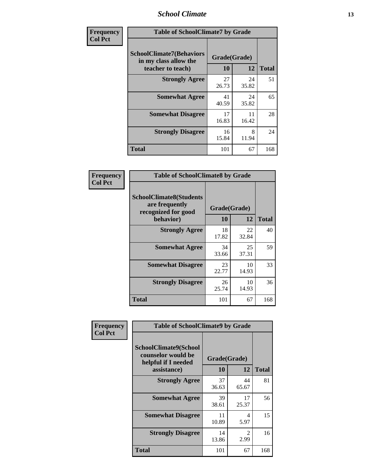#### *School Climate* **13**

| Frequency      | <b>Table of SchoolClimate7 by Grade</b>                                       |                    |             |              |
|----------------|-------------------------------------------------------------------------------|--------------------|-------------|--------------|
| <b>Col Pct</b> | <b>SchoolClimate7(Behaviors</b><br>in my class allow the<br>teacher to teach) | Grade(Grade)<br>10 | 12          | <b>Total</b> |
|                | <b>Strongly Agree</b>                                                         | 27<br>26.73        | 24<br>35.82 | 51           |
|                | <b>Somewhat Agree</b>                                                         | 41<br>40.59        | 24<br>35.82 | 65           |
|                | <b>Somewhat Disagree</b>                                                      | 17<br>16.83        | 11<br>16.42 | 28           |
|                | <b>Strongly Disagree</b>                                                      | 16<br>15.84        | 8<br>11.94  | 24           |
|                | <b>Total</b>                                                                  | 101                | 67          | 168          |

| Frequency      | <b>Table of SchoolClimate8 by Grade</b>                                              |                    |             |              |
|----------------|--------------------------------------------------------------------------------------|--------------------|-------------|--------------|
| <b>Col Pct</b> | <b>SchoolClimate8(Students</b><br>are frequently<br>recognized for good<br>behavior) | Grade(Grade)<br>10 | 12          | <b>Total</b> |
|                | <b>Strongly Agree</b>                                                                | 18<br>17.82        | 22<br>32.84 | 40           |
|                | <b>Somewhat Agree</b>                                                                | 34<br>33.66        | 25<br>37.31 | 59           |
|                | <b>Somewhat Disagree</b>                                                             | 23<br>22.77        | 10<br>14.93 | 33           |
|                | <b>Strongly Disagree</b>                                                             | 26<br>25.74        | 10<br>14.93 | 36           |
|                | <b>Total</b>                                                                         | 101                | 67          | 168          |

| <b>Frequency</b> | <b>Table of SchoolClimate9 by Grade</b>                                           |                    |                        |              |
|------------------|-----------------------------------------------------------------------------------|--------------------|------------------------|--------------|
| <b>Col Pct</b>   | SchoolClimate9(School<br>counselor would be<br>helpful if I needed<br>assistance) | Grade(Grade)<br>10 | 12                     | <b>Total</b> |
|                  | <b>Strongly Agree</b>                                                             | 37<br>36.63        | 44<br>65.67            | 81           |
|                  | <b>Somewhat Agree</b>                                                             | 39<br>38.61        | 17<br>25.37            | 56           |
|                  | <b>Somewhat Disagree</b>                                                          | 11<br>10.89        | 4<br>5.97              | 15           |
|                  | <b>Strongly Disagree</b>                                                          | 14<br>13.86        | $\mathfrak{D}$<br>2.99 | 16           |
|                  | Total                                                                             | 101                | 67                     | 168          |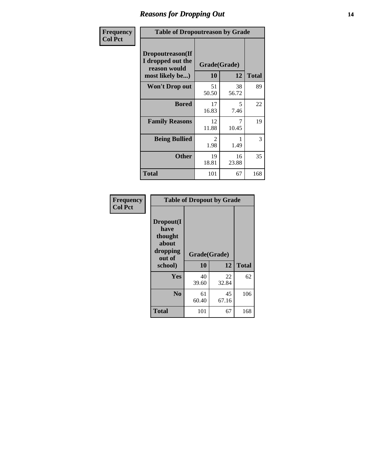#### *Reasons for Dropping Out* **14**

| Frequency      | <b>Table of Dropoutreason by Grade</b>                                   |             |                    |              |
|----------------|--------------------------------------------------------------------------|-------------|--------------------|--------------|
| <b>Col Pct</b> | Dropoutreason(If<br>I dropped out the<br>reason would<br>most likely be) | 10          | Grade(Grade)<br>12 | <b>Total</b> |
|                | <b>Won't Drop out</b>                                                    | 51<br>50.50 | 38<br>56.72        | 89           |
|                | <b>Bored</b>                                                             | 17<br>16.83 | 5<br>7.46          | 22           |
|                | <b>Family Reasons</b>                                                    | 12<br>11.88 | 7<br>10.45         | 19           |
|                | <b>Being Bullied</b>                                                     | 2<br>1.98   | 1<br>1.49          | 3            |
|                | <b>Other</b>                                                             | 19<br>18.81 | 16<br>23.88        | 35           |
|                | <b>Total</b>                                                             | 101         | 67                 | 168          |

| Frequency<br><b>Col Pct</b> | <b>Table of Dropout by Grade</b>                                       |                    |             |              |  |
|-----------------------------|------------------------------------------------------------------------|--------------------|-------------|--------------|--|
|                             | Dropout(I<br>have<br>thought<br>about<br>dropping<br>out of<br>school) | Grade(Grade)<br>10 | 12          | <b>Total</b> |  |
|                             |                                                                        |                    |             |              |  |
|                             | Yes                                                                    | 40<br>39.60        | 22<br>32.84 | 62           |  |
|                             | N <sub>0</sub>                                                         | 61<br>60.40        | 45<br>67.16 | 106          |  |
|                             | <b>Total</b>                                                           | 101                | 67          | 168          |  |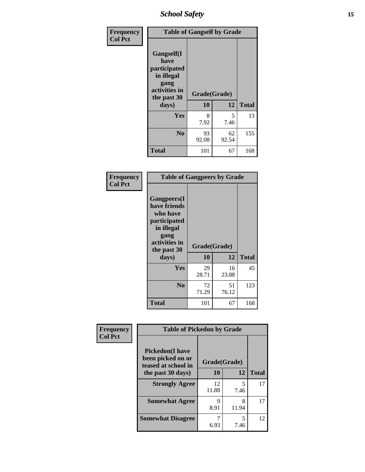*School Safety* **15**

| Frequency      | <b>Table of Gangself by Grade</b>                                                                 |                    |             |              |
|----------------|---------------------------------------------------------------------------------------------------|--------------------|-------------|--------------|
| <b>Col Pct</b> | Gangself(I<br>have<br>participated<br>in illegal<br>gang<br>activities in<br>the past 30<br>days) | Grade(Grade)<br>10 | 12          | <b>Total</b> |
|                | Yes                                                                                               | 8<br>7.92          | 5<br>7.46   | 13           |
|                | N <sub>0</sub>                                                                                    | 93<br>92.08        | 62<br>92.54 | 155          |
|                | <b>Total</b>                                                                                      | 101                | 67          | 168          |

| Frequency<br><b>Col Pct</b> | <b>Table of Gangpeers by Grade</b>                                                                                             |                    |             |              |
|-----------------------------|--------------------------------------------------------------------------------------------------------------------------------|--------------------|-------------|--------------|
|                             | <b>Gangpeers</b> (I<br>have friends<br>who have<br>participated<br>in illegal<br>gang<br>activities in<br>the past 30<br>days) | Grade(Grade)<br>10 | 12          | <b>Total</b> |
|                             | Yes                                                                                                                            | 29<br>28.71        | 16<br>23.88 | 45           |
|                             | N <sub>0</sub>                                                                                                                 | 72<br>71.29        | 51<br>76.12 | 123          |
|                             | <b>Total</b>                                                                                                                   | 101                | 67          | 168          |

| Frequency      | <b>Table of Pickedon by Grade</b>                                  |              |            |              |  |  |  |  |  |
|----------------|--------------------------------------------------------------------|--------------|------------|--------------|--|--|--|--|--|
| <b>Col Pct</b> | <b>Pickedon(I have</b><br>been picked on or<br>teased at school in | Grade(Grade) |            |              |  |  |  |  |  |
|                | the past 30 days)                                                  | 10           | 12         | <b>Total</b> |  |  |  |  |  |
|                | <b>Strongly Agree</b>                                              | 12<br>11.88  | 5<br>7.46  | 17           |  |  |  |  |  |
|                | <b>Somewhat Agree</b>                                              | Q<br>8.91    | 8<br>11.94 | 17           |  |  |  |  |  |
|                | <b>Somewhat Disagree</b>                                           | 6.93         | 5<br>7.46  | 12           |  |  |  |  |  |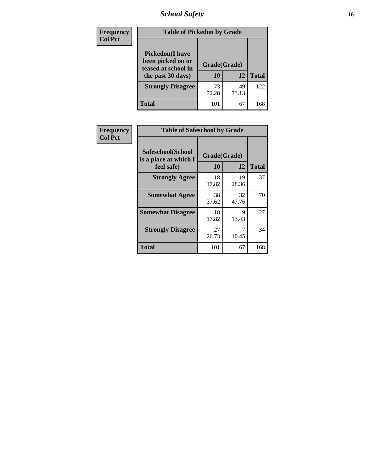*School Safety* **16**

| <b>Frequency</b> | <b>Table of Pickedon by Grade</b>                                                        |                    |             |              |
|------------------|------------------------------------------------------------------------------------------|--------------------|-------------|--------------|
| <b>Col Pct</b>   | <b>Pickedon</b> (I have<br>been picked on or<br>teased at school in<br>the past 30 days) | Grade(Grade)<br>10 | 12          | <b>Total</b> |
|                  | <b>Strongly Disagree</b>                                                                 | 73<br>72.28        | 49<br>73.13 | 122          |
|                  | Total                                                                                    | 101                | 67          | 168          |

| Frequency      | <b>Table of Safeschool by Grade</b>                      |                    |             |              |
|----------------|----------------------------------------------------------|--------------------|-------------|--------------|
| <b>Col Pct</b> | Safeschool(School<br>is a place at which I<br>feel safe) | Grade(Grade)<br>10 | 12          | <b>Total</b> |
|                | <b>Strongly Agree</b>                                    | 18<br>17.82        | 19<br>28.36 | 37           |
|                | <b>Somewhat Agree</b>                                    | 38<br>37.62        | 32<br>47.76 | 70           |
|                | <b>Somewhat Disagree</b>                                 | 18<br>17.82        | 9<br>13.43  | 27           |
|                | <b>Strongly Disagree</b>                                 | 27<br>26.73        | 7<br>10.45  | 34           |
|                | <b>Total</b>                                             | 101                | 67          | 168          |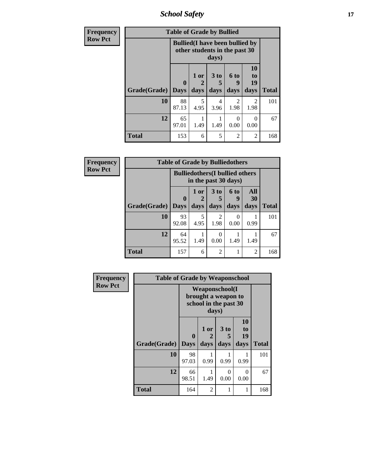*School Safety* **17**

| <b>Frequency</b> |              | <b>Table of Grade by Bullied</b> |                                                                         |                     |                        |                        |              |  |  |  |
|------------------|--------------|----------------------------------|-------------------------------------------------------------------------|---------------------|------------------------|------------------------|--------------|--|--|--|
| <b>Row Pct</b>   |              |                                  | <b>Bullied</b> (I have been bullied by<br>other students in the past 30 | days)               |                        |                        |              |  |  |  |
|                  | Grade(Grade) | $\mathbf{0}$<br><b>Days</b>      | 1 or<br>2<br>days                                                       | $3$ to<br>5<br>days | 6 to<br>9<br>days      | 10<br>to<br>19<br>days | <b>Total</b> |  |  |  |
|                  | 10           | 88<br>87.13                      | 5<br>4.95                                                               | 4<br>3.96           | $\overline{2}$<br>1.98 | $\mathfrak{D}$<br>1.98 | 101          |  |  |  |
|                  | 12           | 65<br>97.01                      | 1.49                                                                    | 1.49                | 0<br>0.00              | 0<br>0.00              | 67           |  |  |  |
|                  | <b>Total</b> | 153                              | 6                                                                       | 5                   | $\overline{2}$         | 2                      | 168          |  |  |  |

| Frequency      | <b>Table of Grade by Bulliedothers</b> |                            |              |                                                                |                   |                          |              |  |  |
|----------------|----------------------------------------|----------------------------|--------------|----------------------------------------------------------------|-------------------|--------------------------|--------------|--|--|
| <b>Row Pct</b> |                                        |                            |              | <b>Bulliedothers</b> (I bullied others<br>in the past 30 days) |                   |                          |              |  |  |
|                | <b>Grade(Grade)</b>                    | $\mathbf 0$<br><b>Days</b> | 1 or<br>days | 3 <sub>to</sub><br>5<br>days                                   | 6 to<br>9<br>days | <b>All</b><br>30<br>days | <b>Total</b> |  |  |
|                | 10                                     | 93<br>92.08                | 5<br>4.95    | 2<br>1.98                                                      | 0<br>0.00         | 0.99                     | 101          |  |  |
|                | 12                                     | 64<br>95.52                | 1.49         | 0.00                                                           | 1.49              | 1.49                     | 67           |  |  |
|                | <b>Total</b>                           | 157                        | 6            | 2                                                              |                   | 2                        | 168          |  |  |

| Frequency      | <b>Table of Grade by Weaponschool</b> |                             |              |                                                                        |                        |              |  |  |  |
|----------------|---------------------------------------|-----------------------------|--------------|------------------------------------------------------------------------|------------------------|--------------|--|--|--|
| <b>Row Pct</b> |                                       |                             | days)        | <b>Weaponschool</b> (I<br>brought a weapon to<br>school in the past 30 |                        |              |  |  |  |
|                | Grade(Grade)                          | $\mathbf{0}$<br><b>Days</b> | 1 or<br>days | 3 to<br>5<br>days                                                      | 10<br>to<br>19<br>days | <b>Total</b> |  |  |  |
|                | 10                                    | 98<br>97.03                 | 0.99         | 0.99                                                                   | 0.99                   | 101          |  |  |  |
|                | 12                                    | 66<br>98.51                 | 1.49         | $\theta$<br>0.00                                                       | 0<br>0.00              | 67           |  |  |  |
|                | <b>Total</b>                          | 164                         | 2            | 1                                                                      | 1                      | 168          |  |  |  |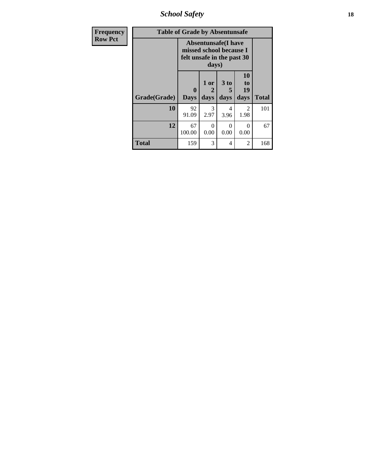*School Safety* **18**

| <b>Frequency</b> | <b>Table of Grade by Absentunsafe</b>                                                        |                             |                   |                              |                        |              |  |  |  |
|------------------|----------------------------------------------------------------------------------------------|-----------------------------|-------------------|------------------------------|------------------------|--------------|--|--|--|
| <b>Row Pct</b>   | <b>Absentunsafe(I have</b><br>missed school because I<br>felt unsafe in the past 30<br>days) |                             |                   |                              |                        |              |  |  |  |
|                  | Grade(Grade)                                                                                 | $\mathbf{0}$<br><b>Days</b> | 1 or<br>2<br>days | 3 <sub>to</sub><br>5<br>days | 10<br>to<br>19<br>days | <b>Total</b> |  |  |  |
|                  | 10                                                                                           | 92<br>91.09                 | 3<br>2.97         | 4<br>3.96                    | 2<br>1.98              | 101          |  |  |  |
|                  | 12                                                                                           | 67<br>100.00                | $\Omega$<br>0.00  | 0<br>0.00                    | $\Omega$<br>0.00       | 67           |  |  |  |
|                  | <b>Total</b>                                                                                 | 159                         | 3                 | 4                            | $\mathfrak{D}$         | 168          |  |  |  |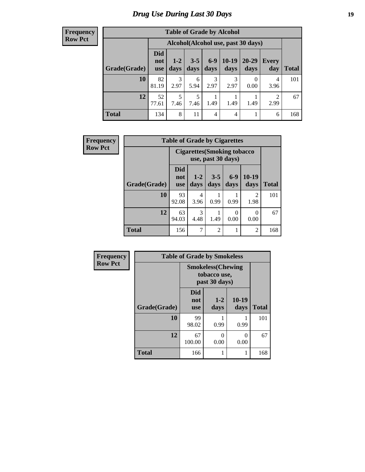# *Drug Use During Last 30 Days* **19**

#### **Frequency Row Pct**

| <b>Table of Grade by Alcohol</b> |                                 |                                    |                 |                |                 |                   |              |       |  |  |
|----------------------------------|---------------------------------|------------------------------------|-----------------|----------------|-----------------|-------------------|--------------|-------|--|--|
|                                  |                                 | Alcohol(Alcohol use, past 30 days) |                 |                |                 |                   |              |       |  |  |
| Grade(Grade)                     | <b>Did</b><br>not<br><b>use</b> | $1-2$<br>days                      | $3 - 5$<br>days | $6-9$<br>days  | $10-19$<br>days | $20 - 29$<br>days | Every<br>day | Total |  |  |
| 10                               | 82<br>81.19                     | 3<br>2.97                          | 6<br>5.94       | 3<br>2.97      | 3<br>2.97       | 0.00              | 4<br>3.96    | 101   |  |  |
| 12                               | 52<br>77.61                     | 5<br>7.46                          | 5<br>7.46       | 1.49           | 1.49            | 1.49              | 2<br>2.99    | 67    |  |  |
| <b>Total</b>                     | 134                             | 8                                  | 11              | $\overline{4}$ | $\overline{4}$  |                   | 6            | 168   |  |  |

| Frequency      | <b>Table of Grade by Cigarettes</b> |                                    |                 |                 |               |                |              |  |
|----------------|-------------------------------------|------------------------------------|-----------------|-----------------|---------------|----------------|--------------|--|
| <b>Row Pct</b> |                                     | <b>Cigarettes (Smoking tobacco</b> |                 |                 |               |                |              |  |
|                | Grade(Grade)                        | <b>Did</b><br>not<br><b>use</b>    | $1 - 2$<br>days | $3 - 5$<br>days | $6-9$<br>days | 10-19<br>days  | <b>Total</b> |  |
|                | 10                                  | 93<br>92.08                        | 4<br>3.96       | 0.99            | 0.99          | 2<br>1.98      | 101          |  |
|                | 12                                  | 63<br>94.03                        | 3<br>4.48       | 1.49            | 0<br>0.00     | 0<br>0.00      | 67           |  |
|                | <b>Total</b>                        | 156                                | $\overline{7}$  | $\overline{2}$  |               | $\overline{2}$ | 168          |  |

| Frequency      | <b>Table of Grade by Smokeless</b> |                                                           |                 |                 |              |  |  |  |  |  |
|----------------|------------------------------------|-----------------------------------------------------------|-----------------|-----------------|--------------|--|--|--|--|--|
| <b>Row Pct</b> |                                    | <b>Smokeless(Chewing</b><br>tobacco use,<br>past 30 days) |                 |                 |              |  |  |  |  |  |
|                | Grade(Grade)                       | <b>Did</b><br>not<br><b>use</b>                           | $1 - 2$<br>days | $10-19$<br>days | <b>Total</b> |  |  |  |  |  |
|                | 10                                 | 99<br>98.02                                               | 0.99            | 0.99            | 101          |  |  |  |  |  |
|                | 12                                 | 67<br>100.00                                              | 0<br>0.00       | 0<br>0.00       | 67           |  |  |  |  |  |
|                | <b>Total</b>                       | 166                                                       |                 |                 | 168          |  |  |  |  |  |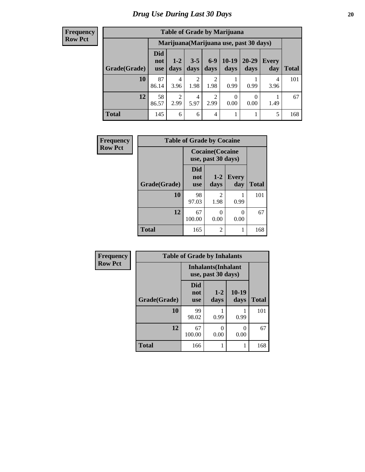#### **Frequency Row Pct**

| <b>Table of Grade by Marijuana</b> |                          |                                         |                        |                        |                  |               |              |              |  |  |
|------------------------------------|--------------------------|-----------------------------------------|------------------------|------------------------|------------------|---------------|--------------|--------------|--|--|
|                                    |                          | Marijuana (Marijuana use, past 30 days) |                        |                        |                  |               |              |              |  |  |
| Grade(Grade)                       | Did<br>not<br><b>use</b> | $1 - 2$<br>days                         | $3 - 5$<br>days        | $6 - 9$<br>days        | $10-19$<br>days  | 20-29<br>days | Every<br>day | <b>Total</b> |  |  |
| 10                                 | 87<br>86.14              | $\overline{4}$<br>3.96                  | $\overline{2}$<br>1.98 | $\overline{c}$<br>1.98 | 0.99             | 0.99          | 4<br>3.96    | 101          |  |  |
| 12                                 | 58<br>86.57              | $\overline{2}$<br>2.99                  | 4<br>5.97              | $\overline{c}$<br>2.99 | $\theta$<br>0.00 | 0<br>0.00     | 1.49         | 67           |  |  |
| <b>Total</b>                       | 145                      | 6                                       | 6                      | 4                      |                  |               | 5            | 168          |  |  |

| Frequency      | <b>Table of Grade by Cocaine</b> |                                 |                                               |                     |              |
|----------------|----------------------------------|---------------------------------|-----------------------------------------------|---------------------|--------------|
| <b>Row Pct</b> |                                  |                                 | <b>Cocaine</b> (Cocaine<br>use, past 30 days) |                     |              |
|                | Grade(Grade)                     | <b>Did</b><br>not<br><b>use</b> | $1-2$<br>days                                 | <b>Every</b><br>day | <b>Total</b> |
|                | 10                               | 98<br>97.03                     | 2<br>1.98                                     | 0.99                | 101          |
|                | 12                               | 67<br>100.00                    | 0<br>0.00                                     | 0<br>0.00           | 67           |
|                | <b>Total</b>                     | 165                             | 2                                             | 1                   | 168          |

| Frequency      | <b>Table of Grade by Inhalants</b> |                                                  |                 |                 |              |
|----------------|------------------------------------|--------------------------------------------------|-----------------|-----------------|--------------|
| <b>Row Pct</b> |                                    | <b>Inhalants</b> (Inhalant<br>use, past 30 days) |                 |                 |              |
|                | Grade(Grade)                       | <b>Did</b><br>not<br><b>use</b>                  | $1 - 2$<br>days | $10-19$<br>days | <b>Total</b> |
|                | 10                                 | 99<br>98.02                                      | 0.99            | 0.99            | 101          |
|                | 12                                 | 67<br>100.00                                     | 0<br>0.00       | 0<br>0.00       | 67           |
|                | <b>Total</b>                       | 166                                              | 1               | 1               | 168          |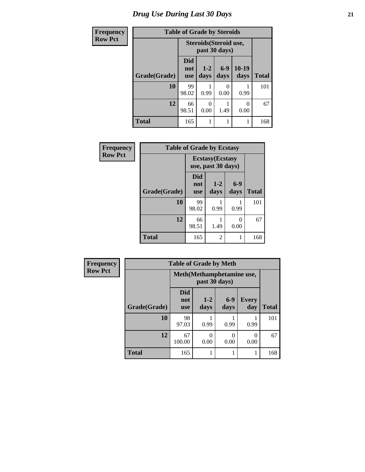# *Drug Use During Last 30 Days* **21**

| Frequency      | <b>Table of Grade by Steroids</b> |                          |                                                |                  |                 |              |  |
|----------------|-----------------------------------|--------------------------|------------------------------------------------|------------------|-----------------|--------------|--|
| <b>Row Pct</b> |                                   |                          | <b>Steroids</b> (Steroid use,<br>past 30 days) |                  |                 |              |  |
|                | Grade(Grade)                      | Did<br>not<br><b>use</b> | $1 - 2$<br>days                                | $6 - 9$<br>days  | $10-19$<br>days | <b>Total</b> |  |
|                | 10                                | 99<br>98.02              | 0.99                                           | $\Omega$<br>0.00 | 0.99            | 101          |  |
|                | 12                                | 66<br>98.51              | 0<br>0.00                                      | 1.49             | 0<br>0.00       | 67           |  |
|                | <b>Total</b>                      | 165                      | 1                                              |                  |                 | 168          |  |

| Frequency      | <b>Table of Grade by Ecstasy</b> |                                 |                                               |               |              |
|----------------|----------------------------------|---------------------------------|-----------------------------------------------|---------------|--------------|
| <b>Row Pct</b> |                                  |                                 | <b>Ecstasy</b> (Ecstasy<br>use, past 30 days) |               |              |
|                | Grade(Grade)                     | <b>Did</b><br>not<br><b>use</b> | $1 - 2$<br>days                               | $6-9$<br>days | <b>Total</b> |
|                | 10                               | 99<br>98.02                     | 0.99                                          | 0.99          | 101          |
|                | 12                               | 66<br>98.51                     | 1.49                                          | 0.00          | 67           |
|                | <b>Total</b>                     | 165                             | 2                                             |               | 168          |

| Frequency      | <b>Table of Grade by Meth</b> |                                 |               |               |                     |              |
|----------------|-------------------------------|---------------------------------|---------------|---------------|---------------------|--------------|
| <b>Row Pct</b> |                               | Meth(Methamphetamine use,       |               |               |                     |              |
|                | Grade(Grade)                  | <b>Did</b><br>not<br><b>use</b> | $1-2$<br>days | $6-9$<br>days | <b>Every</b><br>day | <b>Total</b> |
|                | 10                            | 98<br>97.03                     | 0.99          | 0.99          | 0.99                | 101          |
|                | 12                            | 67<br>100.00                    | 0<br>0.00     | 0<br>0.00     | 0.00                | 67           |
|                | <b>Total</b>                  | 165                             |               |               |                     | 168          |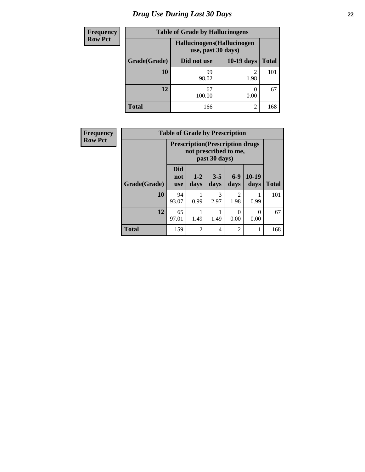# *Drug Use During Last 30 Days* **22**

| <b>Frequency</b> | <b>Table of Grade by Hallucinogens</b> |                                                   |                   |              |  |  |
|------------------|----------------------------------------|---------------------------------------------------|-------------------|--------------|--|--|
| <b>Row Pct</b>   |                                        | Hallucinogens (Hallucinogen<br>use, past 30 days) |                   |              |  |  |
|                  | Grade(Grade)                           | Did not use                                       | <b>10-19 days</b> | <b>Total</b> |  |  |
|                  | <b>10</b>                              | 99<br>98.02                                       | 1.98              | 101          |  |  |
|                  | 12                                     | 67<br>100.00                                      | 0.00              | 67           |  |  |
|                  | <b>Total</b>                           | 166                                               | $\mathfrak{D}$    | 168          |  |  |

| <b>Frequency</b> | <b>Table of Grade by Prescription</b> |                                                                                    |                 |                 |                        |                  |              |
|------------------|---------------------------------------|------------------------------------------------------------------------------------|-----------------|-----------------|------------------------|------------------|--------------|
| <b>Row Pct</b>   |                                       | <b>Prescription</b> (Prescription drugs)<br>not prescribed to me,<br>past 30 days) |                 |                 |                        |                  |              |
|                  | Grade(Grade)                          | <b>Did</b><br>not<br><b>use</b>                                                    | $1 - 2$<br>days | $3 - 5$<br>days | $6-9$<br>days          | $10-19$<br>days  | <b>Total</b> |
|                  | 10                                    | 94<br>93.07                                                                        | 0.99            | 3<br>2.97       | $\overline{c}$<br>1.98 | 0.99             | 101          |
|                  | 12                                    | 65<br>97.01                                                                        | 1.49            | 1.49            | $\Omega$<br>0.00       | $\Omega$<br>0.00 | 67           |
|                  | <b>Total</b>                          | 159                                                                                | $\overline{2}$  | 4               | $\overline{2}$         |                  | 168          |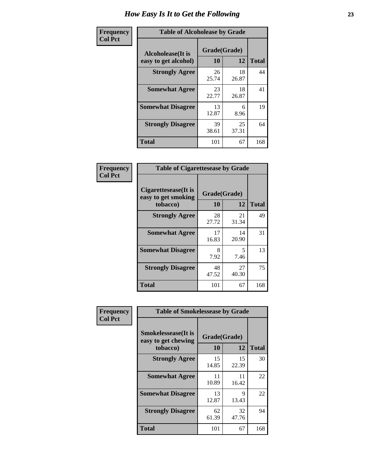| Frequency      | <b>Table of Alcoholease by Grade</b>              |                    |             |              |  |
|----------------|---------------------------------------------------|--------------------|-------------|--------------|--|
| <b>Col Pct</b> | <b>Alcoholease</b> (It is<br>easy to get alcohol) | Grade(Grade)<br>10 | 12          | <b>Total</b> |  |
|                | <b>Strongly Agree</b>                             | 26<br>25.74        | 18<br>26.87 | 44           |  |
|                | <b>Somewhat Agree</b>                             | 23<br>22.77        | 18<br>26.87 | 41           |  |
|                | <b>Somewhat Disagree</b>                          | 13<br>12.87        | 6<br>8.96   | 19           |  |
|                | <b>Strongly Disagree</b>                          | 39<br>38.61        | 25<br>37.31 | 64           |  |
|                | <b>Total</b>                                      | 101                | 67          | 168          |  |

| Frequency      | <b>Table of Cigarettesease by Grade</b>                  |                    |                                  |              |  |
|----------------|----------------------------------------------------------|--------------------|----------------------------------|--------------|--|
| <b>Col Pct</b> | Cigarettesease (It is<br>easy to get smoking<br>tobacco) | Grade(Grade)<br>10 | 12                               | <b>Total</b> |  |
|                | <b>Strongly Agree</b>                                    | 28<br>27.72        | 21<br>31.34                      | 49           |  |
|                | <b>Somewhat Agree</b>                                    | 17<br>16.83        | 14<br>20.90                      | 31           |  |
|                | <b>Somewhat Disagree</b>                                 | 8<br>7.92          | $\overline{\phantom{0}}$<br>7.46 | 13           |  |
|                | <b>Strongly Disagree</b>                                 | 48<br>47.52        | 27<br>40.30                      | 75           |  |
|                | <b>Total</b>                                             | 101                | 67                               | 168          |  |

| Frequency      | <b>Table of Smokelessease by Grade</b>                         |                    |             |              |
|----------------|----------------------------------------------------------------|--------------------|-------------|--------------|
| <b>Col Pct</b> | <b>Smokelessease</b> (It is<br>easy to get chewing<br>tobacco) | Grade(Grade)<br>10 | 12          | <b>Total</b> |
|                | <b>Strongly Agree</b>                                          | 15<br>14.85        | 15<br>22.39 | 30           |
|                | <b>Somewhat Agree</b>                                          | 11<br>10.89        | 11<br>16.42 | 22           |
|                | <b>Somewhat Disagree</b>                                       | 13<br>12.87        | 9<br>13.43  | 22           |
|                | <b>Strongly Disagree</b>                                       | 62<br>61.39        | 32<br>47.76 | 94           |
|                | <b>Total</b>                                                   | 101                | 67          | 168          |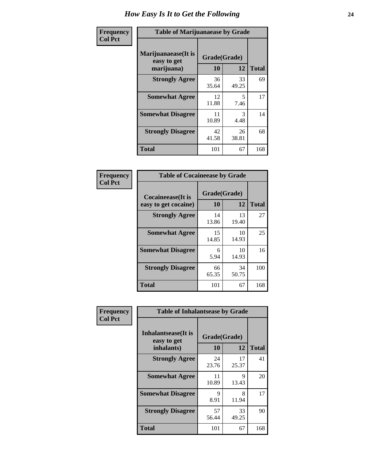| Frequency      | <b>Table of Marijuanaease by Grade</b>            |                           |             |              |  |
|----------------|---------------------------------------------------|---------------------------|-------------|--------------|--|
| <b>Col Pct</b> | Marijuanaease (It is<br>easy to get<br>marijuana) | Grade(Grade)<br><b>10</b> | 12          | <b>Total</b> |  |
|                | <b>Strongly Agree</b>                             | 36<br>35.64               | 33<br>49.25 | 69           |  |
|                | <b>Somewhat Agree</b>                             | 12<br>11.88               | 5<br>7.46   | 17           |  |
|                | <b>Somewhat Disagree</b>                          | 11<br>10.89               | 3<br>4.48   | 14           |  |
|                | <b>Strongly Disagree</b>                          | 42<br>41.58               | 26<br>38.81 | 68           |  |
|                | <b>Total</b>                                      | 101                       | 67          | 168          |  |

| <b>Table of Cocaineease by Grade</b>              |                    |              |     |  |  |  |
|---------------------------------------------------|--------------------|--------------|-----|--|--|--|
| <b>Cocaineease</b> (It is<br>easy to get cocaine) | Grade(Grade)<br>10 | <b>Total</b> |     |  |  |  |
| <b>Strongly Agree</b>                             | 14<br>13.86        | 13<br>19.40  | 27  |  |  |  |
| <b>Somewhat Agree</b>                             | 15<br>14.85        | 10<br>14.93  | 25  |  |  |  |
| <b>Somewhat Disagree</b>                          | 6<br>5.94          | 10<br>14.93  | 16  |  |  |  |
| <b>Strongly Disagree</b>                          | 66<br>65.35        | 34<br>50.75  | 100 |  |  |  |
| <b>Total</b>                                      | 101                | 67           | 168 |  |  |  |

| Frequency      | <b>Table of Inhalantsease by Grade</b>                   |                          |             |              |
|----------------|----------------------------------------------------------|--------------------------|-------------|--------------|
| <b>Col Pct</b> | <b>Inhalantsease</b> (It is<br>easy to get<br>inhalants) | Grade(Grade)<br>10<br>12 |             | <b>Total</b> |
|                | <b>Strongly Agree</b>                                    | 24<br>23.76              | 17<br>25.37 | 41           |
|                | <b>Somewhat Agree</b>                                    | 11<br>10.89              | 9<br>13.43  | 20           |
|                | <b>Somewhat Disagree</b>                                 | 9<br>8.91                | 8<br>11.94  | 17           |
|                | <b>Strongly Disagree</b>                                 | 57<br>56.44              | 33<br>49.25 | 90           |
|                | <b>Total</b>                                             | 101                      | 67          | 168          |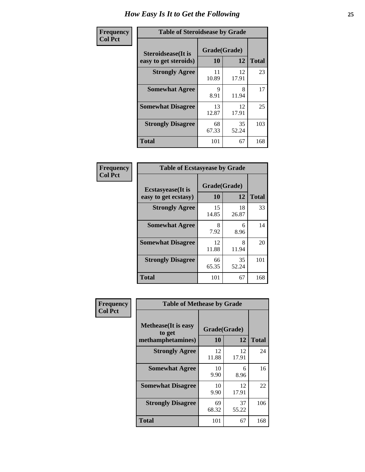| Frequency      | <b>Table of Steroidsease by Grade</b>               |                    |             |              |  |  |  |  |
|----------------|-----------------------------------------------------|--------------------|-------------|--------------|--|--|--|--|
| <b>Col Pct</b> | <b>Steroidsease</b> (It is<br>easy to get steroids) | Grade(Grade)<br>10 | 12          | <b>Total</b> |  |  |  |  |
|                | <b>Strongly Agree</b>                               | 11<br>10.89        | 12<br>17.91 | 23           |  |  |  |  |
|                | <b>Somewhat Agree</b>                               | 9<br>8.91          | 8<br>11.94  | 17           |  |  |  |  |
|                | <b>Somewhat Disagree</b>                            | 13<br>12.87        | 12<br>17.91 | 25           |  |  |  |  |
|                | <b>Strongly Disagree</b>                            | 68<br>67.33        | 35<br>52.24 | 103          |  |  |  |  |
|                | <b>Total</b>                                        | 101                | 67          | 168          |  |  |  |  |

| <b>Frequency</b> | Tal              |
|------------------|------------------|
| <b>Col Pct</b>   |                  |
|                  | <b>Ecstasyes</b> |
|                  | easy to get      |

 $\Gamma$ 

| <b>Table of Ecstasyease by Grade</b>              |             |                    |     |  |  |  |  |
|---------------------------------------------------|-------------|--------------------|-----|--|--|--|--|
| <b>Ecstasyease</b> (It is<br>easy to get ecstasy) | 10          | Grade(Grade)<br>12 |     |  |  |  |  |
| <b>Strongly Agree</b>                             | 15<br>14.85 | 18<br>26.87        | 33  |  |  |  |  |
| <b>Somewhat Agree</b>                             | 8<br>7.92   | 6<br>8.96          | 14  |  |  |  |  |
| <b>Somewhat Disagree</b>                          | 12<br>11.88 | 8<br>11.94         | 20  |  |  |  |  |
| <b>Strongly Disagree</b>                          | 66<br>65.35 | 35<br>52.24        | 101 |  |  |  |  |
| <b>Total</b>                                      | 101         | 67                 | 168 |  |  |  |  |

| Frequency      | <b>Table of Methease by Grade</b>                          |             | Grade(Grade)<br>12<br>12<br>17.91<br>6<br>8.96<br>12<br>17.91<br>37 |              |
|----------------|------------------------------------------------------------|-------------|---------------------------------------------------------------------|--------------|
| <b>Col Pct</b> | <b>Methease</b> (It is easy<br>to get<br>methamphetamines) | 10          |                                                                     | <b>Total</b> |
|                | <b>Strongly Agree</b>                                      | 12<br>11.88 |                                                                     | 24           |
|                | <b>Somewhat Agree</b>                                      | 10<br>9.90  |                                                                     | 16           |
|                | <b>Somewhat Disagree</b>                                   | 10<br>9.90  |                                                                     | 22           |
|                | <b>Strongly Disagree</b>                                   | 69<br>68.32 | 55.22                                                               | 106          |
|                | Total                                                      | 101         | 67                                                                  | 168          |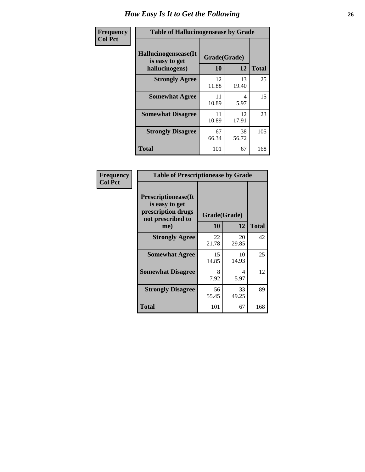| <b>Frequency</b> | <b>Table of Hallucinogensease by Grade</b>               |                    |             |              |  |  |  |  |
|------------------|----------------------------------------------------------|--------------------|-------------|--------------|--|--|--|--|
| <b>Col Pct</b>   | Hallucinogensease(It<br>is easy to get<br>hallucinogens) | Grade(Grade)<br>10 | 12          | <b>Total</b> |  |  |  |  |
|                  | <b>Strongly Agree</b>                                    | 12<br>11.88        | 13<br>19.40 | 25           |  |  |  |  |
|                  | <b>Somewhat Agree</b>                                    | 11<br>10.89        | 4<br>5.97   | 15           |  |  |  |  |
|                  | <b>Somewhat Disagree</b>                                 | 11<br>10.89        | 12<br>17.91 | 23           |  |  |  |  |
|                  | <b>Strongly Disagree</b>                                 | 67<br>66.34        | 38<br>56.72 | 105          |  |  |  |  |
|                  | <b>Total</b>                                             | 101                | 67          | 168          |  |  |  |  |

| Frequency<br>  Col Pct |
|------------------------|

| <b>Table of Prescriptionease by Grade</b>                                                |             |              |              |  |  |  |
|------------------------------------------------------------------------------------------|-------------|--------------|--------------|--|--|--|
| <b>Prescriptionease</b> (It<br>is easy to get<br>prescription drugs<br>not prescribed to |             | Grade(Grade) |              |  |  |  |
| me)                                                                                      | 10          | 12           | <b>Total</b> |  |  |  |
| <b>Strongly Agree</b>                                                                    | 22<br>21.78 | 20<br>29.85  | 42           |  |  |  |
| <b>Somewhat Agree</b>                                                                    | 15<br>14.85 | 10<br>14.93  | 25           |  |  |  |
| <b>Somewhat Disagree</b>                                                                 | 8<br>7.92   | 4<br>5.97    | 12           |  |  |  |
| <b>Strongly Disagree</b>                                                                 | 56<br>55.45 | 33<br>49.25  | 89           |  |  |  |
| Total                                                                                    | 101         | 67           | 168          |  |  |  |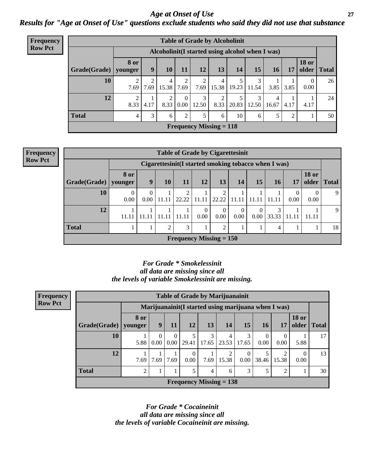#### *Age at Onset of Use* **27** *Results for "Age at Onset of Use" questions exclude students who said they did not use that substance*

| <b>Frequency</b> | <b>Table of Grade by Alcoholinit</b> |                                                  |                |            |                        |                        |                                |       |            |            |      |                       |              |
|------------------|--------------------------------------|--------------------------------------------------|----------------|------------|------------------------|------------------------|--------------------------------|-------|------------|------------|------|-----------------------|--------------|
| <b>Row Pct</b>   |                                      | Alcoholinit (I started using alcohol when I was) |                |            |                        |                        |                                |       |            |            |      |                       |              |
|                  | Grade(Grade)                         | <b>8 or</b><br>younger                           | 9 <sub>1</sub> | <b>10</b>  | 11                     | 12                     | 13                             | 14    | 15         | <b>16</b>  | 17   | <b>18 or</b><br>older | <b>Total</b> |
|                  | 10                                   | ↑<br>7.69                                        | 7.69           | 4<br>15.38 | 2<br>7.69              | $\overline{2}$<br>7.69 | 4<br>15.38                     | 19.23 | 11.54      | 3.85       | 3.85 | $\theta$<br>0.00      | 26           |
|                  | 12                                   | $\overline{2}$<br>8.33                           | 4.17           | 2<br>8.33  | $\overline{0}$<br>0.00 | 3<br>12.50             | ↑<br>8.33                      | 20.83 | 3<br>12.50 | 4<br>16.67 | 4.17 | 4.17                  | 24           |
|                  | <b>Total</b>                         | 4                                                | 3              | 6          | 2                      | 5                      | 6                              | 10    | 6          | 5          | 2    |                       | 50           |
|                  |                                      |                                                  |                |            |                        |                        | <b>Frequency Missing = 118</b> |       |            |            |      |                       |              |

| <b>Frequency</b> |                                                      |           |             |                |       |          | <b>Table of Grade by Cigarettesinit</b> |                  |               |            |       |                       |              |
|------------------|------------------------------------------------------|-----------|-------------|----------------|-------|----------|-----------------------------------------|------------------|---------------|------------|-------|-----------------------|--------------|
| <b>Row Pct</b>   | Cigarettesinit(I started smoking tobacco when I was) |           |             |                |       |          |                                         |                  |               |            |       |                       |              |
|                  | Grade(Grade)   younger                               | 8 or      | 9           | 10             | 11    | 12       | 13                                      | 14               | 15            | 16         | 17    | <b>18 or</b><br>older | <b>Total</b> |
|                  | 10                                                   | 0<br>0.00 | $0.00\vert$ | 11.11          | 22.22 | 11.11    | 22.22                                   | 11.11            | 11.11         | 11.11      | 0.00  | 0.00                  | 9            |
|                  | 12                                                   | 11.11     | 11.11       | 11.11          | 11.11 | $0.00\,$ | $\Omega$<br>0.00                        | $\Omega$<br>0.00 | 0<br>$0.00\,$ | 3<br>33.33 | 11.11 | 11.11                 | 9            |
|                  | <b>Total</b>                                         |           |             | $\overline{2}$ | 3     |          | $\mathcal{D}$                           |                  |               | 4          |       |                       | 18           |
|                  |                                                      |           |             |                |       |          | <b>Frequency Missing = 150</b>          |                  |               |            |       |                       |              |

*For Grade \* Smokelessinit all data are missing since all the levels of variable Smokelessinit are missing.*

| <b>Frequency</b> | <b>Table of Grade by Marijuanainit</b>               |                 |                  |                  |           |            |                           |            |                  |                  |                       |              |
|------------------|------------------------------------------------------|-----------------|------------------|------------------|-----------|------------|---------------------------|------------|------------------|------------------|-----------------------|--------------|
| <b>Row Pct</b>   | Marijuanainit (I started using marijuana when I was) |                 |                  |                  |           |            |                           |            |                  |                  |                       |              |
|                  | Grade(Grade)                                         | 8 or<br>younger | 9                | 11               | 12        | 13         | 14                        | 15         | <b>16</b>        | 17               | <b>18 or</b><br>older | <b>Total</b> |
|                  | 10                                                   | 5.88            | $\Omega$<br>0.00 | $\Omega$<br>0.00 | 29.41     | 3<br>17.65 | 4<br>23.53                | 3<br>17.65 | $\theta$<br>0.00 | $\Omega$<br>0.00 | 5.88                  | 17           |
|                  | 12                                                   | 7.69            | 7.69             | 7.69             | 0<br>0.00 | 7.69       | 15.38                     | 0<br>0.00  | 38.46            | 15.38            | $\Omega$<br>0.00      | 13           |
|                  | <b>Total</b>                                         | ∍               |                  |                  | 5         | 4          | 6                         | 3          |                  | 2                |                       | 30           |
|                  |                                                      |                 |                  |                  |           |            | Frequency Missing $= 138$ |            |                  |                  |                       |              |

*For Grade \* Cocaineinit all data are missing since all the levels of variable Cocaineinit are missing.*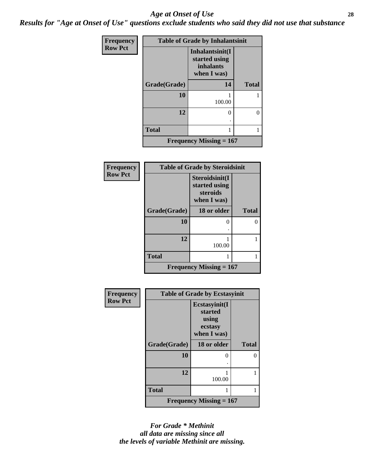#### *Age at Onset of Use* **28**

*Results for "Age at Onset of Use" questions exclude students who said they did not use that substance*

| Frequency      | <b>Table of Grade by Inhalantsinit</b> |                                                                     |              |  |  |  |  |  |  |
|----------------|----------------------------------------|---------------------------------------------------------------------|--------------|--|--|--|--|--|--|
| <b>Row Pct</b> |                                        | Inhalantsinit(I<br>started using<br><i>inhalants</i><br>when I was) |              |  |  |  |  |  |  |
|                | Grade(Grade)                           | 14                                                                  | <b>Total</b> |  |  |  |  |  |  |
|                | 10                                     | 100.00                                                              |              |  |  |  |  |  |  |
|                | 12                                     |                                                                     | 0            |  |  |  |  |  |  |
|                | <b>Total</b>                           |                                                                     | 1            |  |  |  |  |  |  |
|                |                                        | Frequency Missing $= 167$                                           |              |  |  |  |  |  |  |

| <b>Frequency</b> | <b>Table of Grade by Steroidsinit</b> |                                                            |              |  |  |  |  |  |  |
|------------------|---------------------------------------|------------------------------------------------------------|--------------|--|--|--|--|--|--|
| <b>Row Pct</b>   |                                       | Steroidsinit(I<br>started using<br>steroids<br>when I was) |              |  |  |  |  |  |  |
|                  | Grade(Grade)                          | 18 or older                                                | <b>Total</b> |  |  |  |  |  |  |
|                  | 10                                    | 0                                                          | 0            |  |  |  |  |  |  |
|                  | 12                                    | 100.00                                                     |              |  |  |  |  |  |  |
|                  | <b>Total</b>                          |                                                            |              |  |  |  |  |  |  |
|                  |                                       | <b>Frequency Missing = 167</b>                             |              |  |  |  |  |  |  |

| <b>Frequency</b> | <b>Table of Grade by Ecstasyinit</b> |                                                             |              |  |
|------------------|--------------------------------------|-------------------------------------------------------------|--------------|--|
| <b>Row Pct</b>   |                                      | Ecstasyinit(I<br>started<br>using<br>ecstasy<br>when I was) |              |  |
|                  | Grade(Grade)                         | 18 or older                                                 | <b>Total</b> |  |
|                  | 10                                   | 0                                                           |              |  |
|                  |                                      |                                                             |              |  |
|                  | 12                                   | 100.00                                                      |              |  |
|                  | <b>Total</b>                         | 1                                                           |              |  |
|                  |                                      | Frequency Missing $= 167$                                   |              |  |

*For Grade \* Methinit all data are missing since all the levels of variable Methinit are missing.*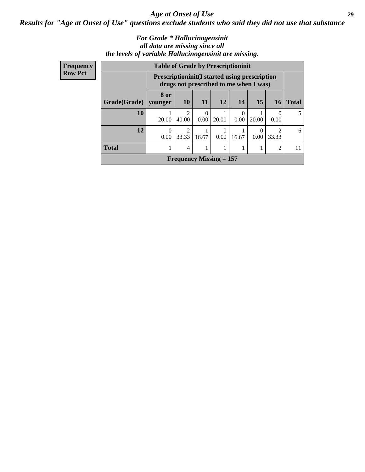*Age at Onset of Use* **29**

*Results for "Age at Onset of Use" questions exclude students who said they did not use that substance*

#### *For Grade \* Hallucinogensinit all data are missing since all the levels of variable Hallucinogensinit are missing.*

| Frequency      | <b>Table of Grade by Prescriptioninit</b> |                  |                                                                                                 |       |                           |                  |           |                 |              |
|----------------|-------------------------------------------|------------------|-------------------------------------------------------------------------------------------------|-------|---------------------------|------------------|-----------|-----------------|--------------|
| <b>Row Pct</b> |                                           |                  | <b>Prescriptioninit (I started using prescription</b><br>drugs not prescribed to me when I was) |       |                           |                  |           |                 |              |
|                | Grade(Grade)   younger                    | 8 or             | <b>10</b>                                                                                       | 11    | <b>12</b>                 | 14               | 15        | 16 <sup>1</sup> | <b>Total</b> |
|                | 10                                        | 20.00            | $\mathfrak{D}$<br>40.00                                                                         | 0.00  | 20.00                     | $\Omega$<br>0.00 | 20.00     | 0.00            | 5            |
|                | 12                                        | $\Omega$<br>0.00 | $\mathfrak{D}$<br>33.33                                                                         | 16.67 | $\Omega$<br>0.00          | 16.67            | 0<br>0.00 | ာ<br>33.33      | 6            |
|                | <b>Total</b>                              |                  | 4                                                                                               |       |                           |                  |           | $\mathfrak{D}$  | 11           |
|                |                                           |                  |                                                                                                 |       | Frequency Missing $= 157$ |                  |           |                 |              |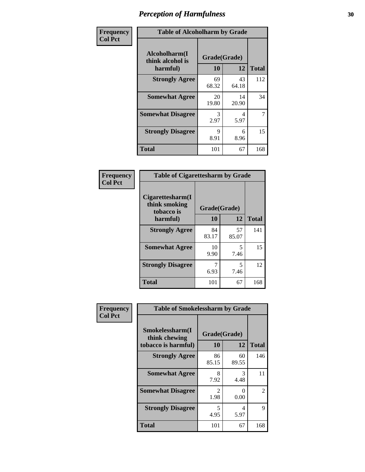| Frequency      | <b>Table of Alcoholharm by Grade</b>          |                    |             |              |
|----------------|-----------------------------------------------|--------------------|-------------|--------------|
| <b>Col Pct</b> | Alcoholharm(I<br>think alcohol is<br>harmful) | Grade(Grade)<br>10 | 12          | <b>Total</b> |
|                | <b>Strongly Agree</b>                         | 69<br>68.32        | 43<br>64.18 | 112          |
|                | <b>Somewhat Agree</b>                         | 20<br>19.80        | 14<br>20.90 | 34           |
|                | <b>Somewhat Disagree</b>                      | 3<br>2.97          | 4<br>5.97   | 7            |
|                | <b>Strongly Disagree</b>                      | 9<br>8.91          | 6<br>8.96   | 15           |
|                | <b>Total</b>                                  | 101                | 67          | 168          |

#### **Frequency Col Pct**

г

| <b>Table of Cigarettesharm by Grade</b>         |              |             |              |  |  |
|-------------------------------------------------|--------------|-------------|--------------|--|--|
| Cigarettesharm(I<br>think smoking<br>tobacco is | Grade(Grade) |             |              |  |  |
| harmful)                                        | 10           | 12          | <b>Total</b> |  |  |
| <b>Strongly Agree</b>                           | 84<br>83.17  | 57<br>85.07 | 141          |  |  |
| <b>Somewhat Agree</b>                           | 10<br>9.90   | 5<br>7.46   | 15           |  |  |
| <b>Strongly Disagree</b>                        | 7<br>6.93    | 5<br>7.46   | 12           |  |  |
| <b>Total</b>                                    | 101          | 67          | 168          |  |  |

| Frequency      | <b>Table of Smokelessharm by Grade</b> |              |                           |              |  |  |
|----------------|----------------------------------------|--------------|---------------------------|--------------|--|--|
| <b>Col Pct</b> | Smokelessharm(I<br>think chewing       | Grade(Grade) |                           |              |  |  |
|                | tobacco is harmful)                    | <b>10</b>    | 12                        | <b>Total</b> |  |  |
|                | <b>Strongly Agree</b>                  | 86<br>85.15  | 60<br>89.55               | 146          |  |  |
|                | <b>Somewhat Agree</b>                  | 8<br>7.92    | 3<br>4.48                 | 11           |  |  |
|                | <b>Somewhat Disagree</b>               | 2<br>1.98    | $\mathbf{\Omega}$<br>0.00 | 2            |  |  |
|                | <b>Strongly Disagree</b>               | 5<br>4.95    | 4<br>5.97                 | 9            |  |  |
|                | <b>Total</b>                           | 101          | 67                        | 168          |  |  |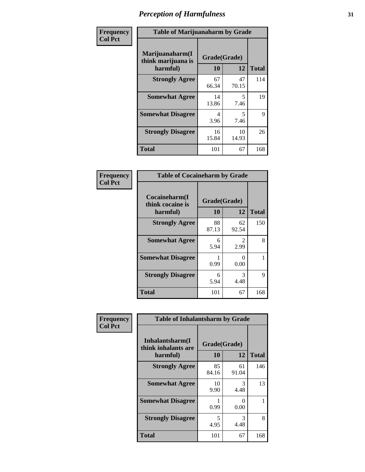| Frequency      | <b>Table of Marijuanaharm by Grade</b>            |                    |                                  |              |
|----------------|---------------------------------------------------|--------------------|----------------------------------|--------------|
| <b>Col Pct</b> | Marijuanaharm(I<br>think marijuana is<br>harmful) | Grade(Grade)<br>10 | 12                               | <b>Total</b> |
|                | <b>Strongly Agree</b>                             | 67<br>66.34        | 47<br>70.15                      | 114          |
|                | <b>Somewhat Agree</b>                             | 14<br>13.86        | 5<br>7.46                        | 19           |
|                | <b>Somewhat Disagree</b>                          | 4<br>3.96          | $\overline{\phantom{0}}$<br>7.46 | 9            |
|                | <b>Strongly Disagree</b>                          | 16<br>15.84        | 10<br>14.93                      | 26           |
|                | <b>Total</b>                                      | 101                | 67                               | 168          |

| <b>Table of Cocaineharm by Grade</b>          |                           |             |              |  |  |
|-----------------------------------------------|---------------------------|-------------|--------------|--|--|
| Cocaineharm(I<br>think cocaine is<br>harmful) | Grade(Grade)<br><b>10</b> | 12          | <b>Total</b> |  |  |
| <b>Strongly Agree</b>                         | 88<br>87.13               | 62<br>92.54 | 150          |  |  |
| <b>Somewhat Agree</b>                         | 6<br>5.94                 | 2<br>2.99   | 8            |  |  |
| <b>Somewhat Disagree</b>                      | 0.99                      | 0<br>0.00   |              |  |  |
| <b>Strongly Disagree</b>                      | 6<br>5.94                 | 3<br>4.48   | 9            |  |  |
| <b>Total</b>                                  | 101                       | 67          | 168          |  |  |

| Frequency      | <b>Table of Inhalantsharm by Grade</b>             |                    |             |              |
|----------------|----------------------------------------------------|--------------------|-------------|--------------|
| <b>Col Pct</b> | Inhalantsharm(I<br>think inhalants are<br>harmful) | Grade(Grade)<br>10 | 12          | <b>Total</b> |
|                | <b>Strongly Agree</b>                              | 85<br>84.16        | 61<br>91.04 | 146          |
|                | <b>Somewhat Agree</b>                              | 10<br>9.90         | 3<br>4.48   | 13           |
|                | <b>Somewhat Disagree</b>                           | 0.99               | 0<br>0.00   |              |
|                | <b>Strongly Disagree</b>                           | 5<br>4.95          | 3<br>4.48   | 8            |
|                | <b>Total</b>                                       | 101                | 67          | 168          |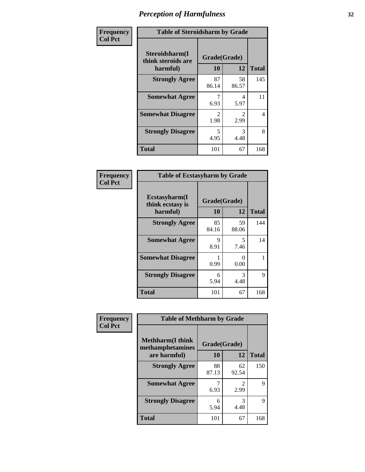| Frequency      | <b>Table of Steroidsharm by Grade</b>            |                                     |                        |              |
|----------------|--------------------------------------------------|-------------------------------------|------------------------|--------------|
| <b>Col Pct</b> | Steroidsharm(I<br>think steroids are<br>harmful) | Grade(Grade)<br>10                  | 12                     | <b>Total</b> |
|                | <b>Strongly Agree</b>                            | 87<br>86.14                         | 58<br>86.57            | 145          |
|                | <b>Somewhat Agree</b>                            | 6.93                                | 4<br>5.97              | 11           |
|                | <b>Somewhat Disagree</b>                         | $\mathcal{D}_{\mathcal{L}}$<br>1.98 | $\mathfrak{D}$<br>2.99 | 4            |
|                | <b>Strongly Disagree</b>                         | 5<br>4.95                           | 3<br>4.48              | 8            |
|                | <b>Total</b>                                     | 101                                 | 67                     | 168          |

| <b>Table of Ecstasyharm by Grade</b>          |                    |                           |              |  |  |  |
|-----------------------------------------------|--------------------|---------------------------|--------------|--|--|--|
| Ecstasyharm(I<br>think ecstasy is<br>harmful) | Grade(Grade)<br>10 | 12                        | <b>Total</b> |  |  |  |
| <b>Strongly Agree</b>                         | 85<br>84.16        | 59<br>88.06               | 144          |  |  |  |
| <b>Somewhat Agree</b>                         | 9<br>8.91          | 5<br>7.46                 | 14           |  |  |  |
| <b>Somewhat Disagree</b>                      | 0.99               | $\mathbf{\Omega}$<br>0.00 | 1            |  |  |  |
| <b>Strongly Disagree</b>                      | 6<br>5.94          | 3<br>4.48                 | 9            |  |  |  |
| <b>Total</b>                                  | 101                | 67                        | 168          |  |  |  |

| Frequency      |                                              | <b>Table of Methharm by Grade</b> |                                  |              |  |
|----------------|----------------------------------------------|-----------------------------------|----------------------------------|--------------|--|
| <b>Col Pct</b> | <b>Methharm</b> (I think<br>methamphetamines | Grade(Grade)                      |                                  |              |  |
|                | are harmful)                                 | 10                                | 12                               | <b>Total</b> |  |
|                | <b>Strongly Agree</b>                        | 88<br>87.13                       | 62<br>92.54                      | 150          |  |
|                | <b>Somewhat Agree</b>                        | 6.93                              | $\overline{\mathcal{L}}$<br>2.99 | 9            |  |
|                | <b>Strongly Disagree</b>                     | 6<br>5.94                         | 3<br>4.48                        | 9            |  |
|                | <b>Total</b>                                 | 101                               | 67                               | 168          |  |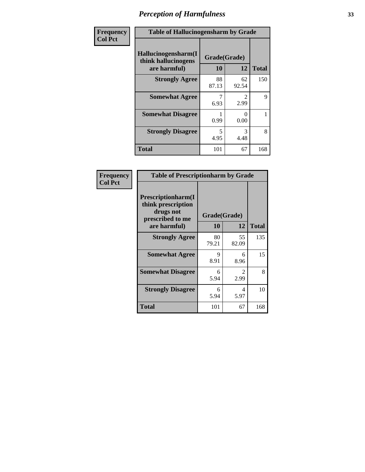| Frequency      | <b>Table of Hallucinogensharm by Grade</b>                 |                    |                       |              |
|----------------|------------------------------------------------------------|--------------------|-----------------------|--------------|
| <b>Col Pct</b> | Hallucinogensharm(I<br>think hallucinogens<br>are harmful) | Grade(Grade)<br>10 | 12                    | <b>Total</b> |
|                | <b>Strongly Agree</b>                                      | 88<br>87.13        | 62<br>92.54           | 150          |
|                | <b>Somewhat Agree</b>                                      | 6.93               | $\mathcal{L}$<br>2.99 | 9            |
|                | <b>Somewhat Disagree</b>                                   | 0.99               | 0<br>0.00             | 1            |
|                | <b>Strongly Disagree</b>                                   | 5<br>4.95          | 3<br>4.48             | 8            |
|                | <b>Total</b>                                               | 101                | 67                    | 168          |

| <b>Table of Prescriptionharm by Grade</b>                                         |              |                                     |              |  |  |
|-----------------------------------------------------------------------------------|--------------|-------------------------------------|--------------|--|--|
| <b>Prescriptionharm(I)</b><br>think prescription<br>drugs not<br>prescribed to me | Grade(Grade) |                                     |              |  |  |
| are harmful)                                                                      | 10           | 12                                  | <b>Total</b> |  |  |
| <b>Strongly Agree</b>                                                             | 80<br>79.21  | 55<br>82.09                         | 135          |  |  |
| <b>Somewhat Agree</b>                                                             | 9<br>8.91    | 6<br>8.96                           | 15           |  |  |
| <b>Somewhat Disagree</b>                                                          | 6<br>5.94    | $\mathcal{D}_{\mathcal{L}}$<br>2.99 | 8            |  |  |
| <b>Strongly Disagree</b>                                                          | 6<br>5.94    | 4<br>5.97                           | 10           |  |  |
| <b>Total</b>                                                                      | 101          | 67                                  | 168          |  |  |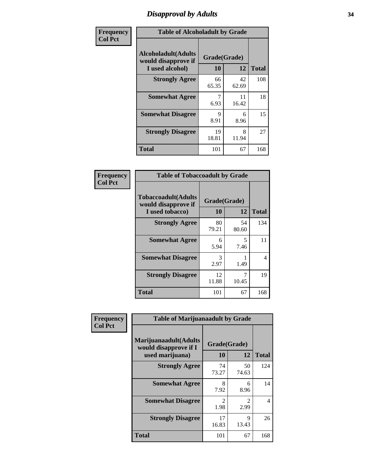# *Disapproval by Adults* **34**

| Frequency      | <b>Table of Alcoholadult by Grade</b>                                 |                    |             |              |
|----------------|-----------------------------------------------------------------------|--------------------|-------------|--------------|
| <b>Col Pct</b> | <b>Alcoholadult</b> (Adults<br>would disapprove if<br>I used alcohol) | Grade(Grade)<br>10 | 12          | <b>Total</b> |
|                | <b>Strongly Agree</b>                                                 | 66<br>65.35        | 42<br>62.69 | 108          |
|                | <b>Somewhat Agree</b>                                                 | 7<br>6.93          | 11<br>16.42 | 18           |
|                | <b>Somewhat Disagree</b>                                              | 9<br>8.91          | 6<br>8.96   | 15           |
|                | <b>Strongly Disagree</b>                                              | 19<br>18.81        | 8<br>11.94  | 27           |
|                | <b>Total</b>                                                          | 101                | 67          | 168          |

| <b>Table of Tobaccoadult by Grade</b>                                                             |             |             |     |  |  |
|---------------------------------------------------------------------------------------------------|-------------|-------------|-----|--|--|
| <b>Tobaccoadult</b> (Adults<br>Grade(Grade)<br>would disapprove if<br>10<br>12<br>I used tobacco) |             |             |     |  |  |
| <b>Strongly Agree</b>                                                                             | 80<br>79.21 | 54<br>80.60 | 134 |  |  |
| <b>Somewhat Agree</b>                                                                             | 6<br>5.94   | 5<br>7.46   | 11  |  |  |
| <b>Somewhat Disagree</b>                                                                          | 3<br>2.97   | 1.49        | 4   |  |  |
| <b>Strongly Disagree</b>                                                                          | 12<br>11.88 | 10.45       | 19  |  |  |
| <b>Total</b>                                                                                      | 101         | 67          | 168 |  |  |

| Frequency      | <b>Table of Marijuanaadult by Grade</b>                           |                    |                        |              |
|----------------|-------------------------------------------------------------------|--------------------|------------------------|--------------|
| <b>Col Pct</b> | Marijuanaadult(Adults<br>would disapprove if I<br>used marijuana) | Grade(Grade)<br>10 | 12                     | <b>Total</b> |
|                | <b>Strongly Agree</b>                                             | 74<br>73.27        | 50<br>74.63            | 124          |
|                | <b>Somewhat Agree</b>                                             | 8<br>7.92          | 6<br>8.96              | 14           |
|                | <b>Somewhat Disagree</b>                                          | 2<br>1.98          | $\overline{2}$<br>2.99 | 4            |
|                | <b>Strongly Disagree</b>                                          | 17<br>16.83        | 9<br>13.43             | 26           |
|                | <b>Total</b>                                                      | 101                | 67                     | 168          |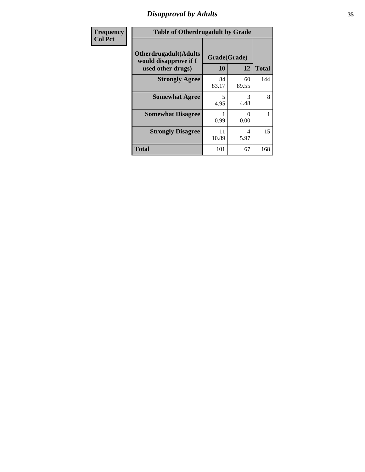# *Disapproval by Adults* **35**

| <b>Frequency</b> | <b>Table of Otherdrugadult by Grade</b>                                     |                    |             |              |
|------------------|-----------------------------------------------------------------------------|--------------------|-------------|--------------|
| <b>Col Pct</b>   | <b>Otherdrugadult</b> (Adults<br>would disapprove if I<br>used other drugs) | Grade(Grade)<br>10 | 12          | <b>Total</b> |
|                  | <b>Strongly Agree</b>                                                       | 84<br>83.17        | 60<br>89.55 | 144          |
|                  | <b>Somewhat Agree</b>                                                       | 5<br>4.95          | 3<br>4.48   | 8            |
|                  | <b>Somewhat Disagree</b>                                                    | 0.99               | 0<br>0.00   |              |
|                  | <b>Strongly Disagree</b>                                                    | 11<br>10.89        | 4<br>5.97   | 15           |
|                  | <b>Total</b>                                                                | 101                | 67          | 168          |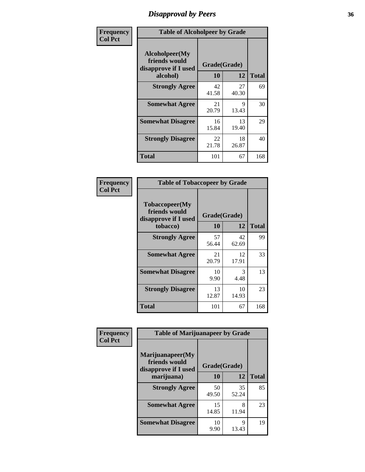# *Disapproval by Peers* **36**

| Frequency      | <b>Table of Alcoholpeer by Grade</b>                    |              |             |              |
|----------------|---------------------------------------------------------|--------------|-------------|--------------|
| <b>Col Pct</b> | Alcoholpeer(My<br>friends would<br>disapprove if I used | Grade(Grade) |             |              |
|                | alcohol)                                                | 10           | 12          | <b>Total</b> |
|                | <b>Strongly Agree</b>                                   | 42<br>41.58  | 27<br>40.30 | 69           |
|                | <b>Somewhat Agree</b>                                   | 21<br>20.79  | 9<br>13.43  | 30           |
|                | <b>Somewhat Disagree</b>                                | 16<br>15.84  | 13<br>19.40 | 29           |
|                | <b>Strongly Disagree</b>                                | 22<br>21.78  | 18<br>26.87 | 40           |
|                | Total                                                   | 101          | 67          | 168          |

| Frequency      | <b>Table of Tobaccopeer by Grade</b>                                |                           |             |              |
|----------------|---------------------------------------------------------------------|---------------------------|-------------|--------------|
| <b>Col Pct</b> | Tobaccopeer(My<br>friends would<br>disapprove if I used<br>tobacco) | Grade(Grade)<br><b>10</b> | 12          | <b>Total</b> |
|                | <b>Strongly Agree</b>                                               | 57<br>56.44               | 42<br>62.69 | 99           |
|                | <b>Somewhat Agree</b>                                               | 21<br>20.79               | 12<br>17.91 | 33           |
|                | <b>Somewhat Disagree</b>                                            | 10<br>9.90                | 3<br>4.48   | 13           |
|                | <b>Strongly Disagree</b>                                            | 13<br>12.87               | 10<br>14.93 | 23           |
|                | Total                                                               | 101                       | 67          | 168          |

| Frequency      | <b>Table of Marijuanapeer by Grade</b>                    |              |             |              |
|----------------|-----------------------------------------------------------|--------------|-------------|--------------|
| <b>Col Pct</b> | Marijuanapeer(My<br>friends would<br>disapprove if I used | Grade(Grade) |             |              |
|                | marijuana)                                                | 10           | 12          | <b>Total</b> |
|                | <b>Strongly Agree</b>                                     | 50<br>49.50  | 35<br>52.24 | 85           |
|                | <b>Somewhat Agree</b>                                     | 15<br>14.85  | 8<br>11.94  | 23           |
|                | <b>Somewhat Disagree</b>                                  | 10<br>9.90   | 9<br>13.43  | 19           |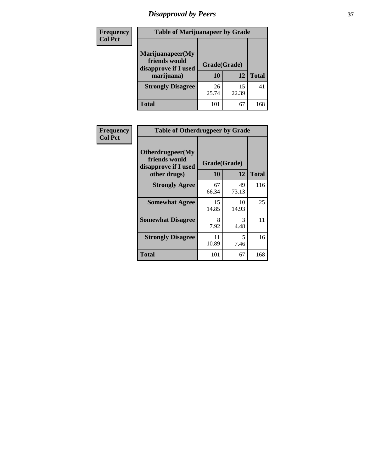# *Disapproval by Peers* **37**

| Frequency<br><b>Col Pct</b> | <b>Table of Marijuanapeer by Grade</b>                                  |                    |             |              |  |
|-----------------------------|-------------------------------------------------------------------------|--------------------|-------------|--------------|--|
|                             | Marijuanapeer(My<br>friends would<br>disapprove if I used<br>marijuana) | Grade(Grade)<br>10 | 12          | <b>Total</b> |  |
|                             | <b>Strongly Disagree</b>                                                | 26<br>25.74        | 15<br>22.39 | 41           |  |
|                             | Total                                                                   | 101                | 67          | 168          |  |

| <b>Frequency</b> | <b>Table of Otherdrugpeer by Grade</b>                                    |                           |             |              |
|------------------|---------------------------------------------------------------------------|---------------------------|-------------|--------------|
| <b>Col Pct</b>   | Otherdrugpeer(My<br>friends would<br>disapprove if I used<br>other drugs) | Grade(Grade)<br><b>10</b> | 12          | <b>Total</b> |
|                  | <b>Strongly Agree</b>                                                     | 67<br>66.34               | 49<br>73.13 | 116          |
|                  | <b>Somewhat Agree</b>                                                     | 15<br>14.85               | 10<br>14.93 | 25           |
|                  | <b>Somewhat Disagree</b>                                                  | 8<br>7.92                 | 3<br>4.48   | 11           |
|                  | <b>Strongly Disagree</b>                                                  | 11<br>10.89               | 5<br>7.46   | 16           |
|                  | Total                                                                     | 101                       | 67          | 168          |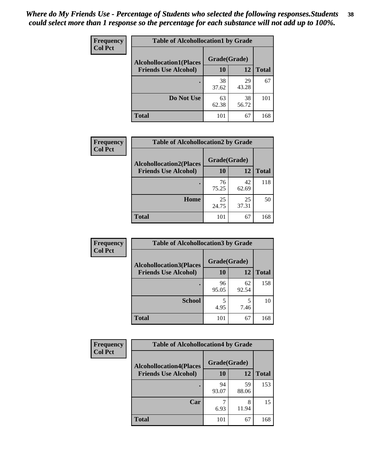| <b>Frequency</b> | <b>Table of Alcohollocation1 by Grade</b> |              |             |              |
|------------------|-------------------------------------------|--------------|-------------|--------------|
| <b>Col Pct</b>   | <b>Alcohollocation1(Places</b>            | Grade(Grade) |             |              |
|                  | <b>Friends Use Alcohol)</b>               | 10           | 12          | <b>Total</b> |
|                  |                                           | 38<br>37.62  | 29<br>43.28 | 67           |
|                  | Do Not Use                                | 63<br>62.38  | 38<br>56.72 | 101          |
|                  | <b>Total</b>                              | 101          | 67          | 168          |

| <b>Frequency</b> | <b>Table of Alcohollocation2 by Grade</b> |              |             |              |
|------------------|-------------------------------------------|--------------|-------------|--------------|
| <b>Col Pct</b>   | <b>Alcohollocation2(Places</b>            | Grade(Grade) |             |              |
|                  | <b>Friends Use Alcohol)</b>               | 10           | 12          | <b>Total</b> |
|                  |                                           | 76<br>75.25  | 42<br>62.69 | 118          |
|                  | Home                                      | 25<br>24.75  | 25<br>37.31 | 50           |
|                  | <b>Total</b>                              | 101          | 67          | 168          |

| <b>Frequency</b> | <b>Table of Alcohollocation 3 by Grade</b>                    |                    |             |              |
|------------------|---------------------------------------------------------------|--------------------|-------------|--------------|
| <b>Col Pct</b>   | <b>Alcohollocation3(Places</b><br><b>Friends Use Alcohol)</b> | Grade(Grade)<br>10 | 12          | <b>Total</b> |
|                  |                                                               | 96<br>95.05        | 62<br>92.54 | 158          |
|                  | <b>School</b>                                                 | 4.95               | 5<br>7.46   | 10           |
|                  | <b>Total</b>                                                  | 101                | 67          | 168          |

| <b>Frequency</b> | <b>Table of Alcohollocation4 by Grade</b> |              |             |              |
|------------------|-------------------------------------------|--------------|-------------|--------------|
| <b>Col Pct</b>   | <b>Alcohollocation4(Places</b>            | Grade(Grade) |             |              |
|                  | <b>Friends Use Alcohol)</b>               | 10           | 12          | <b>Total</b> |
|                  |                                           | 94<br>93.07  | 59<br>88.06 | 153          |
|                  | Car                                       | 6.93         | 8<br>11.94  | 15           |
|                  | <b>Total</b>                              | 101          | 67          | 168          |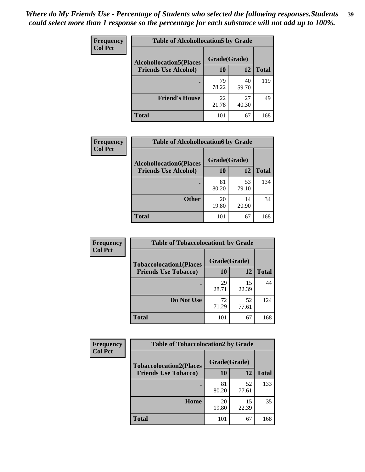| Frequency<br><b>Col Pct</b> | <b>Table of Alcohollocation5 by Grade</b> |                                                |             |              |  |
|-----------------------------|-------------------------------------------|------------------------------------------------|-------------|--------------|--|
|                             |                                           | Grade(Grade)<br><b>Alcohollocation5(Places</b> |             |              |  |
|                             | <b>Friends Use Alcohol)</b>               | 10                                             | 12          | <b>Total</b> |  |
|                             |                                           | 79<br>78.22                                    | 40<br>59.70 | 119          |  |
|                             | <b>Friend's House</b>                     | 22<br>21.78                                    | 27<br>40.30 | 49           |  |
|                             | <b>Total</b>                              | 101                                            | 67          | 168          |  |

| Frequency      | <b>Table of Alcohollocation6 by Grade</b>                     |                    |             |              |
|----------------|---------------------------------------------------------------|--------------------|-------------|--------------|
| <b>Col Pct</b> | <b>Alcohollocation6(Places</b><br><b>Friends Use Alcohol)</b> | Grade(Grade)<br>10 | <b>12</b>   | <b>Total</b> |
|                |                                                               | 81<br>80.20        | 53<br>79.10 | 134          |
|                | <b>Other</b>                                                  | 20<br>19.80        | 14<br>20.90 | 34           |
|                | <b>Total</b>                                                  | 101                | 67          | 168          |

| Frequency      | <b>Table of Tobaccolocation1 by Grade</b> |              |             |              |
|----------------|-------------------------------------------|--------------|-------------|--------------|
| <b>Col Pct</b> | <b>Tobaccolocation1(Places</b>            | Grade(Grade) |             |              |
|                | <b>Friends Use Tobacco)</b>               | 10           | 12          | <b>Total</b> |
|                |                                           | 29<br>28.71  | 15<br>22.39 | 44           |
|                | Do Not Use                                | 72<br>71.29  | 52<br>77.61 | 124          |
|                | <b>Total</b>                              | 101          | 67          | 168          |

| <b>Frequency</b> | <b>Table of Tobaccolocation2 by Grade</b> |              |             |              |
|------------------|-------------------------------------------|--------------|-------------|--------------|
| <b>Col Pct</b>   | <b>Tobaccolocation2(Places</b>            | Grade(Grade) |             |              |
|                  | <b>Friends Use Tobacco)</b>               | 10           | 12          | <b>Total</b> |
|                  |                                           | 81<br>80.20  | 52<br>77.61 | 133          |
|                  | Home                                      | 20<br>19.80  | 15<br>22.39 | 35           |
|                  | <b>Total</b>                              | 101          | 67          | 168          |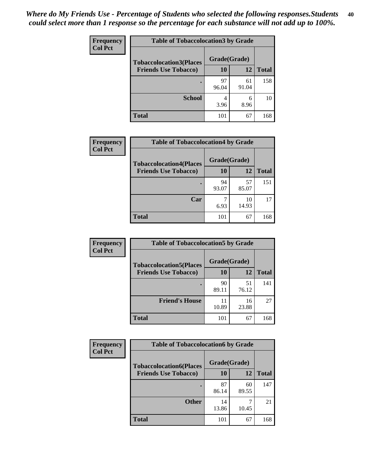| Frequency      | <b>Table of Tobaccolocation 3 by Grade</b> |              |             |              |
|----------------|--------------------------------------------|--------------|-------------|--------------|
| <b>Col Pct</b> | <b>Tobaccolocation3(Places</b>             | Grade(Grade) |             |              |
|                | <b>Friends Use Tobacco)</b>                | 10           | <b>12</b>   | <b>Total</b> |
|                |                                            | 97<br>96.04  | 61<br>91.04 | 158          |
|                | <b>School</b>                              | 3.96         | 6<br>8.96   | 10           |
|                | <b>Total</b>                               | 101          | 67          | 168          |

| Frequency      | <b>Table of Tobaccolocation4 by Grade</b>                     |                    |             |              |
|----------------|---------------------------------------------------------------|--------------------|-------------|--------------|
| <b>Col Pct</b> | <b>Tobaccolocation4(Places</b><br><b>Friends Use Tobacco)</b> | Grade(Grade)<br>10 | 12          | <b>Total</b> |
|                |                                                               | 94<br>93.07        | 57<br>85.07 | 151          |
|                | Car                                                           | 6.93               | 10<br>14.93 | 17           |
|                | <b>Total</b>                                                  | 101                | 67          | 168          |

| Frequency      | <b>Table of Tobaccolocation5 by Grade</b> |              |             |              |
|----------------|-------------------------------------------|--------------|-------------|--------------|
| <b>Col Pct</b> | <b>Tobaccolocation5(Places</b>            | Grade(Grade) |             |              |
|                | <b>Friends Use Tobacco)</b>               | 10           | <b>12</b>   | <b>Total</b> |
|                |                                           | 90<br>89.11  | 51<br>76.12 | 141          |
|                | <b>Friend's House</b>                     | 11<br>10.89  | 16<br>23.88 | 27           |
|                | <b>Total</b>                              | 101          | 67          | 168          |

| <b>Frequency</b> | <b>Table of Tobaccolocation6 by Grade</b> |              |             |              |  |
|------------------|-------------------------------------------|--------------|-------------|--------------|--|
| <b>Col Pct</b>   | <b>Tobaccolocation6(Places</b>            | Grade(Grade) |             |              |  |
|                  | <b>Friends Use Tobacco)</b>               | 10           | 12          | <b>Total</b> |  |
|                  |                                           | 87<br>86.14  | 60<br>89.55 | 147          |  |
|                  | <b>Other</b>                              | 14<br>13.86  | 10.45       | 21           |  |
|                  | <b>Total</b>                              | 101          | 67          | 168          |  |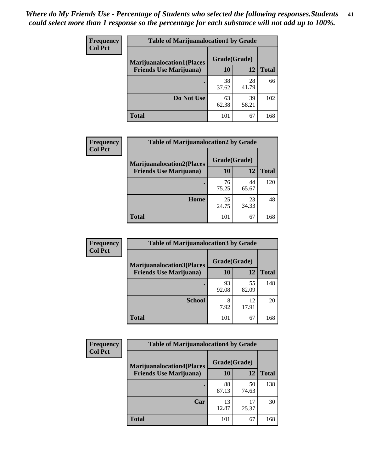| <b>Frequency</b><br><b>Col Pct</b> | <b>Table of Marijuanalocation1 by Grade</b> |              |             |              |  |
|------------------------------------|---------------------------------------------|--------------|-------------|--------------|--|
|                                    | <b>Marijuanalocation1(Places</b>            | Grade(Grade) |             |              |  |
|                                    | <b>Friends Use Marijuana</b> )              | <b>10</b>    | 12          | <b>Total</b> |  |
|                                    |                                             | 38<br>37.62  | 28<br>41.79 | 66           |  |
|                                    | Do Not Use                                  | 63<br>62.38  | 39<br>58.21 | 102          |  |
|                                    | <b>Total</b>                                | 101          | 67          | 168          |  |

| <b>Frequency</b><br><b>Col Pct</b> | <b>Table of Marijuanalocation2 by Grade</b>                        |                    |             |              |  |
|------------------------------------|--------------------------------------------------------------------|--------------------|-------------|--------------|--|
|                                    | <b>Marijuanalocation2(Places</b><br><b>Friends Use Marijuana</b> ) | Grade(Grade)<br>10 | 12          | <b>Total</b> |  |
|                                    |                                                                    | 76<br>75.25        | 44<br>65.67 | 120          |  |
|                                    | Home                                                               | 25<br>24.75        | 23<br>34.33 | 48           |  |
|                                    | <b>Total</b>                                                       | 101                | 67          | 168          |  |

| Frequency<br><b>Col Pct</b> | <b>Table of Marijuanalocation3 by Grade</b> |              |             |              |
|-----------------------------|---------------------------------------------|--------------|-------------|--------------|
|                             | <b>Marijuanalocation3</b> (Places           | Grade(Grade) |             |              |
|                             | <b>Friends Use Marijuana</b> )              | <b>10</b>    | 12          | <b>Total</b> |
|                             |                                             | 93<br>92.08  | 55<br>82.09 | 148          |
|                             | <b>School</b>                               | 8<br>7.92    | 12<br>17.91 | 20           |
|                             | <b>Total</b>                                | 101          | 67          | 168          |

| <b>Frequency</b> | <b>Table of Marijuanalocation4 by Grade</b> |              |             |              |  |
|------------------|---------------------------------------------|--------------|-------------|--------------|--|
| <b>Col Pct</b>   | <b>Marijuanalocation4(Places</b>            | Grade(Grade) |             |              |  |
|                  | <b>Friends Use Marijuana</b> )              | 10           | 12          | <b>Total</b> |  |
|                  |                                             | 88<br>87.13  | 50<br>74.63 | 138          |  |
|                  | Car                                         | 13<br>12.87  | 17<br>25.37 | 30           |  |
|                  | <b>Total</b>                                | 101          | 67          | 168          |  |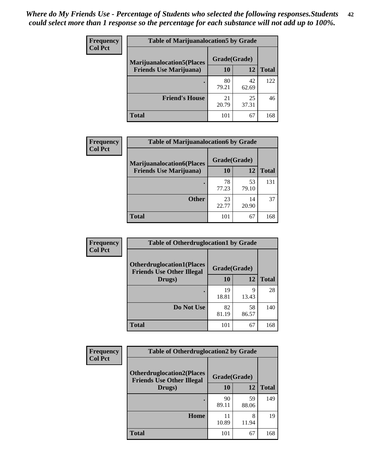| <b>Frequency</b>               | <b>Table of Marijuanalocation5 by Grade</b> |              |              |     |
|--------------------------------|---------------------------------------------|--------------|--------------|-----|
| <b>Col Pct</b>                 | <b>Marijuanalocation5</b> (Places           | Grade(Grade) |              |     |
| <b>Friends Use Marijuana</b> ) | 10                                          | 12           | <b>Total</b> |     |
|                                |                                             | 80<br>79.21  | 42<br>62.69  | 122 |
|                                | <b>Friend's House</b>                       | 21<br>20.79  | 25<br>37.31  | 46  |
|                                | <b>Total</b>                                | 101          | 67           | 168 |

| Frequency      | <b>Table of Marijuanalocation6 by Grade</b> |              |             |              |
|----------------|---------------------------------------------|--------------|-------------|--------------|
| <b>Col Pct</b> | <b>Marijuanalocation6(Places</b>            | Grade(Grade) |             |              |
|                | <b>Friends Use Marijuana</b> )              | 10           | 12          | <b>Total</b> |
|                |                                             | 78<br>77.23  | 53<br>79.10 | 131          |
|                | <b>Other</b>                                | 23<br>22.77  | 14<br>20.90 | 37           |
|                | <b>Total</b>                                | 101          | 67          | 168          |

| Frequency      | <b>Table of Otherdruglocation1 by Grade</b>                          |              |             |              |
|----------------|----------------------------------------------------------------------|--------------|-------------|--------------|
| <b>Col Pct</b> | <b>Otherdruglocation1(Places</b><br><b>Friends Use Other Illegal</b> | Grade(Grade) |             |              |
|                | Drugs)                                                               | 10           | 12          | <b>Total</b> |
|                |                                                                      | 19<br>18.81  | 9<br>13.43  | 28           |
|                | Do Not Use                                                           | 82<br>81.19  | 58<br>86.57 | 140          |
|                | <b>Total</b>                                                         | 101          | 67          | 168          |

| Frequency      | <b>Table of Otherdruglocation2 by Grade</b>                          |              |             |              |  |
|----------------|----------------------------------------------------------------------|--------------|-------------|--------------|--|
| <b>Col Pct</b> | <b>Otherdruglocation2(Places</b><br><b>Friends Use Other Illegal</b> | Grade(Grade) |             |              |  |
|                | Drugs)                                                               | 10           | 12          | <b>Total</b> |  |
|                |                                                                      | 90<br>89.11  | 59<br>88.06 | 149          |  |
|                | Home                                                                 | 11<br>10.89  | 8<br>11.94  | 19           |  |
|                | <b>Total</b>                                                         | 101          | 67          | 168          |  |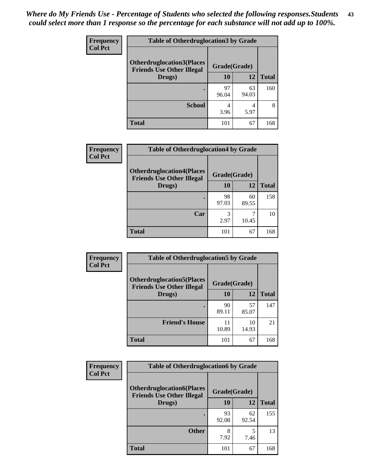| <b>Frequency</b> | <b>Table of Otherdruglocation3 by Grade</b> |              |             |              |  |
|------------------|---------------------------------------------|--------------|-------------|--------------|--|
| <b>Col Pct</b>   | <b>Otherdruglocation3(Places)</b>           | Grade(Grade) |             |              |  |
| Drugs)           | <b>Friends Use Other Illegal</b>            | 10           | 12          | <b>Total</b> |  |
|                  |                                             | 97<br>96.04  | 63<br>94.03 | 160          |  |
|                  | <b>School</b>                               | 4<br>3.96    | 5.97        | 8            |  |
|                  | <b>Total</b>                                | 101          | 67          | 168          |  |

| Frequency      | <b>Table of Otherdruglocation4 by Grade</b>                          |              |             |              |
|----------------|----------------------------------------------------------------------|--------------|-------------|--------------|
| <b>Col Pct</b> | <b>Otherdruglocation4(Places</b><br><b>Friends Use Other Illegal</b> | Grade(Grade) |             |              |
|                | Drugs)                                                               | 10           | 12          | <b>Total</b> |
|                |                                                                      | 98<br>97.03  | 60<br>89.55 | 158          |
|                | Car                                                                  | 3<br>2.97    | 10.45       | 10           |
|                | <b>Total</b>                                                         | 101          | 67          | 168          |

| Frequency      | <b>Table of Otherdruglocation5 by Grade</b>                          |              |             |              |
|----------------|----------------------------------------------------------------------|--------------|-------------|--------------|
| <b>Col Pct</b> | <b>Otherdruglocation5(Places</b><br><b>Friends Use Other Illegal</b> | Grade(Grade) |             |              |
|                | Drugs)                                                               | 10           | 12          | <b>Total</b> |
|                |                                                                      | 90<br>89.11  | 57<br>85.07 | 147          |
|                | <b>Friend's House</b>                                                | 11<br>10.89  | 10<br>14.93 | 21           |
|                | <b>Total</b>                                                         | 101          | 67          | 168          |

| <b>Frequency</b> | <b>Table of Otherdruglocation6 by Grade</b>                          |              |             |              |
|------------------|----------------------------------------------------------------------|--------------|-------------|--------------|
| <b>Col Pct</b>   | <b>Otherdruglocation6(Places</b><br><b>Friends Use Other Illegal</b> | Grade(Grade) |             |              |
|                  | Drugs)                                                               | <b>10</b>    | 12          | <b>Total</b> |
|                  |                                                                      | 93<br>92.08  | 62<br>92.54 | 155          |
|                  | <b>Other</b>                                                         | 8<br>7.92    | 5<br>7.46   | 13           |
|                  | <b>Total</b>                                                         | 101          | 67          | 168          |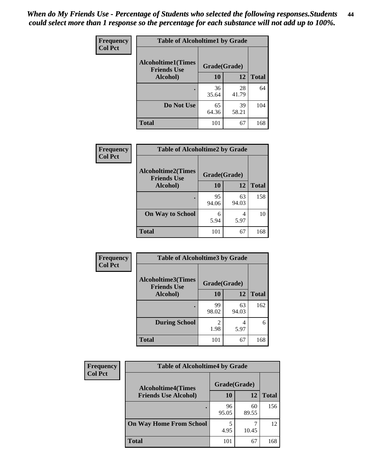| Frequency      | <b>Table of Alcoholtime1 by Grade</b>           |              |             |              |
|----------------|-------------------------------------------------|--------------|-------------|--------------|
| <b>Col Pct</b> | <b>Alcoholtime1(Times</b><br><b>Friends Use</b> | Grade(Grade) |             |              |
|                | Alcohol)                                        | 10           | 12          | <b>Total</b> |
|                |                                                 | 36<br>35.64  | 28<br>41.79 | 64           |
|                | Do Not Use                                      | 65<br>64.36  | 39<br>58.21 | 104          |
|                | <b>Total</b>                                    | 101          | 67          | 168          |

| <b>Frequency</b> | <b>Table of Alcoholtime2 by Grade</b>           |              |             |              |  |
|------------------|-------------------------------------------------|--------------|-------------|--------------|--|
| <b>Col Pct</b>   | <b>Alcoholtime2(Times</b><br><b>Friends Use</b> | Grade(Grade) |             |              |  |
|                  | Alcohol)                                        | 10           | 12          | <b>Total</b> |  |
|                  |                                                 | 95<br>94.06  | 63<br>94.03 | 158          |  |
|                  | <b>On Way to School</b>                         | 6<br>5.94    | 4<br>5.97   | 10           |  |
|                  | <b>Total</b>                                    | 101          | 67          | 168          |  |

| Frequency | <b>Table of Alcoholtime3 by Grade</b>           |                        |             |              |
|-----------|-------------------------------------------------|------------------------|-------------|--------------|
| Col Pct   | <b>Alcoholtime3(Times</b><br><b>Friends Use</b> | Grade(Grade)           |             |              |
|           | Alcohol)                                        | 10                     | 12          | <b>Total</b> |
|           |                                                 | 99<br>98.02            | 63<br>94.03 | 162          |
|           | <b>During School</b>                            | $\mathfrak{D}$<br>1.98 | 4<br>5.97   | 6            |
|           | <b>Total</b>                                    | 101                    | 67          | 168          |

| <b>Frequency</b> | <b>Table of Alcoholtime4 by Grade</b> |              |             |              |  |
|------------------|---------------------------------------|--------------|-------------|--------------|--|
| <b>Col Pct</b>   | <b>Alcoholtime4(Times</b>             | Grade(Grade) |             |              |  |
|                  | <b>Friends Use Alcohol)</b>           | 10           | 12          | <b>Total</b> |  |
|                  |                                       | 96<br>95.05  | 60<br>89.55 | 156          |  |
|                  | <b>On Way Home From School</b>        | 5<br>4.95    | 10.45       | 12           |  |
|                  | <b>Total</b>                          | 101          | 67          | 168          |  |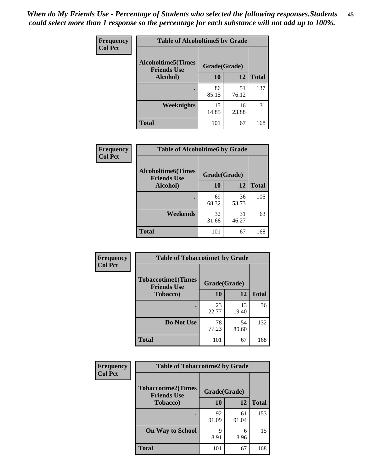*When do My Friends Use - Percentage of Students who selected the following responses.Students could select more than 1 response so the percentage for each substance will not add up to 100%.* **45**

| Frequency      | <b>Table of Alcoholtime5 by Grade</b>           |              |             |              |
|----------------|-------------------------------------------------|--------------|-------------|--------------|
| <b>Col Pct</b> | <b>Alcoholtime5(Times</b><br><b>Friends Use</b> | Grade(Grade) |             |              |
|                | Alcohol)                                        | 10           | 12          | <b>Total</b> |
|                |                                                 | 86<br>85.15  | 51<br>76.12 | 137          |
|                | Weeknights                                      | 15<br>14.85  | 16<br>23.88 | 31           |
|                | <b>Total</b>                                    | 101          | 67          | 168          |

| <b>Frequency</b> | <b>Table of Alcoholtime6 by Grade</b>           |              |             |              |  |
|------------------|-------------------------------------------------|--------------|-------------|--------------|--|
| <b>Col Pct</b>   | <b>Alcoholtime6(Times</b><br><b>Friends Use</b> | Grade(Grade) |             |              |  |
|                  | Alcohol)                                        | 10           | 12          | <b>Total</b> |  |
|                  |                                                 | 69<br>68.32  | 36<br>53.73 | 105          |  |
|                  | Weekends                                        | 32<br>31.68  | 31<br>46.27 | 63           |  |
|                  | <b>Total</b>                                    | 101          | 67          | 168          |  |

| Frequency      | <b>Table of Tobaccotime1 by Grade</b>           |              |             |              |  |
|----------------|-------------------------------------------------|--------------|-------------|--------------|--|
| <b>Col Pct</b> | <b>Tobaccotime1(Times</b><br><b>Friends Use</b> | Grade(Grade) |             |              |  |
|                | <b>Tobacco</b> )                                | 10           | 12          | <b>Total</b> |  |
|                | ٠                                               | 23<br>22.77  | 13<br>19.40 | 36           |  |
|                | Do Not Use                                      | 78<br>77.23  | 54<br>80.60 | 132          |  |
|                | <b>Total</b>                                    | 101          | 67          | 168          |  |

| <b>Frequency</b> | <b>Table of Tobaccotime2 by Grade</b>           |              |             |              |
|------------------|-------------------------------------------------|--------------|-------------|--------------|
| <b>Col Pct</b>   | <b>Tobaccotime2(Times</b><br><b>Friends Use</b> | Grade(Grade) |             |              |
|                  | <b>Tobacco</b> )                                | 10           | 12          | <b>Total</b> |
|                  |                                                 | 92<br>91.09  | 61<br>91.04 | 153          |
|                  | <b>On Way to School</b>                         | Q<br>8.91    | 6<br>8.96   | 15           |
|                  | <b>Total</b>                                    | 101          | 67          | 168          |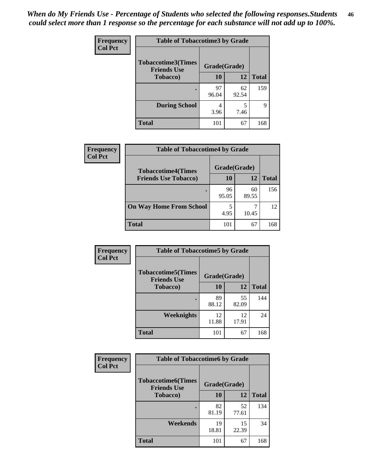| <b>Frequency</b> | <b>Table of Tobaccotime3 by Grade</b>           |              |             |              |  |
|------------------|-------------------------------------------------|--------------|-------------|--------------|--|
| <b>Col Pct</b>   | <b>Tobaccotime3(Times</b><br><b>Friends Use</b> | Grade(Grade) |             |              |  |
|                  | <b>Tobacco</b> )                                | 10           | 12          | <b>Total</b> |  |
|                  |                                                 | 97<br>96.04  | 62<br>92.54 | 159          |  |
|                  | <b>During School</b>                            | 4<br>3.96    | 5<br>7.46   | 9            |  |
|                  | <b>Total</b>                                    | 101          | 67          | 168          |  |

| Frequency<br><b>Col Pct</b> | <b>Table of Tobaccotime4 by Grade</b> |              |             |              |  |
|-----------------------------|---------------------------------------|--------------|-------------|--------------|--|
|                             | <b>Tobaccotime4(Times</b>             | Grade(Grade) |             |              |  |
|                             | <b>Friends Use Tobacco)</b>           | 10           | 12          | <b>Total</b> |  |
|                             |                                       | 96<br>95.05  | 60<br>89.55 | 156          |  |
|                             | <b>On Way Home From School</b>        | 5<br>4.95    | 10.45       | 12           |  |
|                             | Total                                 | 101          | 67          | 168          |  |

| <b>Frequency</b> | <b>Table of Tobaccotime5 by Grade</b>           |              |             |              |
|------------------|-------------------------------------------------|--------------|-------------|--------------|
| <b>Col Pct</b>   | <b>Tobaccotime5(Times</b><br><b>Friends Use</b> | Grade(Grade) |             |              |
|                  | <b>Tobacco</b> )                                | 10           | 12          | <b>Total</b> |
|                  |                                                 | 89<br>88.12  | 55<br>82.09 | 144          |
|                  | Weeknights                                      | 12<br>11.88  | 12<br>17.91 | 24           |
|                  | <b>Total</b>                                    | 101          | 67          | 168          |

| <b>Frequency</b> | <b>Table of Tobaccotime6 by Grade</b>           |              |             |              |
|------------------|-------------------------------------------------|--------------|-------------|--------------|
| <b>Col Pct</b>   | <b>Tobaccotime6(Times</b><br><b>Friends Use</b> | Grade(Grade) |             |              |
|                  | <b>Tobacco</b> )                                | 10           | 12          | <b>Total</b> |
|                  | ٠                                               | 82<br>81.19  | 52<br>77.61 | 134          |
|                  | Weekends                                        | 19<br>18.81  | 15<br>22.39 | 34           |
|                  | <b>Total</b>                                    | 101          | 67          | 168          |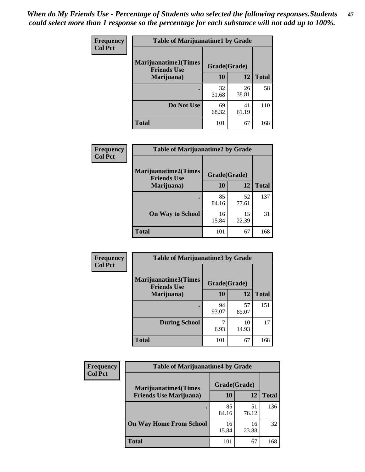| Frequency      | <b>Table of Marijuanatime1 by Grade</b>           |              |             |              |  |
|----------------|---------------------------------------------------|--------------|-------------|--------------|--|
| <b>Col Pct</b> | <b>Marijuanatime1(Times</b><br><b>Friends Use</b> | Grade(Grade) |             |              |  |
|                | Marijuana)                                        | 10           | 12          | <b>Total</b> |  |
|                |                                                   | 32<br>31.68  | 26<br>38.81 | 58           |  |
|                | Do Not Use                                        | 69<br>68.32  | 41<br>61.19 | 110          |  |
|                | <b>Total</b>                                      | 101          | 67          | 168          |  |

| Frequency      | <b>Table of Marijuanatime2 by Grade</b>           |              |             |              |
|----------------|---------------------------------------------------|--------------|-------------|--------------|
| <b>Col Pct</b> | <b>Marijuanatime2(Times</b><br><b>Friends Use</b> | Grade(Grade) |             |              |
|                | Marijuana)                                        | 10           | 12          | <b>Total</b> |
|                |                                                   | 85<br>84.16  | 52<br>77.61 | 137          |
|                | <b>On Way to School</b>                           | 16<br>15.84  | 15<br>22.39 | 31           |
|                | <b>Total</b>                                      | 101          | 67          | 168          |

| Frequency      | <b>Table of Marijuanatime3 by Grade</b>    |              |             |              |
|----------------|--------------------------------------------|--------------|-------------|--------------|
| <b>Col Pct</b> | Marijuanatime3(Times<br><b>Friends Use</b> | Grade(Grade) |             |              |
|                | Marijuana)                                 | 10           | 12          | <b>Total</b> |
|                |                                            | 94<br>93.07  | 57<br>85.07 | 151          |
|                | <b>During School</b>                       | 6.93         | 10<br>14.93 | 17           |
|                | <b>Total</b>                               | 101          | 67          | 168          |

| <b>Frequency</b><br><b>Col Pct</b> | <b>Table of Marijuanatime4 by Grade</b> |              |             |       |
|------------------------------------|-----------------------------------------|--------------|-------------|-------|
|                                    | <b>Marijuanatime4</b> (Times            | Grade(Grade) |             |       |
|                                    | <b>Friends Use Marijuana</b> )          | 10           | 12          | Total |
|                                    |                                         | 85<br>84.16  | 51<br>76.12 | 136   |
|                                    | <b>On Way Home From School</b>          | 16<br>15.84  | 16<br>23.88 | 32    |
|                                    | <b>Total</b>                            | 101          | 67          | 168   |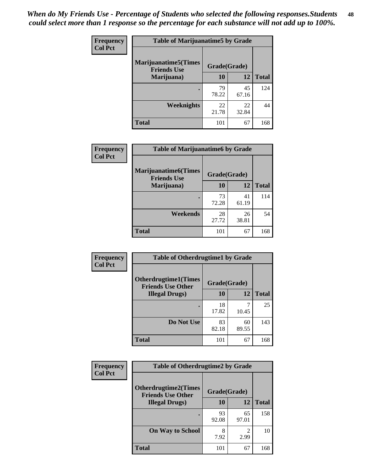| <b>Frequency</b> | <b>Table of Marijuanatime5 by Grade</b>            |              |             |              |
|------------------|----------------------------------------------------|--------------|-------------|--------------|
| <b>Col Pct</b>   | <b>Marijuanatime5</b> (Times<br><b>Friends Use</b> | Grade(Grade) |             |              |
|                  | Marijuana)                                         | 10           | 12          | <b>Total</b> |
|                  |                                                    | 79<br>78.22  | 45<br>67.16 | 124          |
|                  | Weeknights                                         | 22<br>21.78  | 22<br>32.84 | 44           |
|                  | <b>Total</b>                                       | 101          | 67          | 168          |

| Frequency      | <b>Table of Marijuanatime6 by Grade</b>    |              |             |              |
|----------------|--------------------------------------------|--------------|-------------|--------------|
| <b>Col Pct</b> | Marijuanatime6(Times<br><b>Friends Use</b> | Grade(Grade) |             |              |
|                | Marijuana)                                 | 10           | 12          | <b>Total</b> |
|                |                                            | 73<br>72.28  | 41<br>61.19 | 114          |
|                | Weekends                                   | 28<br>27.72  | 26<br>38.81 | 54           |
|                | <b>Total</b>                               | 101          | 67          | 168          |

| Frequency      | <b>Table of Otherdrugtime1 by Grade</b>                 |              |             |              |
|----------------|---------------------------------------------------------|--------------|-------------|--------------|
| <b>Col Pct</b> | <b>Otherdrugtime1(Times</b><br><b>Friends Use Other</b> | Grade(Grade) |             |              |
|                | <b>Illegal Drugs</b> )                                  | 10           | 12          | <b>Total</b> |
|                |                                                         | 18<br>17.82  | 10.45       | 25           |
|                | Do Not Use                                              | 83<br>82.18  | 60<br>89.55 | 143          |
|                | Total                                                   | 101          | 67          | 168          |

| Frequency      | <b>Table of Otherdrugtime2 by Grade</b>                 |              |                        |              |
|----------------|---------------------------------------------------------|--------------|------------------------|--------------|
| <b>Col Pct</b> | <b>Otherdrugtime2(Times</b><br><b>Friends Use Other</b> | Grade(Grade) |                        |              |
|                | <b>Illegal Drugs</b> )                                  | 10           | 12                     | <b>Total</b> |
|                |                                                         | 93<br>92.08  | 65<br>97.01            | 158          |
|                | <b>On Way to School</b>                                 | 8<br>7.92    | $\mathfrak{D}$<br>2.99 | 10           |
|                | Total                                                   | 101          | 67                     | 168          |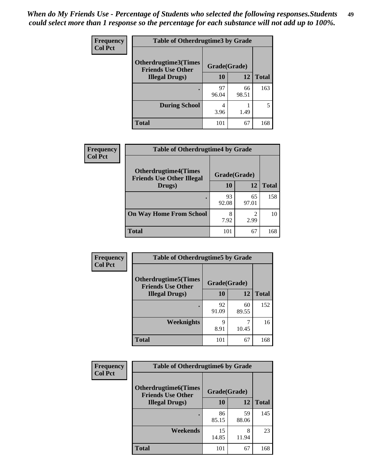| <b>Frequency</b> | <b>Table of Otherdrugtime3 by Grade</b>          |              |             |              |
|------------------|--------------------------------------------------|--------------|-------------|--------------|
| <b>Col Pct</b>   | Otherdrugtime3(Times<br><b>Friends Use Other</b> | Grade(Grade) |             |              |
|                  | <b>Illegal Drugs</b> )                           | 10           | 12          | <b>Total</b> |
|                  |                                                  | 97<br>96.04  | 66<br>98.51 | 163          |
|                  | <b>During School</b>                             | 4<br>3.96    | 1.49        | 5            |
|                  | <b>Total</b>                                     | 101          | 67          | 168          |

| Frequency<br><b>Col Pct</b> | <b>Table of Otherdrugtime4 by Grade</b>                         |              |             |              |
|-----------------------------|-----------------------------------------------------------------|--------------|-------------|--------------|
|                             | <b>Otherdrugtime4(Times</b><br><b>Friends Use Other Illegal</b> | Grade(Grade) |             |              |
|                             | Drugs)                                                          | 10           | 12          | <b>Total</b> |
|                             | ٠                                                               | 93<br>92.08  | 65<br>97.01 | 158          |
|                             | <b>On Way Home From School</b>                                  | 8<br>7.92    | 2.99        | 10           |
|                             | <b>Total</b>                                                    | 101          | 67          | 168          |

| <b>Frequency</b> | <b>Table of Otherdrugtime5 by Grade</b>                  |              |             |              |  |
|------------------|----------------------------------------------------------|--------------|-------------|--------------|--|
| <b>Col Pct</b>   | <b>Otherdrugtime5</b> (Times<br><b>Friends Use Other</b> | Grade(Grade) |             |              |  |
|                  | <b>Illegal Drugs</b> )                                   | 10           | 12          | <b>Total</b> |  |
|                  |                                                          | 92<br>91.09  | 60<br>89.55 | 152          |  |
|                  | Weeknights                                               | q<br>8.91    | 10.45       | 16           |  |
|                  | Total                                                    | 101          | 67          | 168          |  |

| <b>Frequency</b> | <b>Table of Otherdrugtime6 by Grade</b>                 |              |             |              |  |
|------------------|---------------------------------------------------------|--------------|-------------|--------------|--|
| <b>Col Pct</b>   | <b>Otherdrugtime6(Times</b><br><b>Friends Use Other</b> | Grade(Grade) |             |              |  |
|                  | <b>Illegal Drugs</b> )                                  | 10           | 12          | <b>Total</b> |  |
|                  |                                                         | 86<br>85.15  | 59<br>88.06 | 145          |  |
|                  | Weekends                                                | 15<br>14.85  | 8<br>11.94  | 23           |  |
|                  | Total                                                   | 101          | 67          | 168          |  |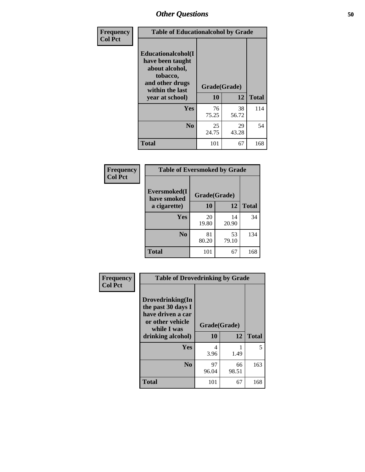| Frequency      | <b>Table of Educationalcohol by Grade</b>                                                                  |              |             |              |  |
|----------------|------------------------------------------------------------------------------------------------------------|--------------|-------------|--------------|--|
| <b>Col Pct</b> | Educationalcohol(I<br>have been taught<br>about alcohol,<br>tobacco,<br>and other drugs<br>within the last | Grade(Grade) |             |              |  |
|                | year at school)                                                                                            | 10           | 12          | <b>Total</b> |  |
|                | <b>Yes</b>                                                                                                 | 76<br>75.25  | 38<br>56.72 | 114          |  |
|                | N <sub>0</sub>                                                                                             | 25<br>24.75  | 29<br>43.28 | 54           |  |
|                | <b>Total</b>                                                                                               | 101          | 67          | 168          |  |

| Frequency      | <b>Table of Eversmoked by Grade</b> |              |             |              |  |
|----------------|-------------------------------------|--------------|-------------|--------------|--|
| <b>Col Pct</b> | Eversmoked(I<br>have smoked         | Grade(Grade) |             |              |  |
|                | a cigarette)                        | 10           | 12          | <b>Total</b> |  |
|                | <b>Yes</b>                          | 20<br>19.80  | 14<br>20.90 | 34           |  |
|                | N <sub>0</sub>                      | 81<br>80.20  | 53<br>79.10 | 134          |  |
|                | <b>Total</b>                        | 101          | 67          | 168          |  |

| Frequency      | <b>Table of Drovedrinking by Grade</b>                                                                              |                    |              |     |
|----------------|---------------------------------------------------------------------------------------------------------------------|--------------------|--------------|-----|
| <b>Col Pct</b> | Drovedrinking(In<br>the past 30 days I<br>have driven a car<br>or other vehicle<br>while I was<br>drinking alcohol) | Grade(Grade)<br>10 | <b>Total</b> |     |
|                | <b>Yes</b>                                                                                                          | 4<br>3.96          | 1.49         | 5   |
|                | N <sub>0</sub>                                                                                                      | 97<br>96.04        | 66<br>98.51  | 163 |
|                | <b>Total</b>                                                                                                        | 101                | 67           | 168 |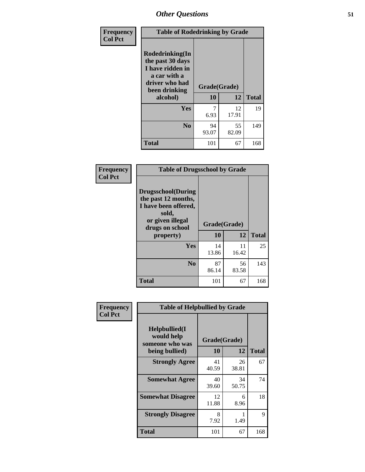| Frequency<br><b>Col Pct</b> | <b>Table of Rodedrinking by Grade</b>                                                                      |              |             |              |
|-----------------------------|------------------------------------------------------------------------------------------------------------|--------------|-------------|--------------|
|                             | Rodedrinking(In<br>the past 30 days<br>I have ridden in<br>a car with a<br>driver who had<br>been drinking | Grade(Grade) |             |              |
|                             | alcohol)                                                                                                   | 10           | 12          | <b>Total</b> |
|                             | <b>Yes</b>                                                                                                 | 6.93         | 12<br>17.91 | 19           |
|                             | N <sub>0</sub>                                                                                             | 94<br>93.07  | 55<br>82.09 | 149          |
|                             | <b>Total</b>                                                                                               | 101          | 67          | 168          |

#### **Frequency Col Pct**

| <b>Table of Drugsschool by Grade</b>                                                                                      |              |       |              |  |  |
|---------------------------------------------------------------------------------------------------------------------------|--------------|-------|--------------|--|--|
| <b>Drugsschool</b> (During<br>the past 12 months,<br>I have been offered,<br>sold,<br>or given illegal<br>drugs on school | Grade(Grade) |       |              |  |  |
|                                                                                                                           |              |       |              |  |  |
| property)                                                                                                                 | 10           | 12    | <b>Total</b> |  |  |
| Yes                                                                                                                       | 14           | 11    | 25           |  |  |
|                                                                                                                           | 13.86        | 16.42 |              |  |  |
| N <sub>0</sub>                                                                                                            | 87           | 56    | 143          |  |  |
|                                                                                                                           | 86.14        | 83.58 |              |  |  |

| Frequency      | <b>Table of Helpbullied by Grade</b>           |              |             |              |  |  |  |
|----------------|------------------------------------------------|--------------|-------------|--------------|--|--|--|
| <b>Col Pct</b> | Helpbullied(I<br>would help<br>someone who was | Grade(Grade) |             |              |  |  |  |
|                | being bullied)                                 | <b>10</b>    | 12          | <b>Total</b> |  |  |  |
|                | <b>Strongly Agree</b>                          | 41<br>40.59  | 26<br>38.81 | 67           |  |  |  |
|                | <b>Somewhat Agree</b>                          | 40<br>39.60  | 34<br>50.75 | 74           |  |  |  |
|                | <b>Somewhat Disagree</b>                       | 12<br>11.88  | 6<br>8.96   | 18           |  |  |  |
|                | <b>Strongly Disagree</b>                       | 8<br>7.92    | 1.49        | 9            |  |  |  |
|                | <b>Total</b>                                   | 101          | 67          | 168          |  |  |  |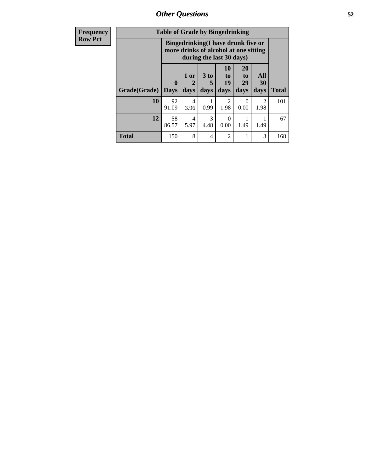*Other Questions* **52**

| <b>Frequency</b> | <b>Table of Grade by Bingedrinking</b> |                         |              |                     |                                                                                                         |                               |                        |              |
|------------------|----------------------------------------|-------------------------|--------------|---------------------|---------------------------------------------------------------------------------------------------------|-------------------------------|------------------------|--------------|
| <b>Row Pct</b>   |                                        |                         |              |                     | Bingedrinking(I have drunk five or<br>more drinks of alcohol at one sitting<br>during the last 30 days) |                               |                        |              |
|                  | Grade(Grade)                           | $\bf{0}$<br><b>Days</b> | 1 or<br>days | $3$ to<br>5<br>days | 10<br>$\mathbf{t}$<br>19<br>days                                                                        | <b>20</b><br>to<br>29<br>days | All<br>30<br>days      | <b>Total</b> |
|                  | 10                                     | 92<br>91.09             | 4<br>3.96    | 0.99                | 2<br>1.98                                                                                               | 0<br>0.00                     | $\overline{2}$<br>1.98 | 101          |
|                  | 12                                     | 58<br>86.57             | 4<br>5.97    | 3<br>4.48           | $\Omega$<br>0.00                                                                                        | 1.49                          | 1.49                   | 67           |
|                  | Total                                  | 150                     | 8            | 4                   | 2                                                                                                       | 1                             | 3                      | 168          |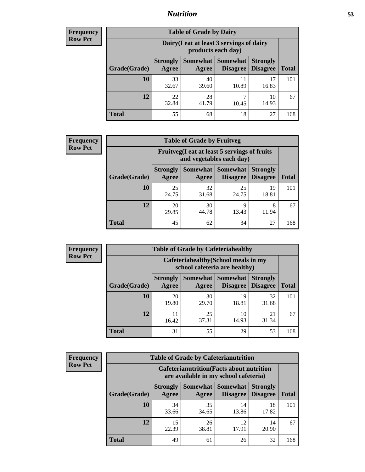## *Nutrition* **53**

| <b>Frequency</b><br>Row Pct |
|-----------------------------|
|                             |

| <b>Table of Grade by Dairy</b> |                          |                                                                 |                                    |                                    |       |  |  |
|--------------------------------|--------------------------|-----------------------------------------------------------------|------------------------------------|------------------------------------|-------|--|--|
|                                |                          | Dairy (I eat at least 3 servings of dairy<br>products each day) |                                    |                                    |       |  |  |
| Grade(Grade)                   | <b>Strongly</b><br>Agree | Somewhat<br>Agree                                               | <b>Somewhat</b><br><b>Disagree</b> | <b>Strongly</b><br><b>Disagree</b> | Total |  |  |
| 10                             | 33<br>32.67              | 40<br>39.60                                                     | 11<br>10.89                        | 17<br>16.83                        | 101   |  |  |
| 12                             | 22<br>32.84              | 28<br>41.79                                                     | ┑<br>10.45                         | 10<br>14.93                        | 67    |  |  |
| <b>Total</b>                   | 55                       | 68                                                              | 18                                 | 27                                 | 168   |  |  |

| <b>Frequency</b> |  |
|------------------|--|
| <b>Row Pct</b>   |  |

| <b>Table of Grade by Fruitveg</b>                                        |                          |             |                     |                                        |              |  |
|--------------------------------------------------------------------------|--------------------------|-------------|---------------------|----------------------------------------|--------------|--|
| Fruitveg(I eat at least 5 servings of fruits<br>and vegetables each day) |                          |             |                     |                                        |              |  |
| Grade(Grade)                                                             | <b>Strongly</b><br>Agree | Agree       | Somewhat   Somewhat | <b>Strongly</b><br>Disagree   Disagree | <b>Total</b> |  |
| 10                                                                       | 25<br>24.75              | 32<br>31.68 | 25<br>24.75         | 19<br>18.81                            | 101          |  |
| 12                                                                       | 20<br>29.85              | 30<br>44.78 | 9<br>13.43          | 8<br>11.94                             | 67           |  |
| Total                                                                    | 45                       | 62          | 34                  | 27                                     | 168          |  |

| <b>Frequency</b> | <b>Table of Grade by Cafeteriahealthy</b> |                          |                   |                                    |                                                                                                                                        |              |  |  |  |  |  |  |
|------------------|-------------------------------------------|--------------------------|-------------------|------------------------------------|----------------------------------------------------------------------------------------------------------------------------------------|--------------|--|--|--|--|--|--|
| <b>Row Pct</b>   |                                           |                          |                   | school cafeteria are healthy)      | Cafeteriahealthy (School meals in my<br><b>Strongly</b><br><b>Disagree</b><br>32<br>19<br>18.81<br>31.68<br>10<br>21<br>14.93<br>31.34 |              |  |  |  |  |  |  |
|                  | Grade(Grade)                              | <b>Strongly</b><br>Agree | Somewhat<br>Agree | <b>Somewhat</b><br><b>Disagree</b> |                                                                                                                                        | <b>Total</b> |  |  |  |  |  |  |
|                  | 10                                        | 20<br>19.80              | 30<br>29.70       |                                    |                                                                                                                                        | 101          |  |  |  |  |  |  |
|                  | 12                                        | 11<br>16.42              | 25<br>37.31       |                                    |                                                                                                                                        | 67           |  |  |  |  |  |  |
|                  | Total                                     | 31                       | 55                | 29                                 | 53                                                                                                                                     | 168          |  |  |  |  |  |  |

| <b>Frequency</b> |
|------------------|
| <b>Row Pct</b>   |

| <b>Table of Grade by Cafeterianutrition</b>                                               |                          |                     |                             |                                    |              |  |
|-------------------------------------------------------------------------------------------|--------------------------|---------------------|-----------------------------|------------------------------------|--------------|--|
| <b>Cafeterianutrition</b> (Facts about nutrition<br>are available in my school cafeteria) |                          |                     |                             |                                    |              |  |
| Grade(Grade)                                                                              | <b>Strongly</b><br>Agree | Somewhat  <br>Agree | <b>Somewhat</b><br>Disagree | <b>Strongly</b><br><b>Disagree</b> | <b>Total</b> |  |
| <b>10</b>                                                                                 | 34<br>33.66              | 35<br>34.65         | 14<br>13.86                 | 18<br>17.82                        | 101          |  |
| 12                                                                                        | 15<br>22.39              | 26<br>38.81         | 12<br>17.91                 | 14<br>20.90                        | 67           |  |
| Total                                                                                     | 49                       | 61                  | 26                          | 32                                 | 168          |  |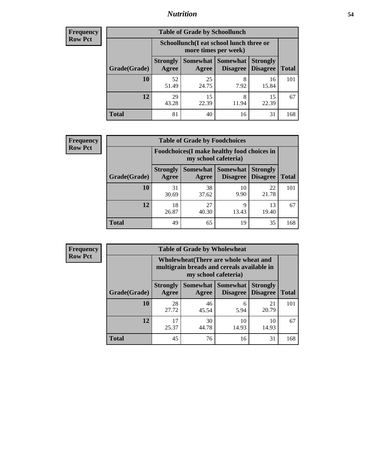## *Nutrition* **54**

| Frequency |
|-----------|
| Row Pct   |

| <b>Table of Grade by Schoollunch</b> |                                                                                                            |                                                                 |            |             |     |  |  |
|--------------------------------------|------------------------------------------------------------------------------------------------------------|-----------------------------------------------------------------|------------|-------------|-----|--|--|
|                                      |                                                                                                            | Schoollunch(I eat school lunch three or<br>more times per week) |            |             |     |  |  |
| Grade(Grade)                         | Somewhat   Somewhat<br><b>Strongly</b><br><b>Strongly</b><br><b>Disagree</b><br>Disagree<br>Agree<br>Agree |                                                                 |            |             |     |  |  |
| 10                                   | 52<br>51.49                                                                                                | 25<br>24.75                                                     | 8<br>7.92  | 16<br>15.84 | 101 |  |  |
| 12                                   | 29<br>43.28                                                                                                | 15<br>22.39                                                     | 8<br>11.94 | 15<br>22.39 | 67  |  |  |
| <b>Total</b>                         | 81                                                                                                         | 40                                                              | 16         | 31          | 168 |  |  |

| <b>Frequency</b> |  |
|------------------|--|
| <b>Row Pct</b>   |  |

| <b>Table of Grade by Foodchoices</b> |                          |                                                                     |                     |                                        |              |  |  |
|--------------------------------------|--------------------------|---------------------------------------------------------------------|---------------------|----------------------------------------|--------------|--|--|
|                                      |                          | Foodchoices (I make healthy food choices in<br>my school cafeteria) |                     |                                        |              |  |  |
| Grade(Grade)                         | <b>Strongly</b><br>Agree | Agree                                                               | Somewhat   Somewhat | <b>Strongly</b><br>Disagree   Disagree | <b>Total</b> |  |  |
| 10                                   | 31<br>30.69              | 38<br>37.62                                                         | 10<br>9.90          | 22<br>21.78                            | 101          |  |  |
| 12                                   | 18<br>26.87              | 27<br>40.30                                                         | 9<br>13.43          | 13<br>19.40                            | 67           |  |  |
| <b>Total</b>                         | 49                       | 65                                                                  | 19                  | 35                                     | 168          |  |  |

| <b>Frequency</b> |
|------------------|
| <b>Row Pct</b>   |

| <b>Table of Grade by Wholewheat</b> |                          |                                                                                                             |                                        |                                    |              |  |  |  |
|-------------------------------------|--------------------------|-------------------------------------------------------------------------------------------------------------|----------------------------------------|------------------------------------|--------------|--|--|--|
|                                     |                          | Wholewheat (There are whole wheat and<br>multigrain breads and cereals available in<br>my school cafeteria) |                                        |                                    |              |  |  |  |
| Grade(Grade)                        | <b>Strongly</b><br>Agree | Agree                                                                                                       | Somewhat   Somewhat<br><b>Disagree</b> | <b>Strongly</b><br><b>Disagree</b> | <b>Total</b> |  |  |  |
| 10                                  | 28<br>27.72              | 46<br>45.54                                                                                                 | 6<br>5.94                              | 21<br>20.79                        | 101          |  |  |  |
| 12                                  | 17<br>25.37              | 30<br>44.78                                                                                                 | 10<br>14.93                            | 10<br>14.93                        | 67           |  |  |  |
| <b>Total</b>                        | 45                       | 76                                                                                                          | 16                                     | 31                                 | 168          |  |  |  |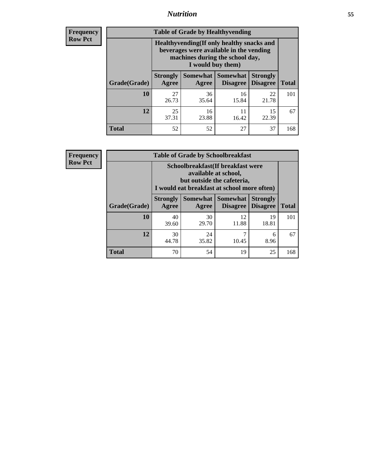## *Nutrition* **55**

**Frequency Row Pct**

| <b>Table of Grade by Healthyvending</b> |                                                                                                                                               |                          |                                    |                                    |              |  |  |
|-----------------------------------------|-----------------------------------------------------------------------------------------------------------------------------------------------|--------------------------|------------------------------------|------------------------------------|--------------|--|--|
|                                         | Healthyvending (If only healthy snacks and<br>beverages were available in the vending<br>machines during the school day,<br>I would buy them) |                          |                                    |                                    |              |  |  |
| Grade(Grade)                            | <b>Strongly</b><br>Agree                                                                                                                      | <b>Somewhat</b><br>Agree | <b>Somewhat</b><br><b>Disagree</b> | <b>Strongly</b><br><b>Disagree</b> | <b>Total</b> |  |  |
| 10                                      | 27<br>26.73                                                                                                                                   | 36<br>35.64              | 16<br>15.84                        | 22<br>21.78                        | 101          |  |  |
| 12                                      | 25<br>37.31                                                                                                                                   | 16<br>23.88              | 11<br>16.42                        | 15<br>22.39                        | 67           |  |  |
| <b>Total</b>                            | 52                                                                                                                                            | 52                       | 27                                 | 37                                 | 168          |  |  |

**Frequency Row Pct**

| <b>Table of Grade by Schoolbreakfast</b> |                                                                                                                                         |             |                     |                                        |              |  |  |
|------------------------------------------|-----------------------------------------------------------------------------------------------------------------------------------------|-------------|---------------------|----------------------------------------|--------------|--|--|
|                                          | Schoolbreakfast (If breakfast were<br>available at school,<br>but outside the cafeteria,<br>I would eat breakfast at school more often) |             |                     |                                        |              |  |  |
| Grade(Grade)                             | <b>Strongly</b><br>Agree                                                                                                                | Agree       | Somewhat   Somewhat | <b>Strongly</b><br>Disagree   Disagree | <b>Total</b> |  |  |
| 10                                       | 40<br>39.60                                                                                                                             | 30<br>29.70 | 12<br>11.88         | 19<br>18.81                            | 101          |  |  |
| 12                                       | 30<br>44.78                                                                                                                             | 24<br>35.82 | 7<br>10.45          | 6<br>8.96                              | 67           |  |  |
| <b>Total</b>                             | 70                                                                                                                                      | 54          | 19                  | 25                                     | 168          |  |  |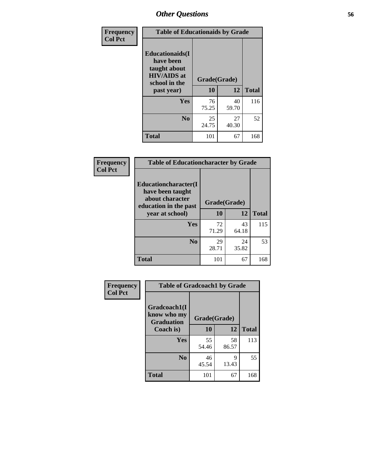| Frequency      | <b>Table of Educationaids by Grade</b>                                                                    |                    |             |              |
|----------------|-----------------------------------------------------------------------------------------------------------|--------------------|-------------|--------------|
| <b>Col Pct</b> | <b>Educationaids</b> (I<br>have been<br>taught about<br><b>HIV/AIDS</b> at<br>school in the<br>past year) | Grade(Grade)<br>10 | 12          | <b>Total</b> |
|                | Yes                                                                                                       | 76<br>75.25        | 40<br>59.70 | 116          |
|                | N <sub>0</sub>                                                                                            | 25<br>24.75        | 27<br>40.30 | 52           |
|                | <b>Total</b>                                                                                              | 101                | 67          | 168          |

| Frequency      | <b>Table of Educationcharacter by Grade</b>                                          |              |             |              |
|----------------|--------------------------------------------------------------------------------------|--------------|-------------|--------------|
| <b>Col Pct</b> | Educationcharacter(I<br>have been taught<br>about character<br>education in the past | Grade(Grade) |             |              |
|                | year at school)                                                                      | 10           | 12          | <b>Total</b> |
|                | Yes                                                                                  | 72<br>71.29  | 43<br>64.18 | 115          |
|                | N <sub>0</sub>                                                                       | 29<br>28.71  | 24<br>35.82 | 53           |
|                | <b>Total</b>                                                                         | 101          | 67          | 168          |

| Frequency      | <b>Table of Gradcoach1 by Grade</b>              |              |             |              |
|----------------|--------------------------------------------------|--------------|-------------|--------------|
| <b>Col Pct</b> |                                                  |              |             |              |
|                | Gradcoach1(I<br>know who my<br><b>Graduation</b> | Grade(Grade) |             |              |
|                | Coach is)                                        | 10           | 12          | <b>Total</b> |
|                | <b>Yes</b>                                       | 55<br>54.46  | 58<br>86.57 | 113          |
|                | N <sub>0</sub>                                   | 46<br>45.54  | 9<br>13.43  | 55           |
|                | <b>Total</b>                                     | 101          | 67          | 168          |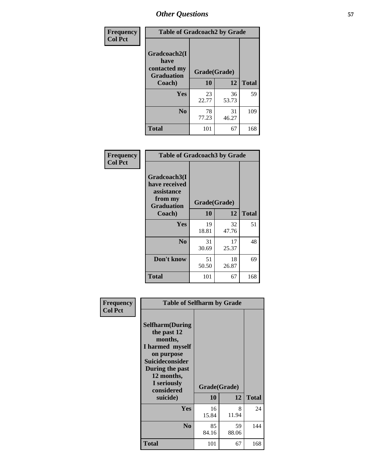| Frequency      | <b>Table of Gradcoach2 by Grade</b> |              |             |              |
|----------------|-------------------------------------|--------------|-------------|--------------|
| <b>Col Pct</b> | Gradcoach2(I<br>have                |              |             |              |
|                | contacted my<br><b>Graduation</b>   | Grade(Grade) |             |              |
|                | Coach)                              | 10           | 12          | <b>Total</b> |
|                | Yes                                 | 23<br>22.77  | 36<br>53.73 | 59           |
|                | N <sub>0</sub>                      | 78<br>77.23  | 31<br>46.27 | 109          |
|                | <b>Total</b>                        | 101          | 67          | 168          |

| <b>Frequency</b><br><b>Col Pct</b> | <b>Table of Gradcoach3 by Grade</b>                                         |              |             |              |
|------------------------------------|-----------------------------------------------------------------------------|--------------|-------------|--------------|
|                                    | Gradcoach3(I<br>have received<br>assistance<br>from my<br><b>Graduation</b> | Grade(Grade) |             |              |
|                                    | Coach)                                                                      | 10           | 12          | <b>Total</b> |
|                                    | Yes                                                                         | 19<br>18.81  | 32<br>47.76 | 51           |
|                                    | N <sub>0</sub>                                                              | 31<br>30.69  | 17<br>25.37 | 48           |
|                                    | Don't know                                                                  | 51<br>50.50  | 18<br>26.87 | 69           |
|                                    | <b>Total</b>                                                                | 101          | 67          | 168          |

| Frequency      | <b>Table of Selfharm by Grade</b>                                                                                                                                                      |                    |             |              |
|----------------|----------------------------------------------------------------------------------------------------------------------------------------------------------------------------------------|--------------------|-------------|--------------|
| <b>Col Pct</b> | <b>Selfharm</b> (During<br>the past 12<br>months,<br>I harmed myself<br>on purpose<br><b>Suicideconsider</b><br>During the past<br>12 months,<br>I seriously<br>considered<br>suicide) | Grade(Grade)<br>10 | 12          | <b>Total</b> |
|                | Yes                                                                                                                                                                                    | 16<br>15.84        | 8<br>11.94  | 24           |
|                | N <sub>0</sub>                                                                                                                                                                         | 85<br>84.16        | 59<br>88.06 | 144          |
|                | Total                                                                                                                                                                                  | 101                | 67          | 168          |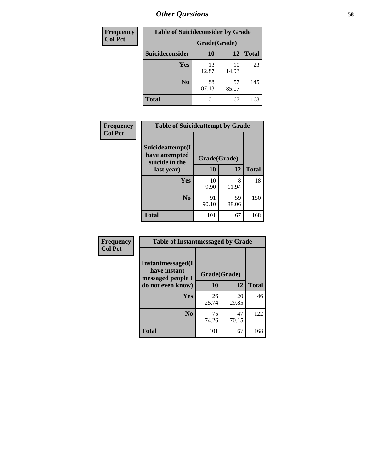| <b>Frequency</b> | <b>Table of Suicideconsider by Grade</b> |              |             |              |
|------------------|------------------------------------------|--------------|-------------|--------------|
| <b>Col Pct</b>   |                                          | Grade(Grade) |             |              |
|                  | <b>Suicideconsider</b>                   | <b>10</b>    | 12          | <b>Total</b> |
|                  | Yes                                      | 13<br>12.87  | 10<br>14.93 | 23           |
|                  | N <sub>0</sub>                           | 88<br>87.13  | 57<br>85.07 | 145          |
|                  | <b>Total</b>                             | 101          | 67          | 168          |

| Frequency      | <b>Table of Suicideattempt by Grade</b>              |              |             |              |
|----------------|------------------------------------------------------|--------------|-------------|--------------|
| <b>Col Pct</b> | Suicideattempt(I<br>have attempted<br>suicide in the | Grade(Grade) |             |              |
|                | last year)                                           | 10           | 12          | <b>Total</b> |
|                | Yes                                                  | 10<br>9.90   | 8<br>11.94  | 18           |
|                | $\bf No$                                             | 91<br>90.10  | 59<br>88.06 | 150          |
|                | <b>Total</b>                                         | 101          | 67          | 168          |

| Frequency      | <b>Table of Instantmessaged by Grade</b>               |              |             |              |  |
|----------------|--------------------------------------------------------|--------------|-------------|--------------|--|
| <b>Col Pct</b> | Instantmessaged(I<br>have instant<br>messaged people I | Grade(Grade) |             |              |  |
|                | do not even know)                                      | 10           | 12          | <b>Total</b> |  |
|                | Yes                                                    | 26<br>25.74  | 20<br>29.85 | 46           |  |
|                | N <sub>0</sub>                                         | 75<br>74.26  | 47<br>70.15 | 122          |  |
|                | <b>Total</b>                                           | 101          | 67          | 168          |  |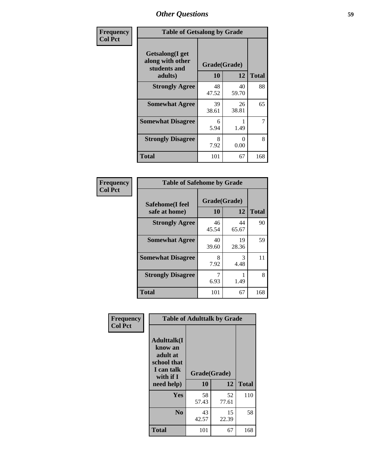| Frequency      | <b>Table of Getsalong by Grade</b>                          |              |             |              |
|----------------|-------------------------------------------------------------|--------------|-------------|--------------|
| <b>Col Pct</b> | <b>Getsalong</b> (I get<br>along with other<br>students and | Grade(Grade) |             |              |
|                | adults)                                                     | 10           | 12          | <b>Total</b> |
|                | <b>Strongly Agree</b>                                       | 48<br>47.52  | 40<br>59.70 | 88           |
|                | <b>Somewhat Agree</b>                                       | 39<br>38.61  | 26<br>38.81 | 65           |
|                | <b>Somewhat Disagree</b>                                    | 6<br>5.94    | 1.49        | 7            |
|                | <b>Strongly Disagree</b>                                    | 8<br>7.92    | 0<br>0.00   | 8            |
|                | Total                                                       | 101          | 67          | 168          |

| Frequency      | <b>Table of Safehome by Grade</b> |                    |             |              |  |
|----------------|-----------------------------------|--------------------|-------------|--------------|--|
| <b>Col Pct</b> | Safehome(I feel<br>safe at home)  | Grade(Grade)<br>10 | 12          | <b>Total</b> |  |
|                | <b>Strongly Agree</b>             | 46<br>45.54        | 44<br>65.67 | 90           |  |
|                | <b>Somewhat Agree</b>             | 40<br>39.60        | 19<br>28.36 | 59           |  |
|                | <b>Somewhat Disagree</b>          | 8<br>7.92          | 3<br>4.48   | 11           |  |
|                | <b>Strongly Disagree</b>          | 6.93               | 1.49        | 8            |  |
|                | <b>Total</b>                      | 101                | 67          | 168          |  |

| Frequency      | <b>Table of Adulttalk by Grade</b>                                                     |              |             |              |
|----------------|----------------------------------------------------------------------------------------|--------------|-------------|--------------|
| <b>Col Pct</b> | <b>Adulttalk</b> (I<br>know an<br>adult at<br>school that<br>I can talk<br>with if $I$ | Grade(Grade) |             |              |
|                | need help)                                                                             | 10           | 12          | <b>Total</b> |
|                | <b>Yes</b>                                                                             | 58<br>57.43  | 52<br>77.61 | 110          |
|                | N <sub>0</sub>                                                                         | 43<br>42.57  | 15<br>22.39 | 58           |
|                | <b>Total</b>                                                                           | 101          | 67          | 168          |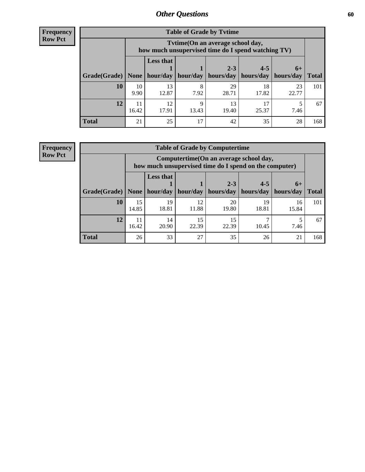**Frequency Row Pct**

| <b>Table of Grade by Tytime</b> |             |                                                                                                                             |            |             |             |             |     |  |  |  |
|---------------------------------|-------------|-----------------------------------------------------------------------------------------------------------------------------|------------|-------------|-------------|-------------|-----|--|--|--|
|                                 |             | Tvtime(On an average school day,<br>how much unsupervised time do I spend watching TV)                                      |            |             |             |             |     |  |  |  |
| Grade(Grade)   None             |             | <b>Less that</b><br>$2 - 3$<br>$4 - 5$<br>$6+$<br>$hour/day$   hour/day   hours/day   hours/day   hours/day<br><b>Total</b> |            |             |             |             |     |  |  |  |
| 10                              | 10<br>9.90  | 13<br>12.87                                                                                                                 | 8<br>7.92  | 29<br>28.71 | 18<br>17.82 | 23<br>22.77 | 101 |  |  |  |
| 12                              | 11<br>16.42 | 12<br>17.91                                                                                                                 | q<br>13.43 | 13<br>19.40 | 25.37       | 7.46        | 67  |  |  |  |
| <b>Total</b>                    | 21          | 25                                                                                                                          | 17         | 42          | 35          | 28          | 168 |  |  |  |

**Frequency Row Pct**

| <b>Table of Grade by Computertime</b> |             |                                                                                                                               |             |             |             |             |     |  |  |
|---------------------------------------|-------------|-------------------------------------------------------------------------------------------------------------------------------|-------------|-------------|-------------|-------------|-----|--|--|
|                                       |             | Computertime (On an average school day,<br>how much unsupervised time do I spend on the computer)                             |             |             |             |             |     |  |  |
| Grade(Grade)                          | None        | <b>Less that</b><br>$4 - 5$<br>$2 - 3$<br>$6+$<br>hour/day<br>hours/day<br>hours/day<br>hour/day<br>hours/day<br><b>Total</b> |             |             |             |             |     |  |  |
| 10                                    | 15<br>14.85 | 19<br>18.81                                                                                                                   | 12<br>11.88 | 20<br>19.80 | 19<br>18.81 | 16<br>15.84 | 101 |  |  |
| 12                                    | 11<br>16.42 | 14<br>20.90                                                                                                                   | 15<br>22.39 | 15<br>22.39 | 10.45       | 7.46        | 67  |  |  |
| <b>Total</b>                          | 26          | 33                                                                                                                            | 27          | 35          | 26          | 21          | 168 |  |  |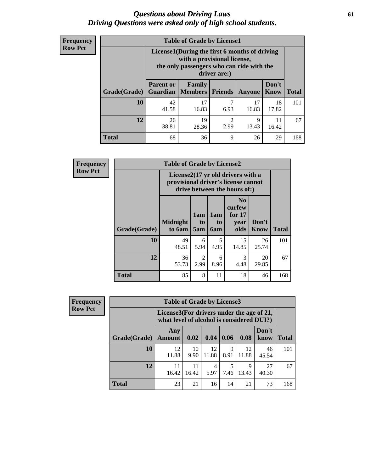### *Questions about Driving Laws* **61** *Driving Questions were asked only of high school students.*

| <b>Frequency</b> |
|------------------|
| <b>Row Pct</b>   |

| <b>Table of Grade by License1</b> |                                     |                                                                                                                                           |                        |             |             |     |  |  |  |
|-----------------------------------|-------------------------------------|-------------------------------------------------------------------------------------------------------------------------------------------|------------------------|-------------|-------------|-----|--|--|--|
|                                   |                                     | License1(During the first 6 months of driving<br>with a provisional license,<br>the only passengers who can ride with the<br>driver are:) |                        |             |             |     |  |  |  |
| Grade(Grade)                      | <b>Parent or</b><br><b>Guardian</b> | Don't<br>Family<br><b>Members</b><br><b>Total</b><br><b>Friends</b><br>Know<br><b>Anyone</b>                                              |                        |             |             |     |  |  |  |
| 10                                | 42<br>41.58                         | 17<br>16.83                                                                                                                               | ℸ<br>6.93              | 17<br>16.83 | 18<br>17.82 | 101 |  |  |  |
| 12                                | 26<br>38.81                         | 19<br>28.36                                                                                                                               | $\overline{2}$<br>2.99 | 9<br>13.43  | 11<br>16.42 | 67  |  |  |  |
| <b>Total</b>                      | 68                                  | 36                                                                                                                                        | 9                      | 26          | 29          | 168 |  |  |  |

| <b>Frequency</b> |              | <b>Table of Grade by License2</b>                                                                        |                              |                         |                                                      |                      |              |  |  |  |
|------------------|--------------|----------------------------------------------------------------------------------------------------------|------------------------------|-------------------------|------------------------------------------------------|----------------------|--------------|--|--|--|
| <b>Row Pct</b>   |              | License2(17 yr old drivers with a<br>provisional driver's license cannot<br>drive between the hours of:) |                              |                         |                                                      |                      |              |  |  |  |
|                  | Grade(Grade) | <b>Midnight</b><br>to 6am                                                                                | 1am<br>t <sub>0</sub><br>5am | 1am<br>to<br><b>6am</b> | N <sub>0</sub><br>curfew<br>for $17$<br>vear<br>olds | Don't<br><b>Know</b> | <b>Total</b> |  |  |  |
|                  | 10           | 49<br>48.51                                                                                              | 6<br>5.94                    | 5<br>4.95               | 15<br>14.85                                          | 26<br>25.74          | 101          |  |  |  |
|                  | 12           | 36<br>53.73                                                                                              | 2<br>2.99                    | 6<br>8.96               | 3<br>4.48                                            | 20<br>29.85          | 67           |  |  |  |
|                  | <b>Total</b> | 85                                                                                                       | 8                            | 11                      | 18                                                   | 46                   | 168          |  |  |  |

| <b>Frequency</b> |              | <b>Table of Grade by License3</b> |                                                                                        |             |           |             |               |              |  |
|------------------|--------------|-----------------------------------|----------------------------------------------------------------------------------------|-------------|-----------|-------------|---------------|--------------|--|
| <b>Row Pct</b>   |              |                                   | License3(For drivers under the age of 21,<br>what level of alcohol is considered DUI?) |             |           |             |               |              |  |
|                  | Grade(Grade) | Any<br><b>Amount</b>              | 0.02                                                                                   | 0.04        | 0.06      | 0.08        | Don't<br>know | <b>Total</b> |  |
|                  | 10           | 12<br>11.88                       | 10<br>9.90                                                                             | 12<br>11.88 | 9<br>8.91 | 12<br>11.88 | 46<br>45.54   | 101          |  |
|                  | 12           | 11<br>16.42                       | 11<br>16.42                                                                            | 4<br>5.97   | 5<br>7.46 | 9<br>13.43  | 27<br>40.30   | 67           |  |
|                  | <b>Total</b> | 23                                | 21                                                                                     | 16          | 14        | 21          | 73            | 168          |  |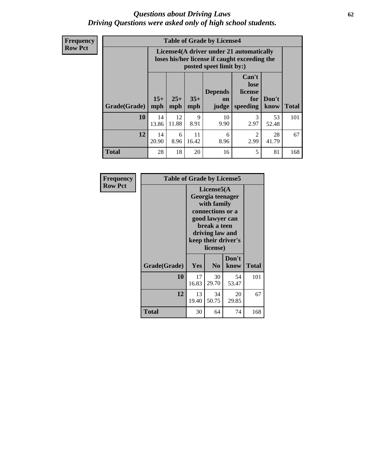### *Questions about Driving Laws* **62** *Driving Questions were asked only of high school students.*

**Frequency Row Pct**

| <b>Table of Grade by License4</b> |              |                                                                                                                               |             |            |           |             |     |  |
|-----------------------------------|--------------|-------------------------------------------------------------------------------------------------------------------------------|-------------|------------|-----------|-------------|-----|--|
|                                   |              | License4(A driver under 21 automatically<br>loses his/her license if caught exceeding the<br>posted speet limit by:)          |             |            |           |             |     |  |
| Grade(Grade)                      | $15+$<br>mph | Can't<br>lose<br><b>Depends</b><br>license<br>$25+$<br>$35+$<br>Don't<br>for<br>on<br>mph<br>speeding<br>know<br>mph<br>judge |             |            |           |             |     |  |
| 10                                | 14<br>13.86  | 12<br>11.88                                                                                                                   | 9<br>8.91   | 10<br>9.90 | 3<br>2.97 | 53<br>52.48 | 101 |  |
| 12                                | 14<br>20.90  | 6<br>8.96                                                                                                                     | 11<br>16.42 | 6<br>8.96  | 2<br>2.99 | 28<br>41.79 | 67  |  |
| <b>Total</b>                      | 28           | 18                                                                                                                            | 20          | 16         | 5         | 81          | 168 |  |

| Frequency      | <b>Table of Grade by License5</b> |             |                                                                                                                                      |                     |              |
|----------------|-----------------------------------|-------------|--------------------------------------------------------------------------------------------------------------------------------------|---------------------|--------------|
| <b>Row Pct</b> |                                   |             | License5(A)<br>Georgia teenager<br>with family<br>connections or a<br>good lawyer can<br>break a teen<br>driving law and<br>license) | keep their driver's |              |
|                | Grade(Grade)                      | Yes         | N <sub>0</sub>                                                                                                                       | Don't<br>know       | <b>Total</b> |
|                | 10                                | 17<br>16.83 | 30<br>29.70                                                                                                                          | 54<br>53.47         | 101          |
|                | 12                                | 13<br>19.40 | 34<br>50.75                                                                                                                          | 20<br>29.85         | 67           |
|                | <b>Total</b>                      | 30          | 64                                                                                                                                   | 74                  | 168          |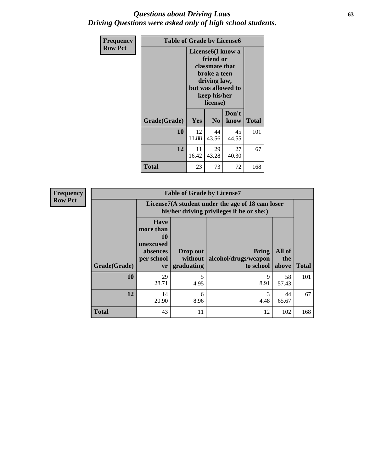## *Questions about Driving Laws* **63** *Driving Questions were asked only of high school students.*

| <b>Frequency</b> | <b>Table of Grade by License6</b> |                                        |                                                                                                                           |                    |     |
|------------------|-----------------------------------|----------------------------------------|---------------------------------------------------------------------------------------------------------------------------|--------------------|-----|
| <b>Row Pct</b>   |                                   |                                        | License <sub>6</sub> (I know a<br>friend or<br>classmate that<br>broke a teen<br>driving law,<br>keep his/her<br>license) | but was allowed to |     |
|                  | Grade(Grade)                      | Don't<br>Yes<br>N <sub>0</sub><br>know |                                                                                                                           | <b>Total</b>       |     |
|                  | 10                                | 12<br>11.88                            | 44<br>43.56                                                                                                               | 45<br>44.55        | 101 |
|                  | 12                                | 11<br>16.42                            | 29<br>43.28                                                                                                               | 27<br>40.30        | 67  |
|                  | <b>Total</b>                      | 23                                     | 73                                                                                                                        | 72                 | 168 |

| <b>Frequency</b> | <b>Table of Grade by License7</b> |                                                                             |                                                                                               |                                                   |                        |              |  |  |
|------------------|-----------------------------------|-----------------------------------------------------------------------------|-----------------------------------------------------------------------------------------------|---------------------------------------------------|------------------------|--------------|--|--|
| <b>Row Pct</b>   |                                   |                                                                             | License7(A student under the age of 18 cam loser<br>his/her driving privileges if he or she:) |                                                   |                        |              |  |  |
|                  | Grade(Grade)                      | <b>Have</b><br>more than<br>10<br>unexcused<br>absences<br>per school<br>yr | Drop out<br>without  <br>graduating                                                           | <b>Bring</b><br>alcohol/drugs/weapon<br>to school | All of<br>the<br>above | <b>Total</b> |  |  |
|                  | 10                                | 29<br>28.71                                                                 | 5<br>4.95                                                                                     | 9<br>8.91                                         | 58<br>57.43            | 101          |  |  |
|                  | 12                                | 14<br>20.90                                                                 | 6<br>8.96                                                                                     | 3<br>4.48                                         | 44<br>65.67            | 67           |  |  |
|                  | <b>Total</b>                      | 43                                                                          | 11                                                                                            | 12                                                | 102                    | 168          |  |  |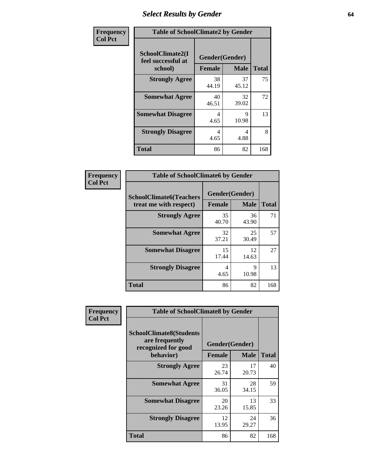# *Select Results by Gender* **64**

| Frequency      | <b>Table of SchoolClimate2 by Gender</b>          |                                 |                            |     |  |  |  |
|----------------|---------------------------------------------------|---------------------------------|----------------------------|-----|--|--|--|
| <b>Col Pct</b> | SchoolClimate2(I<br>feel successful at<br>school) | Gender(Gender)<br><b>Female</b> | <b>Total</b>               |     |  |  |  |
|                | <b>Strongly Agree</b>                             | 38<br>44.19                     | <b>Male</b><br>37<br>45.12 | 75  |  |  |  |
|                | <b>Somewhat Agree</b>                             | 40<br>46.51                     | 32<br>39.02                | 72  |  |  |  |
|                | <b>Somewhat Disagree</b>                          | 4<br>4.65                       | 9<br>10.98                 | 13  |  |  |  |
|                | <b>Strongly Disagree</b>                          | 4<br>4.65                       | 4<br>4.88                  | 8   |  |  |  |
|                | <b>Total</b>                                      | 86                              | 82                         | 168 |  |  |  |

| <b>Frequency</b> | <b>Table of SchoolClimate6 by Gender</b>                 |                                 |             |              |
|------------------|----------------------------------------------------------|---------------------------------|-------------|--------------|
| <b>Col Pct</b>   | <b>SchoolClimate6(Teachers</b><br>treat me with respect) | Gender(Gender)<br><b>Female</b> | <b>Male</b> | <b>Total</b> |
|                  | <b>Strongly Agree</b>                                    | 35<br>40.70                     | 36<br>43.90 | 71           |
|                  | <b>Somewhat Agree</b>                                    | 32<br>37.21                     | 25<br>30.49 | 57           |
|                  | <b>Somewhat Disagree</b>                                 | 15<br>17.44                     | 12<br>14.63 | 27           |
|                  | <b>Strongly Disagree</b>                                 | 4<br>4.65                       | 9<br>10.98  | 13           |
|                  | <b>Total</b>                                             | 86                              | 82          | 168          |

| Frequency      | <b>Table of SchoolClimate8 by Gender</b>                                             |                                 |             |              |
|----------------|--------------------------------------------------------------------------------------|---------------------------------|-------------|--------------|
| <b>Col Pct</b> | <b>SchoolClimate8(Students</b><br>are frequently<br>recognized for good<br>behavior) | Gender(Gender)<br><b>Female</b> | <b>Male</b> | <b>Total</b> |
|                | <b>Strongly Agree</b>                                                                | 23                              | 17          | 40           |
|                | <b>Somewhat Agree</b>                                                                | 26.74<br>31                     | 20.73<br>28 | 59           |
|                |                                                                                      | 36.05                           | 34.15       |              |
|                | <b>Somewhat Disagree</b>                                                             | 20<br>23.26                     | 13<br>15.85 | 33           |
|                | <b>Strongly Disagree</b>                                                             | 12<br>13.95                     | 24<br>29.27 | 36           |
|                | Total                                                                                | 86                              | 82          | 168          |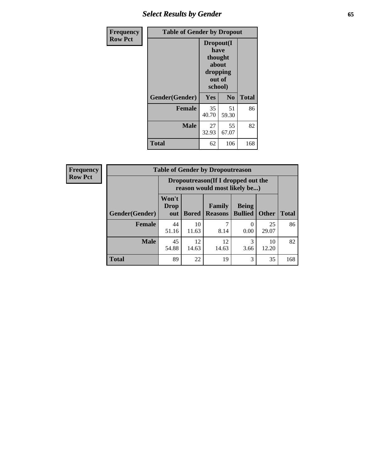# *Select Results by Gender* **65**

| Frequency      | <b>Table of Gender by Dropout</b> |                                                                        |                |              |
|----------------|-----------------------------------|------------------------------------------------------------------------|----------------|--------------|
| <b>Row Pct</b> |                                   | Dropout(I<br>have<br>thought<br>about<br>dropping<br>out of<br>school) |                |              |
|                | Gender(Gender)                    | Yes                                                                    | N <sub>0</sub> | <b>Total</b> |
|                | <b>Female</b>                     | 35<br>40.70                                                            | 51<br>59.30    | 86           |
|                | <b>Male</b>                       | 27<br>32.93                                                            | 55<br>67.07    | 82           |
|                | <b>Total</b>                      | 62                                                                     | 106            | 168          |

| <b>Frequency</b> |                | <b>Table of Gender by Dropoutreason</b>                             |              |                                 |                                |              |              |
|------------------|----------------|---------------------------------------------------------------------|--------------|---------------------------------|--------------------------------|--------------|--------------|
| <b>Row Pct</b>   |                | Dropoutreason (If I dropped out the<br>reason would most likely be) |              |                                 |                                |              |              |
|                  | Gender(Gender) | Won't<br><b>Drop</b><br>out                                         | <b>Bored</b> | <b>Family</b><br><b>Reasons</b> | <b>Being</b><br><b>Bullied</b> | <b>Other</b> | <b>Total</b> |
|                  | <b>Female</b>  | 44<br>51.16                                                         | 10<br>11.63  | ┑<br>8.14                       | $\Omega$<br>0.00               | 25<br>29.07  | 86           |
|                  | <b>Male</b>    | 45<br>54.88                                                         | 12<br>14.63  | 12<br>14.63                     | 3<br>3.66                      | 10<br>12.20  | 82           |
|                  | <b>Total</b>   | 89                                                                  | 22           | 19                              | 3                              | 35           | 168          |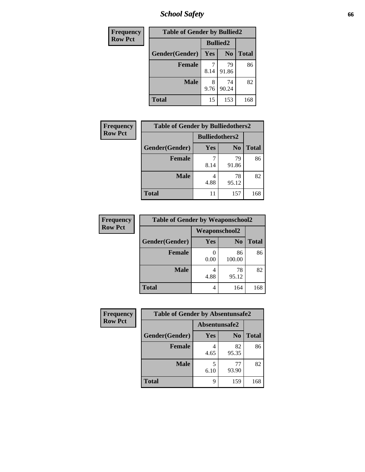*School Safety* **66**

| Frequency      | <b>Table of Gender by Bullied2</b> |                 |                |              |
|----------------|------------------------------------|-----------------|----------------|--------------|
| <b>Row Pct</b> |                                    | <b>Bullied2</b> |                |              |
|                | Gender(Gender)                     | <b>Yes</b>      | N <sub>0</sub> | <b>Total</b> |
|                | <b>Female</b>                      | 8.14            | 79<br>91.86    | 86           |
|                | <b>Male</b>                        | 8<br>9.76       | 74<br>90.24    | 82           |
|                | <b>Total</b>                       | 15              | 153            | 168          |

| Frequency      | <b>Table of Gender by Bulliedothers2</b> |                       |                |              |
|----------------|------------------------------------------|-----------------------|----------------|--------------|
| <b>Row Pct</b> |                                          | <b>Bulliedothers2</b> |                |              |
|                | Gender(Gender)                           | <b>Yes</b>            | N <sub>0</sub> | <b>Total</b> |
|                | <b>Female</b>                            | 8.14                  | 79<br>91.86    | 86           |
|                | <b>Male</b>                              | 4.88                  | 78<br>95.12    | 82           |
|                | Total                                    |                       | 157            | 168          |

| Frequency      | <b>Table of Gender by Weaponschool2</b> |                      |                |              |
|----------------|-----------------------------------------|----------------------|----------------|--------------|
| <b>Row Pct</b> |                                         | <b>Weaponschool2</b> |                |              |
|                | Gender(Gender)                          | Yes                  | N <sub>0</sub> | <b>Total</b> |
|                | <b>Female</b>                           | 0.00                 | 86<br>100.00   | 86           |
|                | <b>Male</b>                             | 4.88                 | 78<br>95.12    | 82           |
|                | <b>Total</b>                            | 4                    | 164            | 168          |

| <b>Frequency</b> | <b>Table of Gender by Absentunsafe2</b> |               |                |              |
|------------------|-----------------------------------------|---------------|----------------|--------------|
| <b>Row Pct</b>   |                                         | Absentunsafe2 |                |              |
|                  | Gender(Gender)                          | Yes           | N <sub>0</sub> | <b>Total</b> |
|                  | <b>Female</b>                           | 4.65          | 82<br>95.35    | 86           |
|                  | <b>Male</b>                             | 6.10          | 77<br>93.90    | 82           |
|                  | <b>Total</b>                            | q             | 159            | 168          |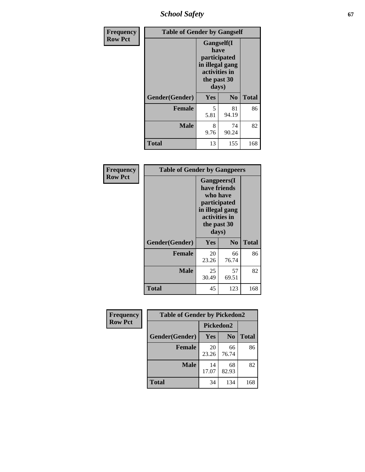*School Safety* **67**

| Frequency      | <b>Table of Gender by Gangself</b> |                                                                                                |                |              |
|----------------|------------------------------------|------------------------------------------------------------------------------------------------|----------------|--------------|
| <b>Row Pct</b> |                                    | Gangself(I<br>have<br>participated<br>in illegal gang<br>activities in<br>the past 30<br>days) |                |              |
|                | Gender(Gender)                     | Yes                                                                                            | N <sub>0</sub> | <b>Total</b> |
|                | <b>Female</b>                      | 5<br>5.81                                                                                      | 81<br>94.19    | 86           |
|                | <b>Male</b>                        | 8<br>9.76                                                                                      | 74<br>90.24    | 82           |
|                | <b>Total</b>                       | 13                                                                                             | 155            | 168          |

| <b>Frequency</b> | <b>Table of Gender by Gangpeers</b> |                                                                                                                             |                |              |
|------------------|-------------------------------------|-----------------------------------------------------------------------------------------------------------------------------|----------------|--------------|
| <b>Row Pct</b>   |                                     | <b>Gangpeers</b> (I<br>have friends<br>who have<br>participated<br>in illegal gang<br>activities in<br>the past 30<br>days) |                |              |
|                  | Gender(Gender)                      | Yes                                                                                                                         | N <sub>0</sub> | <b>Total</b> |
|                  | <b>Female</b>                       | 20<br>23.26                                                                                                                 | 66<br>76.74    | 86           |
|                  | <b>Male</b>                         | 25<br>30.49                                                                                                                 | 57<br>69.51    | 82           |
|                  | <b>Total</b>                        | 45                                                                                                                          | 123            | 168          |

| <b>Frequency</b> | <b>Table of Gender by Pickedon2</b> |             |                |              |
|------------------|-------------------------------------|-------------|----------------|--------------|
| <b>Row Pct</b>   |                                     | Pickedon2   |                |              |
|                  | Gender(Gender)                      | Yes         | N <sub>o</sub> | <b>Total</b> |
|                  | <b>Female</b>                       | 20<br>23.26 | 66<br>76.74    | 86           |
|                  | <b>Male</b>                         | 14<br>17.07 | 68<br>82.93    | 82           |
|                  | <b>Total</b>                        | 34          | 134            | 168          |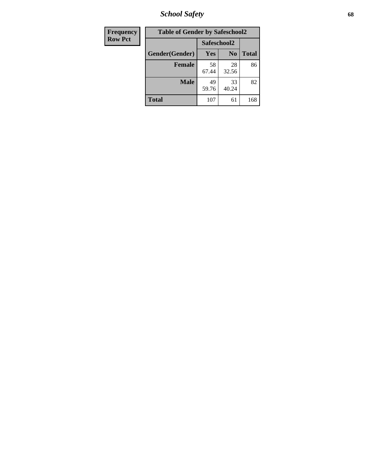*School Safety* **68**

| Frequency                     | <b>Table of Gender by Safeschool2</b> |             |                |              |
|-------------------------------|---------------------------------------|-------------|----------------|--------------|
| <b>Row Pct</b><br>Safeschool2 |                                       |             |                |              |
|                               | Gender(Gender)                        | Yes         | N <sub>0</sub> | <b>Total</b> |
|                               | <b>Female</b>                         | 58<br>67.44 | 28<br>32.56    | 86           |
|                               | <b>Male</b>                           | 49<br>59.76 | 33<br>40.24    | 82           |
|                               | <b>Total</b>                          | 107         | 61             | 168          |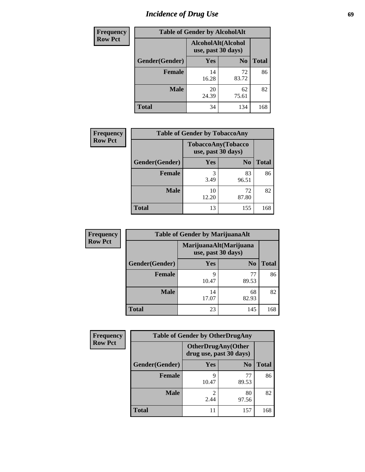# *Incidence of Drug Use* 69

| <b>Frequency</b> | <b>Table of Gender by AlcoholAlt</b> |                                          |                |              |  |  |
|------------------|--------------------------------------|------------------------------------------|----------------|--------------|--|--|
| <b>Row Pct</b>   |                                      | AlcoholAlt(Alcohol<br>use, past 30 days) |                |              |  |  |
|                  | Gender(Gender)                       | Yes                                      | N <sub>0</sub> | <b>Total</b> |  |  |
|                  | Female                               | 14<br>16.28                              | 72<br>83.72    | 86           |  |  |
|                  | <b>Male</b>                          | 20<br>24.39                              | 62<br>75.61    | 82           |  |  |
|                  | <b>Total</b>                         | 34                                       | 134            | 168          |  |  |

| Frequency      | <b>Table of Gender by TobaccoAny</b> |                    |                    |              |
|----------------|--------------------------------------|--------------------|--------------------|--------------|
| <b>Row Pct</b> |                                      | use, past 30 days) | TobaccoAny(Tobacco |              |
|                | Gender(Gender)                       | Yes                | N <sub>0</sub>     | <b>Total</b> |
|                | <b>Female</b>                        | 3.49               | 83<br>96.51        | 86           |
|                | <b>Male</b>                          | 10<br>12.20        | 72<br>87.80        | 82           |
|                | <b>Total</b>                         | 13                 | 155                | 168          |

| <b>Frequency</b> | <b>Table of Gender by MarijuanaAlt</b> |                    |                        |       |  |
|------------------|----------------------------------------|--------------------|------------------------|-------|--|
| <b>Row Pct</b>   |                                        | use, past 30 days) | MarijuanaAlt(Marijuana |       |  |
|                  | Gender(Gender)                         | <b>Yes</b>         | N <sub>0</sub>         | Total |  |
|                  | <b>Female</b>                          | 9<br>10.47         | 77<br>89.53            | 86    |  |
|                  | <b>Male</b>                            | 14<br>17.07        | 68<br>82.93            | 82    |  |
|                  | <b>Total</b>                           | 23                 | 145                    | 168   |  |

| <b>Frequency</b> | <b>Table of Gender by OtherDrugAny</b> |                         |                           |              |
|------------------|----------------------------------------|-------------------------|---------------------------|--------------|
| <b>Row Pct</b>   |                                        | drug use, past 30 days) | <b>OtherDrugAny(Other</b> |              |
|                  | Gender(Gender)                         | <b>Yes</b>              | N <sub>0</sub>            | <b>Total</b> |
|                  | <b>Female</b>                          | 9<br>10.47              | 77<br>89.53               | 86           |
|                  | <b>Male</b>                            | 2.44                    | 80<br>97.56               | 82           |
|                  | <b>Total</b>                           |                         | 157                       | 168          |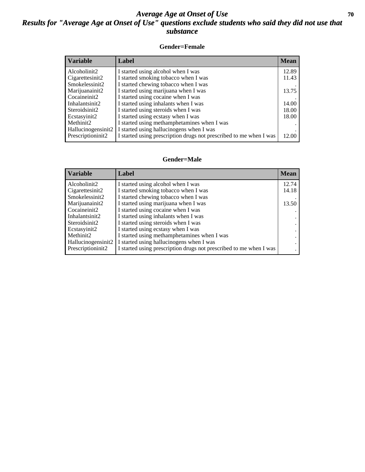## *Average Age at Onset of Use* 70 *Results for "Average Age at Onset of Use" questions exclude students who said they did not use that substance*

#### **Gender=Female**

| <b>Mean</b> |
|-------------|
| 12.89       |
| 11.43       |
|             |
| 13.75       |
|             |
| 14.00       |
| 18.00       |
| 18.00       |
|             |
|             |
| 12.00       |
|             |

#### **Gender=Male**

| <b>Variable</b>                 | Label                                                              | <b>Mean</b> |
|---------------------------------|--------------------------------------------------------------------|-------------|
| Alcoholinit2                    | I started using alcohol when I was                                 | 12.74       |
| Cigarettesinit2                 | I started smoking tobacco when I was                               | 14.18       |
| Smokelessinit2                  | I started chewing tobacco when I was                               |             |
| Marijuanainit2                  | I started using marijuana when I was                               | 13.50       |
| Cocaineinit2                    | I started using cocaine when I was                                 |             |
| Inhalantsinit2                  | I started using inhalants when I was                               |             |
| Steroidsinit2                   | I started using steroids when I was                                |             |
| Ecstasyinit2                    | I started using ecstasy when I was                                 |             |
| Methinit2                       | I started using methamphetamines when I was                        |             |
| Hallucinogensinit2              | I started using hallucinogens when I was                           |             |
| Prescription in it <sub>2</sub> | I started using prescription drugs not prescribed to me when I was |             |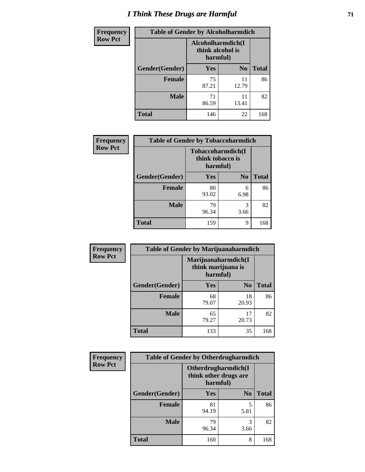# *I Think These Drugs are Harmful* **71**

| <b>Frequency</b> | <b>Table of Gender by Alcoholharmdich</b> |                                                   |                |              |  |
|------------------|-------------------------------------------|---------------------------------------------------|----------------|--------------|--|
| <b>Row Pct</b>   |                                           | Alcoholharmdich(I<br>think alcohol is<br>harmful) |                |              |  |
|                  | Gender(Gender)                            | <b>Yes</b>                                        | N <sub>0</sub> | <b>Total</b> |  |
|                  | <b>Female</b>                             | 75<br>87.21                                       | 11<br>12.79    | 86           |  |
|                  | <b>Male</b>                               | 71<br>86.59                                       | 11<br>13.41    | 82           |  |
|                  | <b>Total</b>                              | 146                                               | 22             | 168          |  |

| Frequency      | <b>Table of Gender by Tobaccoharmdich</b> |                              |                   |              |  |
|----------------|-------------------------------------------|------------------------------|-------------------|--------------|--|
| <b>Row Pct</b> |                                           | think tobacco is<br>harmful) | Tobaccoharmdich(I |              |  |
|                | Gender(Gender)                            | Yes                          | N <sub>0</sub>    | <b>Total</b> |  |
|                | <b>Female</b>                             | 80<br>93.02                  | 6<br>6.98         | 86           |  |
|                | <b>Male</b>                               | 79<br>96.34                  | 3<br>3.66         | 82           |  |
|                | <b>Total</b>                              | 159                          | 9                 | 168          |  |

| Frequency      | <b>Table of Gender by Marijuanaharmdich</b> |                                                       |                |              |  |
|----------------|---------------------------------------------|-------------------------------------------------------|----------------|--------------|--|
| <b>Row Pct</b> |                                             | Marijuanaharmdich(I<br>think marijuana is<br>harmful) |                |              |  |
|                | Gender(Gender)                              | <b>Yes</b>                                            | N <sub>0</sub> | <b>Total</b> |  |
|                | <b>Female</b>                               | 68<br>79.07                                           | 18<br>20.93    | 86           |  |
|                | <b>Male</b>                                 | 65<br>79.27                                           | 17<br>20.73    | 82           |  |
|                | <b>Total</b>                                | 133                                                   | 35             | 168          |  |

| Frequency      | <b>Table of Gender by Otherdrugharmdich</b> |                                                          |                |              |  |
|----------------|---------------------------------------------|----------------------------------------------------------|----------------|--------------|--|
| <b>Row Pct</b> |                                             | Otherdrugharmdich(I<br>think other drugs are<br>harmful) |                |              |  |
|                | Gender(Gender)                              | <b>Yes</b>                                               | N <sub>0</sub> | <b>Total</b> |  |
|                | <b>Female</b>                               | 81<br>94.19                                              | 5<br>5.81      | 86           |  |
|                | <b>Male</b>                                 | 79<br>96.34                                              | 3<br>3.66      | 82           |  |
|                | <b>Total</b>                                | 160                                                      | 8              | 168          |  |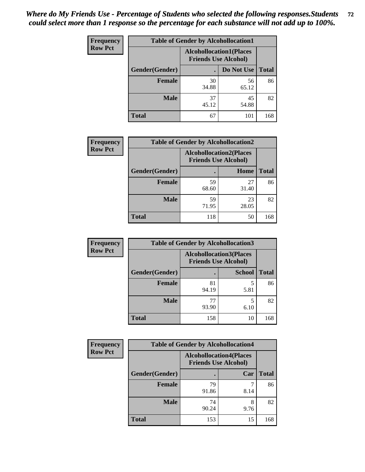| <b>Frequency</b> | <b>Table of Gender by Alcohollocation1</b> |                                                               |             |              |  |
|------------------|--------------------------------------------|---------------------------------------------------------------|-------------|--------------|--|
| <b>Row Pct</b>   |                                            | <b>Alcohollocation1(Places</b><br><b>Friends Use Alcohol)</b> |             |              |  |
|                  | Gender(Gender)                             |                                                               | Do Not Use  | <b>Total</b> |  |
|                  | <b>Female</b>                              | 30<br>34.88                                                   | 56<br>65.12 | 86           |  |
|                  | <b>Male</b>                                | 37<br>45.12                                                   | 45<br>54.88 | 82           |  |
|                  | Total                                      | 67                                                            | 101         | 168          |  |

| <b>Frequency</b> | <b>Table of Gender by Alcohollocation2</b> |                                |                             |              |
|------------------|--------------------------------------------|--------------------------------|-----------------------------|--------------|
| <b>Row Pct</b>   |                                            | <b>Alcohollocation2(Places</b> | <b>Friends Use Alcohol)</b> |              |
|                  | Gender(Gender)                             |                                | Home                        | <b>Total</b> |
|                  | Female                                     | 59<br>68.60                    | 27<br>31.40                 | 86           |
|                  | <b>Male</b>                                | 59<br>71.95                    | 23<br>28.05                 | 82           |
|                  | <b>Total</b>                               | 118                            | 50                          | 168          |

| Frequency      | <b>Table of Gender by Alcohollocation3</b> |             |                                                               |              |
|----------------|--------------------------------------------|-------------|---------------------------------------------------------------|--------------|
| <b>Row Pct</b> |                                            |             | <b>Alcohollocation3(Places</b><br><b>Friends Use Alcohol)</b> |              |
|                | Gender(Gender)                             |             | <b>School</b>                                                 | <b>Total</b> |
|                | <b>Female</b>                              | 81<br>94.19 | 5.81                                                          | 86           |
|                | <b>Male</b>                                | 77<br>93.90 | 6.10                                                          | 82           |
|                | <b>Total</b>                               | 158         | 10                                                            | 168          |

| <b>Frequency</b> | <b>Table of Gender by Alcohollocation4</b> |                                                               |           |              |
|------------------|--------------------------------------------|---------------------------------------------------------------|-----------|--------------|
| <b>Row Pct</b>   |                                            | <b>Alcohollocation4(Places</b><br><b>Friends Use Alcohol)</b> |           |              |
|                  | Gender(Gender)                             |                                                               | Car       | <b>Total</b> |
|                  | <b>Female</b>                              | 79<br>91.86                                                   | 8.14      | 86           |
|                  | <b>Male</b>                                | 74<br>90.24                                                   | 8<br>9.76 | 82           |
|                  | <b>Total</b>                               | 153                                                           | 15        | 168          |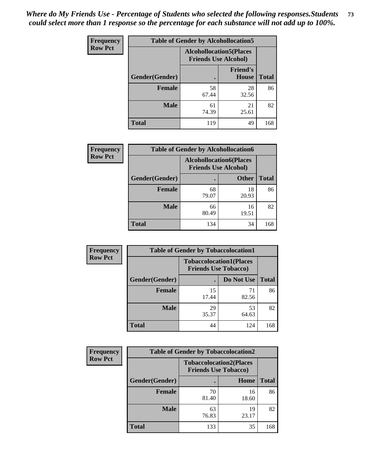| <b>Frequency</b> | <b>Table of Gender by Alcohollocation5</b> |             |                                                               |              |
|------------------|--------------------------------------------|-------------|---------------------------------------------------------------|--------------|
| <b>Row Pct</b>   |                                            |             | <b>Alcohollocation5(Places</b><br><b>Friends Use Alcohol)</b> |              |
|                  | Gender(Gender)                             | $\bullet$   | <b>Friend's</b><br>House                                      | <b>Total</b> |
|                  | <b>Female</b>                              | 58<br>67.44 | 28<br>32.56                                                   | 86           |
|                  | <b>Male</b>                                | 61<br>74.39 | 21<br>25.61                                                   | 82           |
|                  | <b>Total</b>                               | 119         | 49                                                            | 168          |

| <b>Frequency</b> | <b>Table of Gender by Alcohollocation6</b> |                                                               |              |              |
|------------------|--------------------------------------------|---------------------------------------------------------------|--------------|--------------|
| <b>Row Pct</b>   |                                            | <b>Alcohollocation6(Places</b><br><b>Friends Use Alcohol)</b> |              |              |
|                  | Gender(Gender)                             |                                                               | <b>Other</b> | <b>Total</b> |
|                  | <b>Female</b>                              | 68<br>79.07                                                   | 18<br>20.93  | 86           |
|                  | <b>Male</b>                                | 66<br>80.49                                                   | 16<br>19.51  | 82           |
|                  | <b>Total</b>                               | 134                                                           | 34           | 168          |

| Frequency      | <b>Table of Gender by Tobaccolocation1</b> |                                                               |             |              |
|----------------|--------------------------------------------|---------------------------------------------------------------|-------------|--------------|
| <b>Row Pct</b> |                                            | <b>Tobaccolocation1(Places</b><br><b>Friends Use Tobacco)</b> |             |              |
|                | Gender(Gender)                             |                                                               | Do Not Use  | <b>Total</b> |
|                | Female                                     | 15<br>17.44                                                   | 71<br>82.56 | 86           |
|                | <b>Male</b>                                | 29<br>35.37                                                   | 53<br>64.63 | 82           |
|                | <b>Total</b>                               | 44                                                            | 124         | 168          |

| <b>Frequency</b> | <b>Table of Gender by Tobaccolocation2</b> |                             |                                |              |
|------------------|--------------------------------------------|-----------------------------|--------------------------------|--------------|
| <b>Row Pct</b>   |                                            | <b>Friends Use Tobacco)</b> | <b>Tobaccolocation2(Places</b> |              |
|                  | Gender(Gender)                             |                             | Home                           | <b>Total</b> |
|                  | Female                                     | 70<br>81.40                 | 16<br>18.60                    | 86           |
|                  | <b>Male</b>                                | 63<br>76.83                 | 19<br>23.17                    | 82           |
|                  | <b>Total</b>                               | 133                         | 35                             | 168          |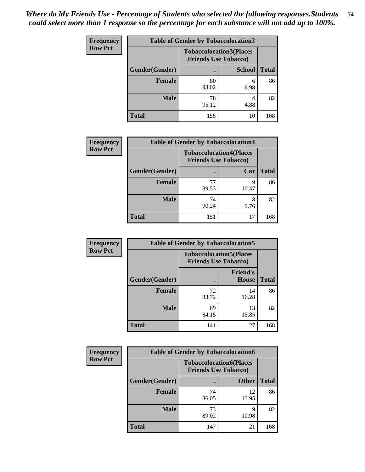| <b>Frequency</b> | <b>Table of Gender by Tobaccolocation3</b> |                                                               |               |              |
|------------------|--------------------------------------------|---------------------------------------------------------------|---------------|--------------|
| <b>Row Pct</b>   |                                            | <b>Tobaccolocation3(Places</b><br><b>Friends Use Tobacco)</b> |               |              |
|                  | Gender(Gender)                             |                                                               | <b>School</b> | <b>Total</b> |
|                  | <b>Female</b>                              | 80<br>93.02                                                   | 6<br>6.98     | 86           |
|                  | <b>Male</b>                                | 78<br>95.12                                                   | 4.88          | 82           |
|                  | <b>Total</b>                               | 158                                                           | 10            | 168          |

| <b>Frequency</b> | <b>Table of Gender by Tobaccolocation4</b> |                                                               |            |              |
|------------------|--------------------------------------------|---------------------------------------------------------------|------------|--------------|
| <b>Row Pct</b>   |                                            | <b>Tobaccolocation4(Places</b><br><b>Friends Use Tobacco)</b> |            |              |
|                  | Gender(Gender)                             |                                                               | Car        | <b>Total</b> |
|                  | <b>Female</b>                              | 77<br>89.53                                                   | Q<br>10.47 | 86           |
|                  | <b>Male</b>                                | 74<br>90.24                                                   | 9.76       | 82           |
|                  | <b>Total</b>                               | 151                                                           | 17         | 168          |

| <b>Frequency</b> | <b>Table of Gender by Tobaccolocation5</b> |                             |                                 |              |
|------------------|--------------------------------------------|-----------------------------|---------------------------------|--------------|
| <b>Row Pct</b>   |                                            | <b>Friends Use Tobacco)</b> | <b>Tobaccolocation5(Places</b>  |              |
|                  | Gender(Gender)                             |                             | <b>Friend's</b><br><b>House</b> | <b>Total</b> |
|                  | Female                                     | 72<br>83.72                 | 14<br>16.28                     | 86           |
|                  | <b>Male</b>                                | 69<br>84.15                 | 13<br>15.85                     | 82           |
|                  | <b>Total</b>                               | 141                         | 27                              | 168          |

| <b>Frequency</b> | <b>Table of Gender by Tobaccolocation6</b> |                                                               |              |              |
|------------------|--------------------------------------------|---------------------------------------------------------------|--------------|--------------|
| <b>Row Pct</b>   |                                            | <b>Tobaccolocation6(Places</b><br><b>Friends Use Tobacco)</b> |              |              |
|                  | Gender(Gender)                             |                                                               | <b>Other</b> | <b>Total</b> |
|                  | Female                                     | 74<br>86.05                                                   | 12<br>13.95  | 86           |
|                  | <b>Male</b>                                | 73<br>89.02                                                   | q<br>10.98   | 82           |
|                  | <b>Total</b>                               | 147                                                           | 21           | 168          |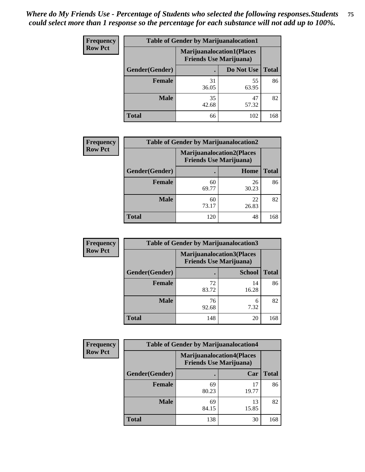| <b>Frequency</b> | <b>Table of Gender by Marijuanalocation1</b> |                                                                    |             |              |  |
|------------------|----------------------------------------------|--------------------------------------------------------------------|-------------|--------------|--|
| <b>Row Pct</b>   |                                              | <b>Marijuanalocation1(Places</b><br><b>Friends Use Marijuana</b> ) |             |              |  |
|                  | <b>Gender</b> (Gender)                       |                                                                    | Do Not Use  | <b>Total</b> |  |
|                  | <b>Female</b>                                | 31<br>36.05                                                        | 55<br>63.95 | 86           |  |
|                  | <b>Male</b>                                  | 35<br>42.68                                                        | 47<br>57.32 | 82           |  |
|                  | <b>Total</b>                                 | 66                                                                 | 102         | 168          |  |

| <b>Frequency</b> |                | <b>Table of Gender by Marijuanalocation2</b> |                                                                    |              |  |
|------------------|----------------|----------------------------------------------|--------------------------------------------------------------------|--------------|--|
| <b>Row Pct</b>   |                |                                              | <b>Marijuanalocation2(Places</b><br><b>Friends Use Marijuana</b> ) |              |  |
|                  | Gender(Gender) |                                              | Home                                                               | <b>Total</b> |  |
|                  | <b>Female</b>  | 60<br>69.77                                  | 26<br>30.23                                                        | 86           |  |
|                  | <b>Male</b>    | 60<br>73.17                                  | 22<br>26.83                                                        | 82           |  |
|                  | <b>Total</b>   | 120                                          | 48                                                                 | 168          |  |

| Frequency      | <b>Table of Gender by Marijuanalocation3</b> |                                                                    |               |              |
|----------------|----------------------------------------------|--------------------------------------------------------------------|---------------|--------------|
| <b>Row Pct</b> |                                              | <b>Marijuanalocation3(Places</b><br><b>Friends Use Marijuana</b> ) |               |              |
|                | Gender(Gender)                               |                                                                    | <b>School</b> | <b>Total</b> |
|                | Female                                       | 72<br>83.72                                                        | 14<br>16.28   | 86           |
|                | <b>Male</b>                                  | 76<br>92.68                                                        | 6<br>7.32     | 82           |
|                | <b>Total</b>                                 | 148                                                                | 20            | 168          |

| Frequency      | <b>Table of Gender by Marijuanalocation4</b> |                                                                    |             |              |
|----------------|----------------------------------------------|--------------------------------------------------------------------|-------------|--------------|
| <b>Row Pct</b> |                                              | <b>Marijuanalocation4(Places</b><br><b>Friends Use Marijuana</b> ) |             |              |
|                | Gender(Gender)                               |                                                                    | Car         | <b>Total</b> |
|                | <b>Female</b>                                | 69<br>80.23                                                        | 17<br>19.77 | 86           |
|                | <b>Male</b>                                  | 69<br>84.15                                                        | 13<br>15.85 | 82           |
|                | <b>Total</b>                                 | 138                                                                | 30          | 168          |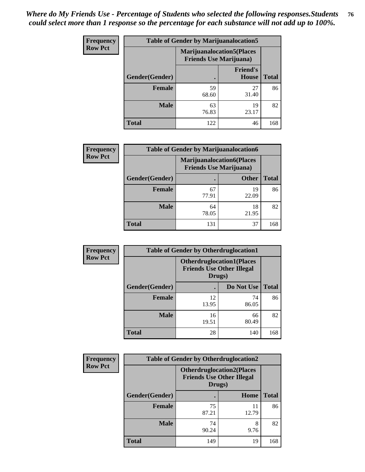| Frequency      | <b>Table of Gender by Marijuanalocation5</b> |                                                                    |                                 |              |
|----------------|----------------------------------------------|--------------------------------------------------------------------|---------------------------------|--------------|
| <b>Row Pct</b> |                                              | <b>Marijuanalocation5(Places</b><br><b>Friends Use Marijuana</b> ) |                                 |              |
|                | Gender(Gender)                               |                                                                    | <b>Friend's</b><br><b>House</b> | <b>Total</b> |
|                | <b>Female</b>                                | 59<br>68.60                                                        | 27<br>31.40                     | 86           |
|                | <b>Male</b>                                  | 63<br>76.83                                                        | 19<br>23.17                     | 82           |
|                | <b>Total</b>                                 | 122                                                                | 46                              | 168          |

| <b>Frequency</b> |                | <b>Table of Gender by Marijuanalocation6</b>                       |              |              |
|------------------|----------------|--------------------------------------------------------------------|--------------|--------------|
| <b>Row Pct</b>   |                | <b>Marijuanalocation6(Places</b><br><b>Friends Use Marijuana</b> ) |              |              |
|                  | Gender(Gender) |                                                                    | <b>Other</b> | <b>Total</b> |
|                  | <b>Female</b>  | 67<br>77.91                                                        | 19<br>22.09  | 86           |
|                  | <b>Male</b>    | 64<br>78.05                                                        | 18<br>21.95  | 82           |
|                  | <b>Total</b>   | 131                                                                | 37           | 168          |

| <b>Frequency</b> | <b>Table of Gender by Otherdruglocation1</b> |                                                                                |             |              |
|------------------|----------------------------------------------|--------------------------------------------------------------------------------|-------------|--------------|
| <b>Row Pct</b>   |                                              | <b>Otherdruglocation1(Places</b><br><b>Friends Use Other Illegal</b><br>Drugs) |             |              |
|                  | <b>Gender</b> (Gender)                       |                                                                                | Do Not Use  | <b>Total</b> |
|                  | <b>Female</b>                                | 12<br>13.95                                                                    | 74<br>86.05 | 86           |
|                  | <b>Male</b>                                  | 16<br>19.51                                                                    | 66<br>80.49 | 82           |
|                  | <b>Total</b>                                 | 28                                                                             | 140         | 168          |

| Frequency      | <b>Table of Gender by Otherdruglocation2</b> |                                            |                                  |              |
|----------------|----------------------------------------------|--------------------------------------------|----------------------------------|--------------|
| <b>Row Pct</b> |                                              | <b>Friends Use Other Illegal</b><br>Drugs) | <b>Otherdruglocation2(Places</b> |              |
|                | Gender(Gender)                               |                                            | Home                             | <b>Total</b> |
|                | <b>Female</b>                                | 75<br>87.21                                | 11<br>12.79                      | 86           |
|                | <b>Male</b>                                  | 74<br>90.24                                | 8<br>9.76                        | 82           |
|                | <b>Total</b>                                 | 149                                        | 19                               | 168          |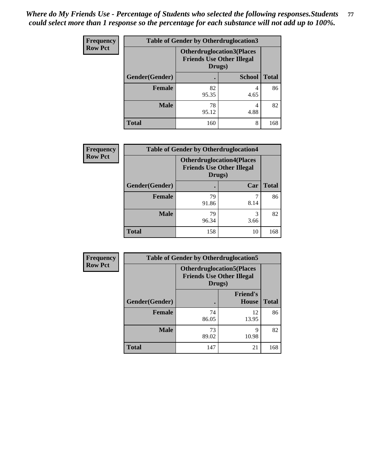| <b>Frequency</b> | <b>Table of Gender by Otherdruglocation3</b> |                                                                                |               |              |
|------------------|----------------------------------------------|--------------------------------------------------------------------------------|---------------|--------------|
| <b>Row Pct</b>   |                                              | <b>Otherdruglocation3(Places</b><br><b>Friends Use Other Illegal</b><br>Drugs) |               |              |
|                  | Gender(Gender)                               |                                                                                | <b>School</b> | <b>Total</b> |
|                  | Female                                       | 82<br>95.35                                                                    | 4.65          | 86           |
|                  | <b>Male</b>                                  | 78<br>95.12                                                                    | 4<br>4.88     | 82           |
|                  | <b>Total</b>                                 | 160                                                                            | 8             | 168          |

| Frequency      | <b>Table of Gender by Otherdruglocation4</b> |                                            |                                  |              |
|----------------|----------------------------------------------|--------------------------------------------|----------------------------------|--------------|
| <b>Row Pct</b> |                                              | <b>Friends Use Other Illegal</b><br>Drugs) | <b>Otherdruglocation4(Places</b> |              |
|                | Gender(Gender)                               |                                            | Car                              | <b>Total</b> |
|                | <b>Female</b>                                | 79<br>91.86                                | 8.14                             | 86           |
|                | <b>Male</b>                                  | 79<br>96.34                                | 3<br>3.66                        | 82           |
|                | <b>Total</b>                                 | 158                                        | 10                               | 168          |

| Frequency      | <b>Table of Gender by Otherdruglocation5</b> |                                                                                |                                 |              |
|----------------|----------------------------------------------|--------------------------------------------------------------------------------|---------------------------------|--------------|
| <b>Row Pct</b> |                                              | <b>Otherdruglocation5(Places</b><br><b>Friends Use Other Illegal</b><br>Drugs) |                                 |              |
|                | Gender(Gender)                               |                                                                                | <b>Friend's</b><br><b>House</b> | <b>Total</b> |
|                | <b>Female</b>                                | 74<br>86.05                                                                    | 12<br>13.95                     | 86           |
|                | <b>Male</b>                                  | 73<br>89.02                                                                    | 9<br>10.98                      | 82           |
|                | <b>Total</b>                                 | 147                                                                            | 21                              | 168          |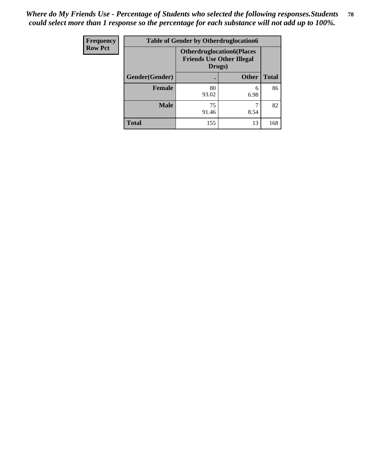| <b>Frequency</b> | <b>Table of Gender by Otherdruglocation6</b> |                                                                                |              |              |
|------------------|----------------------------------------------|--------------------------------------------------------------------------------|--------------|--------------|
| <b>Row Pct</b>   |                                              | <b>Otherdruglocation6(Places</b><br><b>Friends Use Other Illegal</b><br>Drugs) |              |              |
|                  | Gender(Gender)                               |                                                                                | <b>Other</b> | <b>Total</b> |
|                  | Female                                       | 80<br>93.02                                                                    | 6<br>6.98    | 86           |
|                  | <b>Male</b>                                  | 75<br>91.46                                                                    | 8.54         | 82           |
|                  | <b>Total</b>                                 | 155                                                                            | 13           | 168          |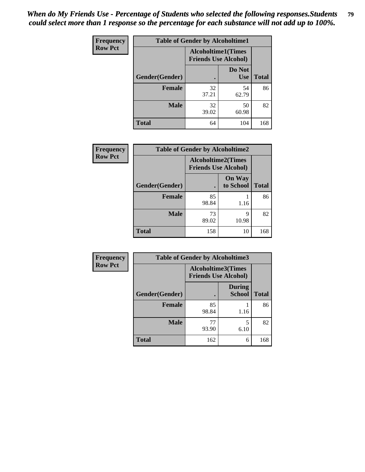| <b>Frequency</b> | <b>Table of Gender by Alcoholtime1</b> |                                                          |                      |              |
|------------------|----------------------------------------|----------------------------------------------------------|----------------------|--------------|
| <b>Row Pct</b>   |                                        | <b>Alcoholtime1(Times</b><br><b>Friends Use Alcohol)</b> |                      |              |
|                  | Gender(Gender)                         | $\bullet$                                                | Do Not<br><b>Use</b> | <b>Total</b> |
|                  | <b>Female</b>                          | 32<br>37.21                                              | 54<br>62.79          | 86           |
|                  | <b>Male</b>                            | 32<br>39.02                                              | 50<br>60.98          | 82           |
|                  | <b>Total</b>                           | 64                                                       | 104                  | 168          |

| Frequency      | <b>Table of Gender by Alcoholtime2</b> |                                                          |                            |              |
|----------------|----------------------------------------|----------------------------------------------------------|----------------------------|--------------|
| <b>Row Pct</b> |                                        | <b>Alcoholtime2(Times</b><br><b>Friends Use Alcohol)</b> |                            |              |
|                | Gender(Gender)                         |                                                          | <b>On Way</b><br>to School | <b>Total</b> |
|                | <b>Female</b>                          | 85<br>98.84                                              | 1.16                       | 86           |
|                | <b>Male</b>                            | 73<br>89.02                                              | 9<br>10.98                 | 82           |
|                | <b>Total</b>                           | 158                                                      | 10                         | 168          |

| Frequency      | <b>Table of Gender by Alcoholtime3</b> |                                                          |                         |              |
|----------------|----------------------------------------|----------------------------------------------------------|-------------------------|--------------|
| <b>Row Pct</b> |                                        | <b>Alcoholtime3(Times</b><br><b>Friends Use Alcohol)</b> |                         |              |
|                | Gender(Gender)                         |                                                          | <b>During</b><br>School | <b>Total</b> |
|                | <b>Female</b>                          | 85<br>98.84                                              | 1.16                    | 86           |
|                | <b>Male</b>                            | 77<br>93.90                                              | 5<br>6.10               | 82           |
|                | <b>Total</b>                           | 162                                                      | 6                       | 168          |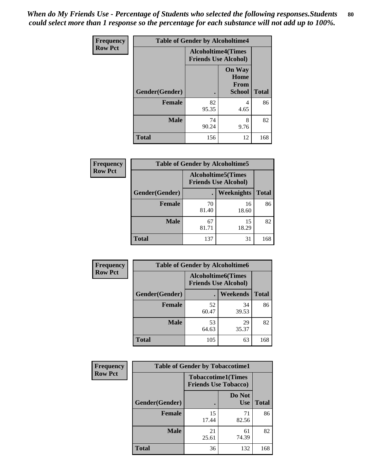*When do My Friends Use - Percentage of Students who selected the following responses.Students could select more than 1 response so the percentage for each substance will not add up to 100%.* **80**

| <b>Frequency</b> | <b>Table of Gender by Alcoholtime4</b> |                                                          |                                         |              |
|------------------|----------------------------------------|----------------------------------------------------------|-----------------------------------------|--------------|
| <b>Row Pct</b>   |                                        | <b>Alcoholtime4(Times</b><br><b>Friends Use Alcohol)</b> |                                         |              |
|                  | Gender(Gender)                         |                                                          | <b>On Way</b><br>Home<br>From<br>School | <b>Total</b> |
|                  | <b>Female</b>                          | 82<br>95.35                                              | 4<br>4.65                               | 86           |
|                  | <b>Male</b>                            | 74<br>90.24                                              | 8<br>9.76                               | 82           |
|                  | <b>Total</b>                           | 156                                                      | 12                                      | 168          |

| <b>Frequency</b> | <b>Table of Gender by Alcoholtime5</b> |                                                          |                   |              |
|------------------|----------------------------------------|----------------------------------------------------------|-------------------|--------------|
| <b>Row Pct</b>   |                                        | <b>Alcoholtime5(Times</b><br><b>Friends Use Alcohol)</b> |                   |              |
|                  | Gender(Gender)                         |                                                          | <b>Weeknights</b> | <b>Total</b> |
|                  | <b>Female</b>                          | 70<br>81.40                                              | 16<br>18.60       | 86           |
|                  | <b>Male</b>                            | 67<br>81.71                                              | 15<br>18.29       | 82           |
|                  | <b>Total</b>                           | 137                                                      | 31                | 168          |

| <b>Frequency</b> | <b>Table of Gender by Alcoholtime6</b> |                                                           |                 |              |  |
|------------------|----------------------------------------|-----------------------------------------------------------|-----------------|--------------|--|
| <b>Row Pct</b>   |                                        | <b>Alcoholtime6</b> (Times<br><b>Friends Use Alcohol)</b> |                 |              |  |
|                  | Gender(Gender)                         |                                                           | <b>Weekends</b> | <b>Total</b> |  |
|                  | Female                                 | 52<br>60.47                                               | 34<br>39.53     | 86           |  |
|                  | <b>Male</b>                            | 53<br>64.63                                               | 29<br>35.37     | 82           |  |
|                  | Total                                  | 105                                                       | 63              | 168          |  |

| <b>Frequency</b> | <b>Table of Gender by Tobaccotime1</b> |                                                          |                      |              |
|------------------|----------------------------------------|----------------------------------------------------------|----------------------|--------------|
| <b>Row Pct</b>   |                                        | <b>Tobaccotime1(Times</b><br><b>Friends Use Tobacco)</b> |                      |              |
|                  | Gender(Gender)                         |                                                          | Do Not<br><b>Use</b> | <b>Total</b> |
|                  | <b>Female</b>                          | 15<br>17.44                                              | 71<br>82.56          | 86           |
|                  | <b>Male</b>                            | 21<br>25.61                                              | 61<br>74.39          | 82           |
|                  | <b>Total</b>                           | 36                                                       | 132                  | 168          |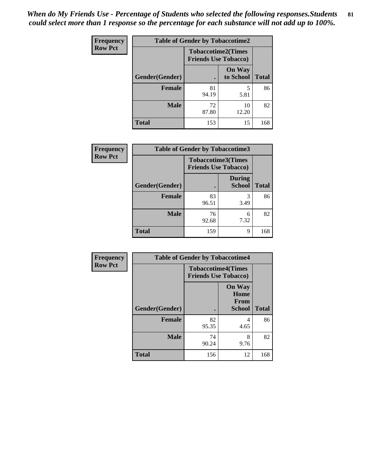*When do My Friends Use - Percentage of Students who selected the following responses.Students could select more than 1 response so the percentage for each substance will not add up to 100%.* **81**

| <b>Frequency</b> | <b>Table of Gender by Tobaccotime2</b> |                                                          |                            |              |
|------------------|----------------------------------------|----------------------------------------------------------|----------------------------|--------------|
| <b>Row Pct</b>   |                                        | <b>Tobaccotime2(Times</b><br><b>Friends Use Tobacco)</b> |                            |              |
|                  | Gender(Gender)                         | $\bullet$                                                | <b>On Way</b><br>to School | <b>Total</b> |
|                  | Female                                 | 81<br>94.19                                              | 5<br>5.81                  | 86           |
|                  | <b>Male</b>                            | 72<br>87.80                                              | 10<br>12.20                | 82           |
|                  | <b>Total</b>                           | 153                                                      | 15                         | 168          |

| <b>Frequency</b> | <b>Table of Gender by Tobaccotime3</b> |                                                          |                                |              |
|------------------|----------------------------------------|----------------------------------------------------------|--------------------------------|--------------|
| <b>Row Pct</b>   |                                        | <b>Tobaccotime3(Times</b><br><b>Friends Use Tobacco)</b> |                                |              |
|                  | Gender(Gender)                         |                                                          | <b>During</b><br><b>School</b> | <b>Total</b> |
|                  | <b>Female</b>                          | 83<br>96.51                                              | 3<br>3.49                      | 86           |
|                  | <b>Male</b>                            | 76<br>92.68                                              | 6<br>7.32                      | 82           |
|                  | <b>Total</b>                           | 159                                                      | 9                              | 168          |

| <b>Frequency</b> | <b>Table of Gender by Tobaccotime4</b> |                                                          |                                                       |              |
|------------------|----------------------------------------|----------------------------------------------------------|-------------------------------------------------------|--------------|
| <b>Row Pct</b>   |                                        | <b>Tobaccotime4(Times</b><br><b>Friends Use Tobacco)</b> |                                                       |              |
|                  | Gender(Gender)                         |                                                          | <b>On Way</b><br>Home<br><b>From</b><br><b>School</b> | <b>Total</b> |
|                  | <b>Female</b>                          | 82<br>95.35                                              | 4<br>4.65                                             | 86           |
|                  | <b>Male</b>                            | 74<br>90.24                                              | 8<br>9.76                                             | 82           |
|                  | <b>Total</b>                           | 156                                                      | 12                                                    | 168          |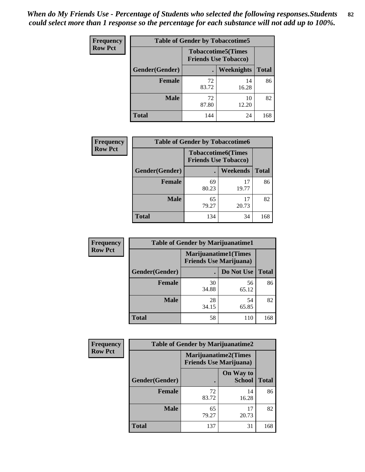| <b>Frequency</b> | <b>Table of Gender by Tobaccotime5</b> |             |                                                           |              |  |
|------------------|----------------------------------------|-------------|-----------------------------------------------------------|--------------|--|
| <b>Row Pct</b>   |                                        |             | <b>Tobaccotime5</b> (Times<br><b>Friends Use Tobacco)</b> |              |  |
|                  | <b>Gender</b> (Gender)                 |             | <b>Weeknights</b>                                         | <b>Total</b> |  |
|                  | <b>Female</b>                          | 72<br>83.72 | 14<br>16.28                                               | 86           |  |
|                  | <b>Male</b>                            | 72<br>87.80 | 10<br>12.20                                               | 82           |  |
|                  | Total                                  | 144         | 24                                                        | 168          |  |

| Frequency      | <b>Table of Gender by Tobaccotime6</b> |                                                          |                 |              |
|----------------|----------------------------------------|----------------------------------------------------------|-----------------|--------------|
| <b>Row Pct</b> |                                        | <b>Tobaccotime6(Times</b><br><b>Friends Use Tobacco)</b> |                 |              |
|                | Gender(Gender)                         |                                                          | <b>Weekends</b> | <b>Total</b> |
|                | Female                                 | 69<br>80.23                                              | 17<br>19.77     | 86           |
|                | <b>Male</b>                            | 65<br>79.27                                              | 17<br>20.73     | 82           |
|                | <b>Total</b>                           | 134                                                      | 34              | 168          |

| <b>Frequency</b> | <b>Table of Gender by Marijuanatime1</b> |                                |                             |              |
|------------------|------------------------------------------|--------------------------------|-----------------------------|--------------|
| <b>Row Pct</b>   |                                          | <b>Friends Use Marijuana</b> ) | <b>Marijuanatime1(Times</b> |              |
|                  | Gender(Gender)                           |                                | Do Not Use                  | <b>Total</b> |
|                  | <b>Female</b>                            | 30<br>34.88                    | 56<br>65.12                 | 86           |
|                  | <b>Male</b>                              | 28<br>34.15                    | 54<br>65.85                 | 82           |
|                  | <b>Total</b>                             | 58                             | 110                         | 168          |

| Frequency      | <b>Table of Gender by Marijuanatime2</b> |                                                        |                            |              |
|----------------|------------------------------------------|--------------------------------------------------------|----------------------------|--------------|
| <b>Row Pct</b> |                                          | Marijuanatime2(Times<br><b>Friends Use Marijuana</b> ) |                            |              |
|                | Gender(Gender)                           |                                                        | On Way to<br><b>School</b> | <b>Total</b> |
|                | <b>Female</b>                            | 72<br>83.72                                            | 14<br>16.28                | 86           |
|                | <b>Male</b>                              | 65<br>79.27                                            | 17<br>20.73                | 82           |
|                | <b>Total</b>                             | 137                                                    | 31                         | 168          |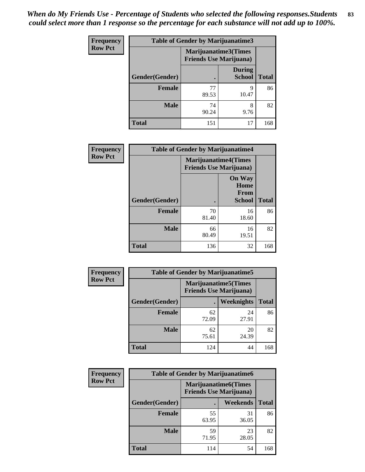| <b>Frequency</b> | <b>Table of Gender by Marijuanatime3</b> |                                |                                |              |
|------------------|------------------------------------------|--------------------------------|--------------------------------|--------------|
| <b>Row Pct</b>   |                                          | <b>Friends Use Marijuana</b> ) | Marijuanatime3(Times           |              |
|                  | Gender(Gender)                           |                                | <b>During</b><br><b>School</b> | <b>Total</b> |
|                  | <b>Female</b>                            | 77<br>89.53                    | 9<br>10.47                     | 86           |
|                  | <b>Male</b>                              | 74<br>90.24                    | 8<br>9.76                      | 82           |
|                  | <b>Total</b>                             | 151                            | 17                             | 168          |

| Frequency      | <b>Table of Gender by Marijuanatime4</b> |                                                               |                                                       |              |
|----------------|------------------------------------------|---------------------------------------------------------------|-------------------------------------------------------|--------------|
| <b>Row Pct</b> |                                          | <b>Marijuanatime4(Times</b><br><b>Friends Use Marijuana</b> ) |                                                       |              |
|                | Gender(Gender)                           |                                                               | <b>On Way</b><br>Home<br><b>From</b><br><b>School</b> | <b>Total</b> |
|                | <b>Female</b>                            | 70<br>81.40                                                   | 16<br>18.60                                           | 86           |
|                | <b>Male</b>                              | 66<br>80.49                                                   | 16<br>19.51                                           | 82           |
|                | <b>Total</b>                             | 136                                                           | 32                                                    | 168          |

| <b>Frequency</b> | <b>Table of Gender by Marijuanatime5</b> |                                                                |             |              |  |
|------------------|------------------------------------------|----------------------------------------------------------------|-------------|--------------|--|
| <b>Row Pct</b>   |                                          | <b>Marijuanatime5</b> (Times<br><b>Friends Use Marijuana</b> ) |             |              |  |
|                  | Gender(Gender)                           |                                                                | Weeknights  | <b>Total</b> |  |
|                  | <b>Female</b>                            | 62<br>72.09                                                    | 24<br>27.91 | 86           |  |
|                  | <b>Male</b>                              | 62<br>75.61                                                    | 20<br>24.39 | 82           |  |
|                  | <b>Total</b>                             | 124                                                            | 44          | 168          |  |

| Frequency      | <b>Table of Gender by Marijuanatime6</b> |                                                               |                 |              |  |
|----------------|------------------------------------------|---------------------------------------------------------------|-----------------|--------------|--|
| <b>Row Pct</b> |                                          | <b>Marijuanatime6(Times</b><br><b>Friends Use Marijuana</b> ) |                 |              |  |
|                | Gender(Gender)                           |                                                               | <b>Weekends</b> | <b>Total</b> |  |
|                | <b>Female</b>                            | 55<br>63.95                                                   | 31<br>36.05     | 86           |  |
|                | <b>Male</b>                              | 59<br>71.95                                                   | 23<br>28.05     | 82           |  |
|                | <b>Total</b>                             | 114                                                           | 54              | 168          |  |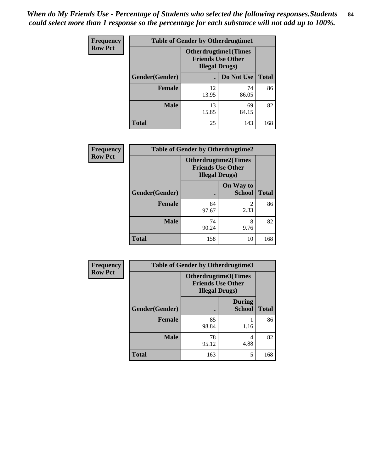*When do My Friends Use - Percentage of Students who selected the following responses.Students could select more than 1 response so the percentage for each substance will not add up to 100%.* **84**

| <b>Frequency</b> | <b>Table of Gender by Otherdrugtime1</b> |                                                                                    |             |              |  |
|------------------|------------------------------------------|------------------------------------------------------------------------------------|-------------|--------------|--|
| <b>Row Pct</b>   |                                          | <b>Otherdrugtime1</b> (Times<br><b>Friends Use Other</b><br><b>Illegal Drugs</b> ) |             |              |  |
|                  | <b>Gender</b> (Gender)                   |                                                                                    | Do Not Use  | <b>Total</b> |  |
|                  | <b>Female</b>                            | 12<br>13.95                                                                        | 74<br>86.05 | 86           |  |
|                  | <b>Male</b>                              | 13<br>15.85                                                                        | 69<br>84.15 | 82           |  |
|                  | <b>Total</b>                             | 25                                                                                 | 143         | 168          |  |

| Frequency      | <b>Table of Gender by Otherdrugtime2</b> |                                                                                   |                            |              |  |
|----------------|------------------------------------------|-----------------------------------------------------------------------------------|----------------------------|--------------|--|
| <b>Row Pct</b> |                                          | <b>Otherdrugtime2(Times</b><br><b>Friends Use Other</b><br><b>Illegal Drugs</b> ) |                            |              |  |
|                | Gender(Gender)                           |                                                                                   | On Way to<br><b>School</b> | <b>Total</b> |  |
|                | <b>Female</b>                            | 84<br>97.67                                                                       | $\mathfrak{D}$<br>2.33     | 86           |  |
|                | <b>Male</b>                              | 74<br>90.24                                                                       | 8<br>9.76                  | 82           |  |
|                | <b>Total</b>                             | 158                                                                               | 10                         | 168          |  |

| Frequency      | <b>Table of Gender by Otherdrugtime3</b> |                                                                            |                                |              |  |
|----------------|------------------------------------------|----------------------------------------------------------------------------|--------------------------------|--------------|--|
| <b>Row Pct</b> |                                          | Otherdrugtime3(Times<br><b>Friends Use Other</b><br><b>Illegal Drugs</b> ) |                                |              |  |
|                | Gender(Gender)                           |                                                                            | <b>During</b><br><b>School</b> | <b>Total</b> |  |
|                | <b>Female</b>                            | 85<br>98.84                                                                | 1.16                           | 86           |  |
|                | <b>Male</b>                              | 78<br>95.12                                                                | 4<br>4.88                      | 82           |  |
|                | <b>Total</b>                             | 163                                                                        | 5                              | 168          |  |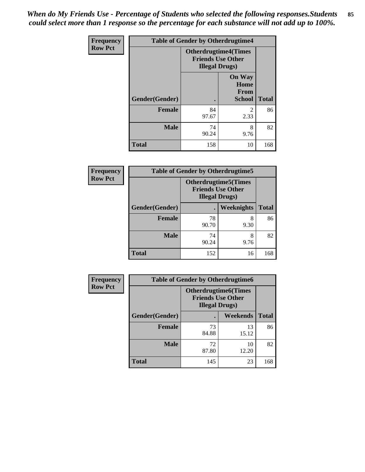*When do My Friends Use - Percentage of Students who selected the following responses.Students could select more than 1 response so the percentage for each substance will not add up to 100%.* **85**

| <b>Frequency</b> |                | <b>Table of Gender by Otherdrugtime4</b> |                                                         |              |
|------------------|----------------|------------------------------------------|---------------------------------------------------------|--------------|
| <b>Row Pct</b>   |                | <b>Illegal Drugs</b> )                   | <b>Otherdrugtime4(Times</b><br><b>Friends Use Other</b> |              |
|                  | Gender(Gender) |                                          | <b>On Way</b><br>Home<br><b>From</b><br><b>School</b>   | <b>Total</b> |
|                  | <b>Female</b>  | 84<br>97.67                              | $\mathcal{D}_{\mathcal{L}}$<br>2.33                     | 86           |
|                  | <b>Male</b>    | 74<br>90.24                              | 8<br>9.76                                               | 82           |
|                  | <b>Total</b>   | 158                                      | 10                                                      | 168          |

| <b>Frequency</b> | <b>Table of Gender by Otherdrugtime5</b> |                                                                                    |            |              |
|------------------|------------------------------------------|------------------------------------------------------------------------------------|------------|--------------|
| <b>Row Pct</b>   |                                          | <b>Otherdrugtime5</b> (Times<br><b>Friends Use Other</b><br><b>Illegal Drugs</b> ) |            |              |
|                  | Gender(Gender)                           |                                                                                    | Weeknights | <b>Total</b> |
|                  | <b>Female</b>                            | 78<br>90.70                                                                        | 8<br>9.30  | 86           |
|                  | <b>Male</b>                              | 74<br>90.24                                                                        | 8<br>9.76  | 82           |
|                  | <b>Total</b>                             | 152                                                                                | 16         | 168          |

| <b>Frequency</b> | <b>Table of Gender by Otherdrugtime6</b> |                                                                                   |             |              |  |
|------------------|------------------------------------------|-----------------------------------------------------------------------------------|-------------|--------------|--|
| <b>Row Pct</b>   |                                          | <b>Otherdrugtime6(Times</b><br><b>Friends Use Other</b><br><b>Illegal Drugs</b> ) |             |              |  |
|                  | Gender(Gender)                           |                                                                                   | Weekends    | <b>Total</b> |  |
|                  | <b>Female</b>                            | 73<br>84.88                                                                       | 13<br>15.12 | 86           |  |
|                  | <b>Male</b>                              | 72<br>87.80                                                                       | 10<br>12.20 | 82           |  |
|                  | <b>Total</b>                             | 145                                                                               | 23          | 168          |  |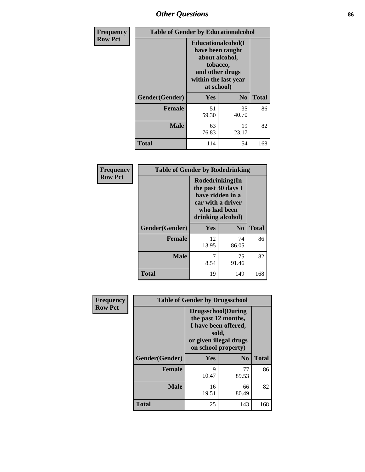# *Other Questions* **86**

| Frequency      | <b>Table of Gender by Educationalcohol</b> |                                                                                                                               |                |              |
|----------------|--------------------------------------------|-------------------------------------------------------------------------------------------------------------------------------|----------------|--------------|
| <b>Row Pct</b> |                                            | Educationalcohol(I<br>have been taught<br>about alcohol,<br>tobacco,<br>and other drugs<br>within the last year<br>at school) |                |              |
|                | Gender(Gender)                             | Yes                                                                                                                           | N <sub>0</sub> | <b>Total</b> |
|                | <b>Female</b>                              | 51<br>59.30                                                                                                                   | 35<br>40.70    | 86           |
|                | <b>Male</b>                                | 63<br>76.83                                                                                                                   | 19<br>23.17    | 82           |
|                | <b>Total</b>                               | 114                                                                                                                           | 54             | 168          |

| Frequency      | <b>Table of Gender by Rodedrinking</b> |             |                                                                                                                     |              |  |
|----------------|----------------------------------------|-------------|---------------------------------------------------------------------------------------------------------------------|--------------|--|
| <b>Row Pct</b> |                                        |             | Rodedrinking(In<br>the past 30 days I<br>have ridden in a<br>car with a driver<br>who had been<br>drinking alcohol) |              |  |
|                | Gender(Gender)                         | Yes         | N <sub>0</sub>                                                                                                      | <b>Total</b> |  |
|                | <b>Female</b>                          | 12<br>13.95 | 74<br>86.05                                                                                                         | 86           |  |
|                | <b>Male</b>                            | 8.54        | 75<br>91.46                                                                                                         | 82           |  |
|                | <b>Total</b>                           | 19          | 149                                                                                                                 | 168          |  |

| Frequency      | <b>Table of Gender by Drugsschool</b> |                                                                                                                                     |                |              |
|----------------|---------------------------------------|-------------------------------------------------------------------------------------------------------------------------------------|----------------|--------------|
| <b>Row Pct</b> |                                       | <b>Drugsschool</b> (During<br>the past 12 months,<br>I have been offered,<br>sold,<br>or given illegal drugs<br>on school property) |                |              |
|                | Gender(Gender)                        | Yes                                                                                                                                 | N <sub>0</sub> | <b>Total</b> |
|                | <b>Female</b>                         | 9<br>10.47                                                                                                                          | 77<br>89.53    | 86           |
|                | <b>Male</b>                           | 16<br>19.51                                                                                                                         | 66<br>80.49    | 82           |
|                | <b>Total</b>                          | 25                                                                                                                                  | 143            | 168          |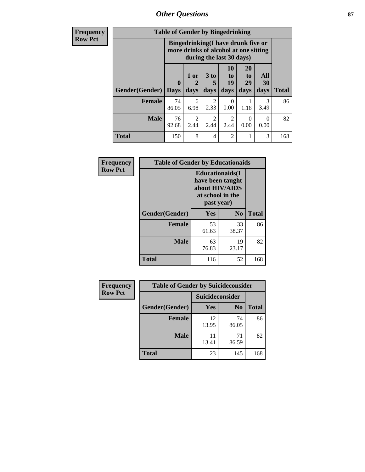*Other Questions* **87**

**Frequency Row Pct**

| <b>Table of Gender by Bingedrinking</b> |             |                                                                                                         |           |                           |                |                  |              |
|-----------------------------------------|-------------|---------------------------------------------------------------------------------------------------------|-----------|---------------------------|----------------|------------------|--------------|
|                                         |             | Bingedrinking(I have drunk five or<br>more drinks of alcohol at one sitting<br>during the last 30 days) |           |                           |                |                  |              |
|                                         | $\bf{0}$    | 1 or<br>2                                                                                               | 3 to<br>5 | 10<br>to<br>19            | 20<br>to<br>29 | All<br>30        |              |
| <b>Gender</b> (Gender)                  | <b>Days</b> | days                                                                                                    | days      | days                      | days           | days             | <b>Total</b> |
| <b>Female</b>                           | 74<br>86.05 | 6<br>6.98                                                                                               | 2<br>2.33 | $\mathbf{\Omega}$<br>0.00 | 1.16           | 3<br>3.49        | 86           |
| <b>Male</b>                             | 76<br>92.68 | $\mathcal{L}$<br>2.44                                                                                   | 2<br>2.44 | 2<br>2.44                 | ∩<br>0.00      | $\theta$<br>0.00 | 82           |

| Frequency      | <b>Table of Gender by Educationaids</b> |                                                                                                 |             |              |
|----------------|-----------------------------------------|-------------------------------------------------------------------------------------------------|-------------|--------------|
| <b>Row Pct</b> |                                         | <b>Educationaids</b> (I<br>have been taught<br>about HIV/AIDS<br>at school in the<br>past year) |             |              |
|                | Gender(Gender)                          | Yes                                                                                             | $\bf N_0$   | <b>Total</b> |
|                | <b>Female</b>                           | 53<br>61.63                                                                                     | 33<br>38.37 | 86           |
|                | <b>Male</b>                             | 63<br>76.83                                                                                     | 19<br>23.17 | 82           |
|                | <b>Total</b>                            | 116                                                                                             | 52          | 168          |

| <b>Frequency</b> | <b>Table of Gender by Suicideconsider</b> |                        |                |              |
|------------------|-------------------------------------------|------------------------|----------------|--------------|
| <b>Row Pct</b>   |                                           | <b>Suicideconsider</b> |                |              |
|                  | Gender(Gender)                            | Yes                    | N <sub>0</sub> | <b>Total</b> |
|                  | Female                                    | 12<br>13.95            | 74<br>86.05    | 86           |
|                  | <b>Male</b>                               | 11<br>13.41            | 71<br>86.59    | 82           |
|                  | <b>Total</b>                              | 23                     | 145            | 168          |